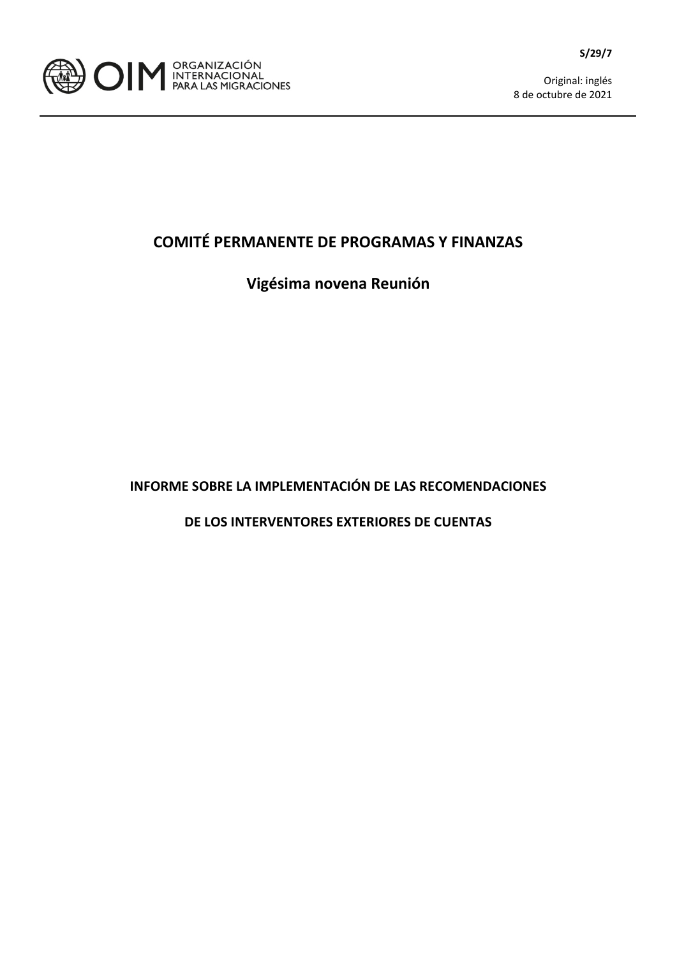

Original: inglés 8 de octubre de 2021

## **COMITÉ PERMANENTE DE PROGRAMAS Y FINANZAS**

## **Vigésima novena Reunión**

**INFORME SOBRE LA IMPLEMENTACIÓN DE LAS RECOMENDACIONES**

**DE LOS INTERVENTORES EXTERIORES DE CUENTAS**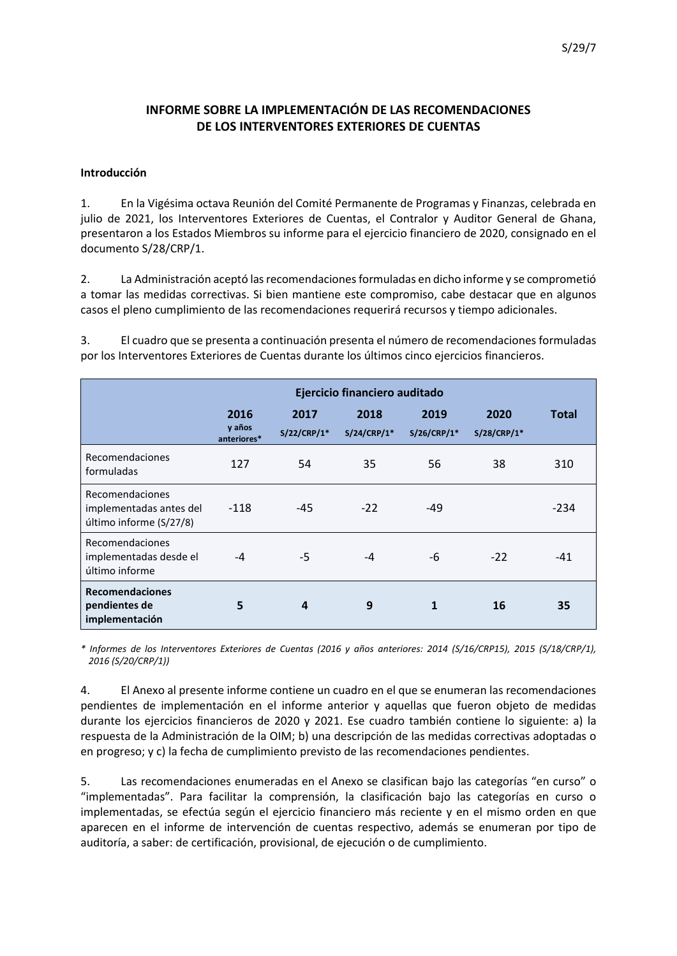### **INFORME SOBRE LA IMPLEMENTACIÓN DE LAS RECOMENDACIONES DE LOS INTERVENTORES EXTERIORES DE CUENTAS**

#### **Introducción**

1. En la Vigésima octava Reunión del Comité Permanente de Programas y Finanzas, celebrada en julio de 2021, los Interventores Exteriores de Cuentas, el Contralor y Auditor General de Ghana, presentaron a los Estados Miembros su informe para el ejercicio financiero de 2020, consignado en el documento S/28/CRP/1.

2. La Administración aceptó las recomendaciones formuladas en dicho informe y se comprometió a tomar las medidas correctivas. Si bien mantiene este compromiso, cabe destacar que en algunos casos el pleno cumplimiento de las recomendaciones requerirá recursos y tiempo adicionales.

3. El cuadro que se presenta a continuación presenta el número de recomendaciones formuladas por los Interventores Exteriores de Cuentas durante los últimos cinco ejercicios financieros.

|                                                                       |                               |                       | Ejercicio financiero auditado |                       |                       |        |
|-----------------------------------------------------------------------|-------------------------------|-----------------------|-------------------------------|-----------------------|-----------------------|--------|
|                                                                       | 2016<br>y años<br>anteriores* | 2017<br>$S/22/CRP/1*$ | 2018<br>$S/24/CRP/1*$         | 2019<br>$S/26/CRP/1*$ | 2020<br>$S/28/CRP/1*$ | Total  |
| Recomendaciones<br>formuladas                                         | 127                           | 54                    | 35                            | 56                    | 38                    | 310    |
| Recomendaciones<br>implementadas antes del<br>último informe (S/27/8) | $-118$                        | $-45$                 | $-22$                         | $-49$                 |                       | $-234$ |
| Recomendaciones<br>implementadas desde el<br>último informe           | -4                            | $-5$                  | $-4$                          | -6                    | $-22$                 | $-41$  |
| <b>Recomendaciones</b><br>pendientes de<br>implementación             | 5                             | 4                     | 9                             | 1                     | 16                    | 35     |

*\* Informes de los Interventores Exteriores de Cuentas (2016 y años anteriores: 2014 (S/16/CRP15), 2015 (S/18/CRP/1), 2016 (S/20/CRP/1))*

4. El Anexo al presente informe contiene un cuadro en el que se enumeran las recomendaciones pendientes de implementación en el informe anterior y aquellas que fueron objeto de medidas durante los ejercicios financieros de 2020 y 2021. Ese cuadro también contiene lo siguiente: a) la respuesta de la Administración de la OIM; b) una descripción de las medidas correctivas adoptadas o en progreso; y c) la fecha de cumplimiento previsto de las recomendaciones pendientes.

5. Las recomendaciones enumeradas en el Anexo se clasifican bajo las categorías "en curso" o "implementadas". Para facilitar la comprensión, la clasificación bajo las categorías en curso o implementadas, se efectúa según el ejercicio financiero más reciente y en el mismo orden en que aparecen en el informe de intervención de cuentas respectivo, además se enumeran por tipo de auditoría, a saber: de certificación, provisional, de ejecución o de cumplimiento.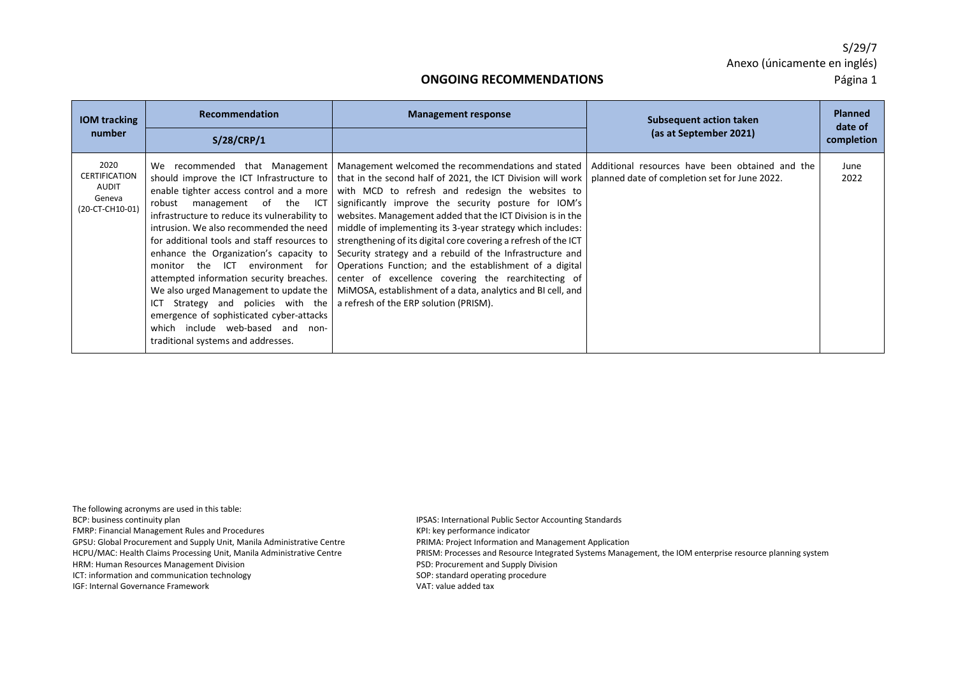#### **ONGOING RECOMMENDATIONS** Página 1

| <b>IOM</b> tracking                                                | Recommendation                                                                                                                                                                                                                                                                                                                                                                                                                                                                                                                                                                                                                                      | <b>Management response</b>                                                                                                                                                                                                                                                                                                                                                                                                                                                                                                                                                                                                                                                                                           | Subsequent action taken                                                                          | <b>Planned</b><br>date of |
|--------------------------------------------------------------------|-----------------------------------------------------------------------------------------------------------------------------------------------------------------------------------------------------------------------------------------------------------------------------------------------------------------------------------------------------------------------------------------------------------------------------------------------------------------------------------------------------------------------------------------------------------------------------------------------------------------------------------------------------|----------------------------------------------------------------------------------------------------------------------------------------------------------------------------------------------------------------------------------------------------------------------------------------------------------------------------------------------------------------------------------------------------------------------------------------------------------------------------------------------------------------------------------------------------------------------------------------------------------------------------------------------------------------------------------------------------------------------|--------------------------------------------------------------------------------------------------|---------------------------|
| number                                                             | S/28/CRP/1                                                                                                                                                                                                                                                                                                                                                                                                                                                                                                                                                                                                                                          |                                                                                                                                                                                                                                                                                                                                                                                                                                                                                                                                                                                                                                                                                                                      | (as at September 2021)                                                                           | completion                |
| 2020<br><b>CERTIFICATION</b><br>AUDIT<br>Geneva<br>(20-CT-CH10-01) | We recommended that Management<br>should improve the ICT Infrastructure to  <br>enable tighter access control and a more<br>robust<br>management of the ICT<br>infrastructure to reduce its vulnerability to<br>intrusion. We also recommended the need I<br>for additional tools and staff resources to<br>enhance the Organization's capacity to<br>the ICT<br>environment for<br>monitor<br>attempted information security breaches.<br>We also urged Management to update the<br>Strategy and policies with the<br>ICT<br>emergence of sophisticated cyber-attacks<br>which include web-based and<br>non-<br>traditional systems and addresses. | Management welcomed the recommendations and stated<br>that in the second half of 2021, the ICT Division will work<br>with MCD to refresh and redesign the websites to<br>significantly improve the security posture for IOM's<br>websites. Management added that the ICT Division is in the<br>middle of implementing its 3-year strategy which includes:<br>strengthening of its digital core covering a refresh of the ICT<br>Security strategy and a rebuild of the Infrastructure and<br>Operations Function; and the establishment of a digital<br>center of excellence covering the rearchitecting of<br>MiMOSA, establishment of a data, analytics and BI cell, and<br>a refresh of the ERP solution (PRISM). | Additional resources have been obtained and the<br>planned date of completion set for June 2022. | June<br>2022              |

The following acronyms are used in this table: BCP: business continuity plan IPSAS: International Public Sector Accounting Standards FMRP: Financial Management Rules and Procedures KPI: key performance indicator GPSU: Global Procurement and Supply Unit, Manila Administrative Centre PRIMA: Project Information and Management Application HRM: Human Resources Management Division PSD: Procurement and Supply Division ICT: information and communication technology example of the standard operating procedure IGF: Internal Governance Framework VAT: value added tax

HCPU/MAC: Health Claims Processing Unit, Manila Administrative Centre PRISM: Processes and Resource Integrated Systems Management, the IOM enterprise resource planning system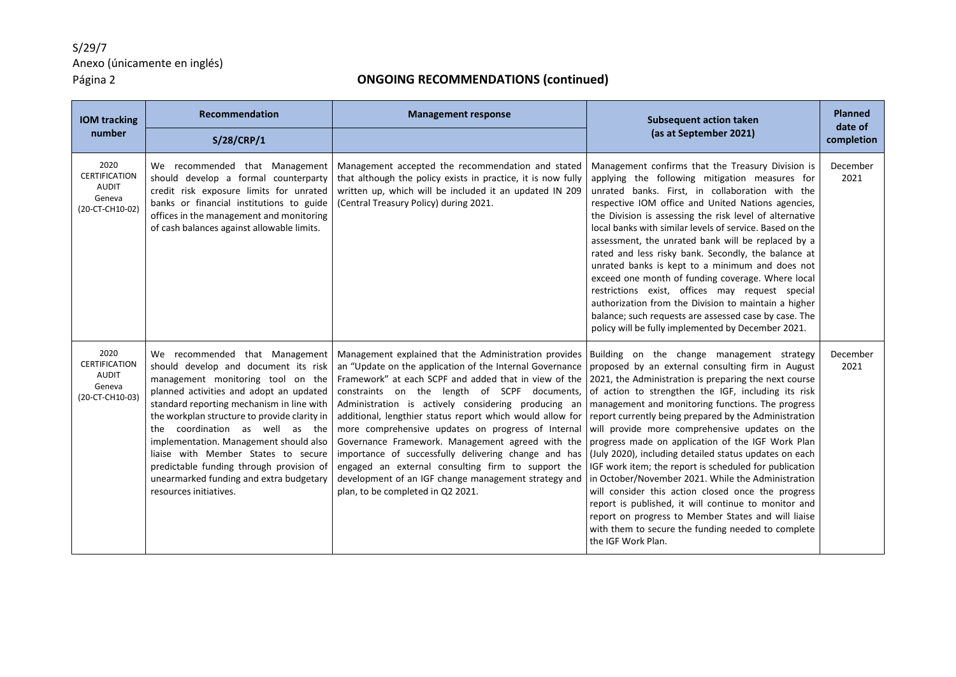| <b>IOM</b> tracking<br>number                                      | <b>Recommendation</b>                                                                                                                                                                                                                                                                                                                                                                                                                                                                    | <b>Management response</b>                                                                                                                                                                                                                                                                                                                                                                                                                                                                                                                                                                                                                                          | <b>Subsequent action taken</b><br>(as at September 2021)                                                                                                                                                                                                                                                                                                                                                                                                                                                                                                                                                                                                                                                                                                                                                                                                        | <b>Planned</b><br>date of |
|--------------------------------------------------------------------|------------------------------------------------------------------------------------------------------------------------------------------------------------------------------------------------------------------------------------------------------------------------------------------------------------------------------------------------------------------------------------------------------------------------------------------------------------------------------------------|---------------------------------------------------------------------------------------------------------------------------------------------------------------------------------------------------------------------------------------------------------------------------------------------------------------------------------------------------------------------------------------------------------------------------------------------------------------------------------------------------------------------------------------------------------------------------------------------------------------------------------------------------------------------|-----------------------------------------------------------------------------------------------------------------------------------------------------------------------------------------------------------------------------------------------------------------------------------------------------------------------------------------------------------------------------------------------------------------------------------------------------------------------------------------------------------------------------------------------------------------------------------------------------------------------------------------------------------------------------------------------------------------------------------------------------------------------------------------------------------------------------------------------------------------|---------------------------|
|                                                                    | S/28/CRP/1                                                                                                                                                                                                                                                                                                                                                                                                                                                                               |                                                                                                                                                                                                                                                                                                                                                                                                                                                                                                                                                                                                                                                                     |                                                                                                                                                                                                                                                                                                                                                                                                                                                                                                                                                                                                                                                                                                                                                                                                                                                                 | completion                |
| 2020<br><b>CERTIFICATION</b><br>AUDIT<br>Geneva<br>(20-CT-CH10-02) | We recommended that Management<br>should develop a formal counterparty<br>credit risk exposure limits for unrated<br>banks or financial institutions to guide<br>offices in the management and monitoring<br>of cash balances against allowable limits.                                                                                                                                                                                                                                  | Management accepted the recommendation and stated<br>that although the policy exists in practice, it is now fully<br>written up, which will be included it an updated IN 209<br>(Central Treasury Policy) during 2021.                                                                                                                                                                                                                                                                                                                                                                                                                                              | Management confirms that the Treasury Division is<br>applying the following mitigation measures for<br>unrated banks. First, in collaboration with the<br>respective IOM office and United Nations agencies,<br>the Division is assessing the risk level of alternative<br>local banks with similar levels of service. Based on the<br>assessment, the unrated bank will be replaced by a<br>rated and less risky bank. Secondly, the balance at<br>unrated banks is kept to a minimum and does not<br>exceed one month of funding coverage. Where local<br>restrictions exist, offices may request special<br>authorization from the Division to maintain a higher<br>balance; such requests are assessed case by case. The<br>policy will be fully implemented by December 2021.                                                                              | December<br>2021          |
| 2020<br><b>CERTIFICATION</b><br>AUDIT<br>Geneva<br>(20-CT-CH10-03) | We recommended that Management<br>should develop and document its risk<br>management monitoring tool on the<br>planned activities and adopt an updated<br>standard reporting mechanism in line with<br>the workplan structure to provide clarity in<br>the coordination as well as the<br>implementation. Management should also<br>liaise with Member States to secure<br>predictable funding through provision of<br>unearmarked funding and extra budgetary<br>resources initiatives. | Management explained that the Administration provides<br>an "Update on the application of the Internal Governance<br>Framework" at each SCPF and added that in view of the<br>constraints on the length of SCPF documents,<br>Administration is actively considering producing an<br>additional, lengthier status report which would allow for<br>more comprehensive updates on progress of Internal<br>Governance Framework. Management agreed with the<br>importance of successfully delivering change and has<br>engaged an external consulting firm to support the<br>development of an IGF change management strategy and<br>plan, to be completed in Q2 2021. | Building on the change management strategy<br>proposed by an external consulting firm in August<br>2021, the Administration is preparing the next course<br>of action to strengthen the IGF, including its risk<br>management and monitoring functions. The progress<br>report currently being prepared by the Administration<br>will provide more comprehensive updates on the<br>progress made on application of the IGF Work Plan<br>(July 2020), including detailed status updates on each<br>IGF work item; the report is scheduled for publication<br>in October/November 2021. While the Administration<br>will consider this action closed once the progress<br>report is published, it will continue to monitor and<br>report on progress to Member States and will liaise<br>with them to secure the funding needed to complete<br>the IGF Work Plan. | December<br>2021          |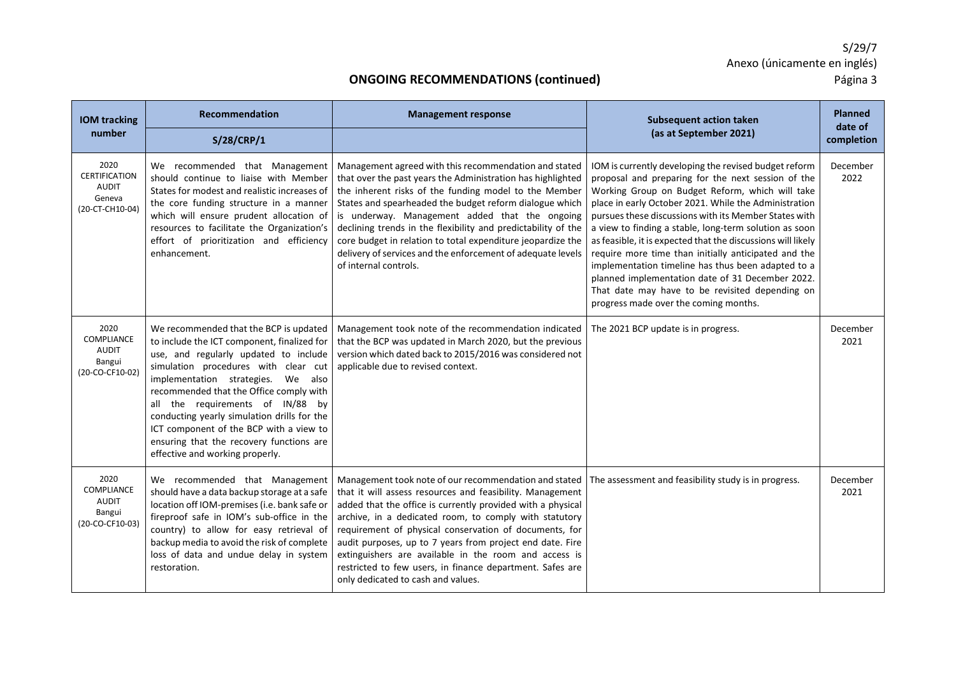| <b>IOM tracking</b>                                                | <b>Recommendation</b>                                                                                                                                                                                                                                                                                                                                                                                                                                                   | <b>Management response</b>                                                                                                                                                                                                                                                                                                                                                                                                                                                                                                                                                            | <b>Subsequent action taken</b>                                                                                                                                                                                                                                                                                                                                                                                                                                                                                                                                                                                                                                           | <b>Planned</b><br>date of |
|--------------------------------------------------------------------|-------------------------------------------------------------------------------------------------------------------------------------------------------------------------------------------------------------------------------------------------------------------------------------------------------------------------------------------------------------------------------------------------------------------------------------------------------------------------|---------------------------------------------------------------------------------------------------------------------------------------------------------------------------------------------------------------------------------------------------------------------------------------------------------------------------------------------------------------------------------------------------------------------------------------------------------------------------------------------------------------------------------------------------------------------------------------|--------------------------------------------------------------------------------------------------------------------------------------------------------------------------------------------------------------------------------------------------------------------------------------------------------------------------------------------------------------------------------------------------------------------------------------------------------------------------------------------------------------------------------------------------------------------------------------------------------------------------------------------------------------------------|---------------------------|
| number                                                             | <b>S/28/CRP/1</b>                                                                                                                                                                                                                                                                                                                                                                                                                                                       |                                                                                                                                                                                                                                                                                                                                                                                                                                                                                                                                                                                       | (as at September 2021)                                                                                                                                                                                                                                                                                                                                                                                                                                                                                                                                                                                                                                                   | completion                |
| 2020<br><b>CERTIFICATION</b><br>AUDIT<br>Geneva<br>(20-CT-CH10-04) | We recommended that Management<br>should continue to liaise with Member<br>States for modest and realistic increases of<br>the core funding structure in a manner<br>which will ensure prudent allocation of<br>resources to facilitate the Organization's<br>effort of prioritization and efficiency<br>enhancement.                                                                                                                                                   | Management agreed with this recommendation and stated<br>that over the past years the Administration has highlighted<br>the inherent risks of the funding model to the Member<br>States and spearheaded the budget reform dialogue which<br>is underway. Management added that the ongoing<br>declining trends in the flexibility and predictability of the<br>core budget in relation to total expenditure jeopardize the<br>delivery of services and the enforcement of adequate levels<br>of internal controls.                                                                    | IOM is currently developing the revised budget reform<br>proposal and preparing for the next session of the<br>Working Group on Budget Reform, which will take<br>place in early October 2021. While the Administration<br>pursues these discussions with its Member States with<br>a view to finding a stable, long-term solution as soon<br>as feasible, it is expected that the discussions will likely<br>require more time than initially anticipated and the<br>implementation timeline has thus been adapted to a<br>planned implementation date of 31 December 2022.<br>That date may have to be revisited depending on<br>progress made over the coming months. | December<br>2022          |
| 2020<br>COMPLIANCE<br><b>AUDIT</b><br>Bangui<br>(20-CO-CF10-02)    | We recommended that the BCP is updated<br>to include the ICT component, finalized for<br>use, and regularly updated to include<br>simulation procedures with clear cut<br>implementation strategies. We also<br>recommended that the Office comply with<br>all the requirements of IN/88<br>bv<br>conducting yearly simulation drills for the<br>ICT component of the BCP with a view to<br>ensuring that the recovery functions are<br>effective and working properly. | Management took note of the recommendation indicated<br>that the BCP was updated in March 2020, but the previous<br>version which dated back to 2015/2016 was considered not<br>applicable due to revised context.                                                                                                                                                                                                                                                                                                                                                                    | The 2021 BCP update is in progress.                                                                                                                                                                                                                                                                                                                                                                                                                                                                                                                                                                                                                                      | December<br>2021          |
| 2020<br>COMPLIANCE<br><b>AUDIT</b><br>Bangui<br>(20-CO-CF10-03)    | We recommended that Management<br>should have a data backup storage at a safe<br>location off IOM-premises (i.e. bank safe or<br>fireproof safe in IOM's sub-office in the<br>country) to allow for easy retrieval of<br>backup media to avoid the risk of complete<br>loss of data and undue delay in system<br>restoration.                                                                                                                                           | Management took note of our recommendation and stated   The assessment and feasibility study is in progress.<br>that it will assess resources and feasibility. Management<br>added that the office is currently provided with a physical<br>archive, in a dedicated room, to comply with statutory<br>requirement of physical conservation of documents, for<br>audit purposes, up to 7 years from project end date. Fire<br>extinguishers are available in the room and access is<br>restricted to few users, in finance department. Safes are<br>only dedicated to cash and values. |                                                                                                                                                                                                                                                                                                                                                                                                                                                                                                                                                                                                                                                                          | December<br>2021          |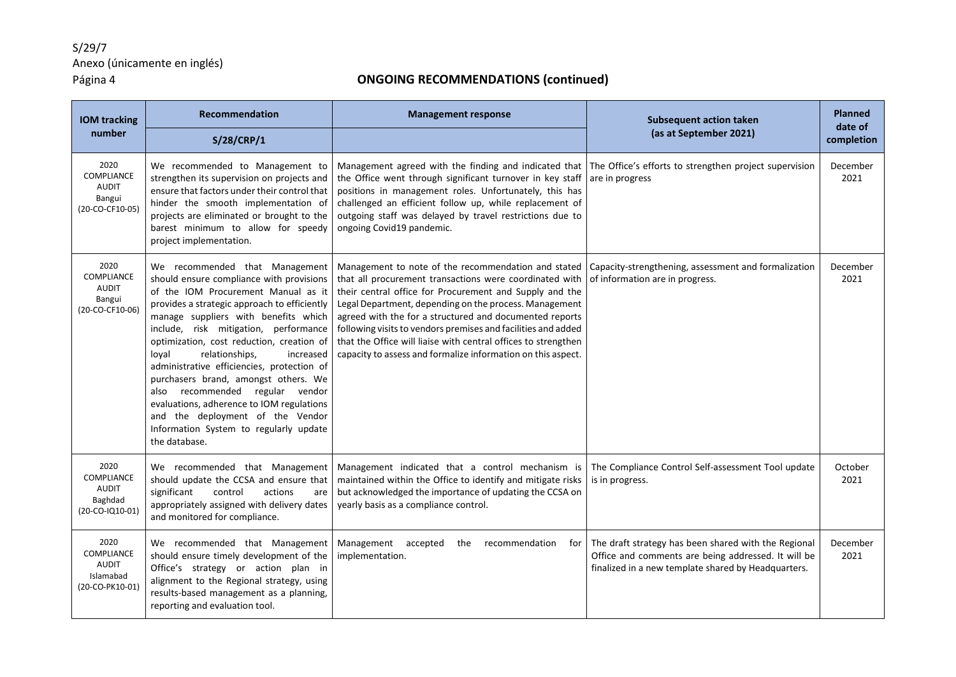| <b>IOM tracking</b>                                                | <b>Recommendation</b>                                                                                                                                                                                                                                                                                                                                                                                                                                                                                                                                                                                        | <b>Management response</b>                                                                                                                                                                                                                                                                                                                                                                                                                                                                        | <b>Subsequent action taken</b>                                                                                                                                     | <b>Planned</b><br>date of |
|--------------------------------------------------------------------|--------------------------------------------------------------------------------------------------------------------------------------------------------------------------------------------------------------------------------------------------------------------------------------------------------------------------------------------------------------------------------------------------------------------------------------------------------------------------------------------------------------------------------------------------------------------------------------------------------------|---------------------------------------------------------------------------------------------------------------------------------------------------------------------------------------------------------------------------------------------------------------------------------------------------------------------------------------------------------------------------------------------------------------------------------------------------------------------------------------------------|--------------------------------------------------------------------------------------------------------------------------------------------------------------------|---------------------------|
| number                                                             | <b>S/28/CRP/1</b>                                                                                                                                                                                                                                                                                                                                                                                                                                                                                                                                                                                            |                                                                                                                                                                                                                                                                                                                                                                                                                                                                                                   | (as at September 2021)                                                                                                                                             | completion                |
| 2020<br>COMPLIANCE<br><b>AUDIT</b><br>Bangui<br>(20-CO-CF10-05)    | We recommended to Management to<br>strengthen its supervision on projects and<br>ensure that factors under their control that<br>hinder the smooth implementation of<br>projects are eliminated or brought to the<br>barest minimum to allow for speedy<br>project implementation.                                                                                                                                                                                                                                                                                                                           | Management agreed with the finding and indicated that The Office's efforts to strengthen project supervision<br>the Office went through significant turnover in key staff<br>positions in management roles. Unfortunately, this has<br>challenged an efficient follow up, while replacement of<br>outgoing staff was delayed by travel restrictions due to<br>ongoing Covid19 pandemic.                                                                                                           | are in progress                                                                                                                                                    | December<br>2021          |
| 2020<br>COMPLIANCE<br><b>AUDIT</b><br>Bangui<br>(20-CO-CF10-06)    | We recommended that Management<br>should ensure compliance with provisions<br>of the IOM Procurement Manual as it<br>provides a strategic approach to efficiently<br>manage suppliers with benefits which<br>include, risk mitigation, performance<br>optimization, cost reduction, creation of<br>loyal<br>relationships,<br>increased<br>administrative efficiencies, protection of<br>purchasers brand, amongst others. We<br>also recommended regular vendor<br>evaluations, adherence to IOM regulations<br>and the deployment of the Vendor<br>Information System to regularly update<br>the database. | Management to note of the recommendation and stated<br>that all procurement transactions were coordinated with<br>their central office for Procurement and Supply and the<br>Legal Department, depending on the process. Management<br>agreed with the for a structured and documented reports<br>following visits to vendors premises and facilities and added<br>that the Office will liaise with central offices to strengthen<br>capacity to assess and formalize information on this aspect. | Capacity-strengthening, assessment and formalization<br>of information are in progress.                                                                            | December<br>2021          |
| 2020<br>COMPLIANCE<br><b>AUDIT</b><br>Baghdad<br>(20-CO-IQ10-01)   | We recommended that Management<br>should update the CCSA and ensure that<br>significant<br>control<br>actions<br>are<br>appropriately assigned with delivery dates<br>and monitored for compliance.                                                                                                                                                                                                                                                                                                                                                                                                          | Management indicated that a control mechanism is<br>maintained within the Office to identify and mitigate risks<br>but acknowledged the importance of updating the CCSA on<br>yearly basis as a compliance control.                                                                                                                                                                                                                                                                               | The Compliance Control Self-assessment Tool update<br>is in progress.                                                                                              | October<br>2021           |
| 2020<br>COMPLIANCE<br><b>AUDIT</b><br>Islamabad<br>(20-CO-PK10-01) | We recommended that Management<br>should ensure timely development of the<br>Office's strategy or action plan in<br>alignment to the Regional strategy, using<br>results-based management as a planning,<br>reporting and evaluation tool.                                                                                                                                                                                                                                                                                                                                                                   | Management accepted<br>the<br>recommendation<br>for<br>implementation.                                                                                                                                                                                                                                                                                                                                                                                                                            | The draft strategy has been shared with the Regional<br>Office and comments are being addressed. It will be<br>finalized in a new template shared by Headquarters. | December<br>2021          |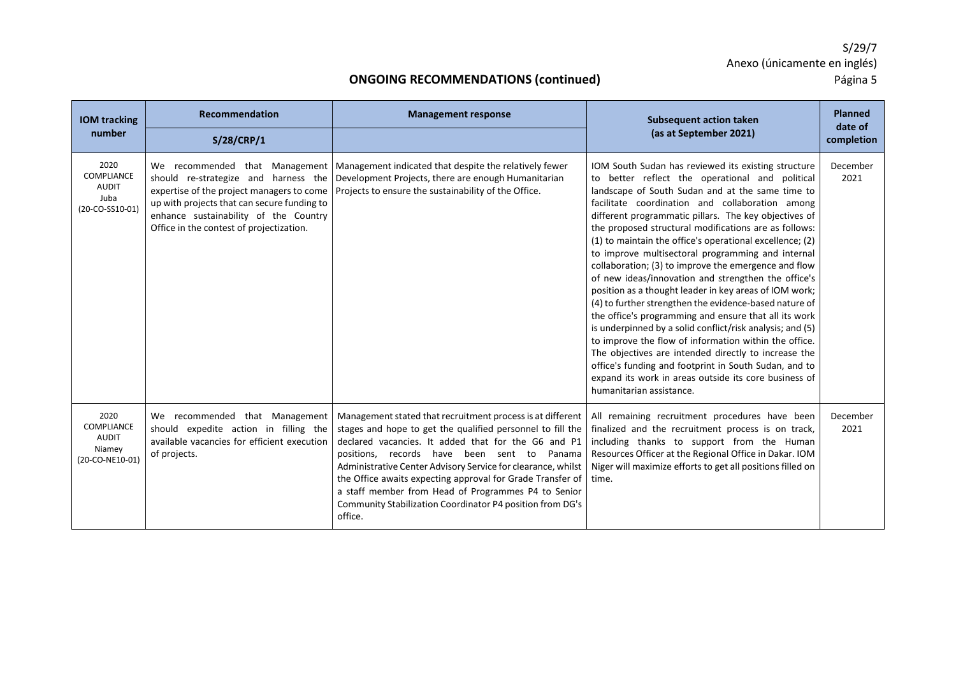| <b>IOM tracking</b>                                             | Recommendation                                                                                                                                                                                                        | <b>Management response</b>                                                                                                                                                                                                                                                                                                                                                                                                                                                                     | <b>Subsequent action taken</b>                                                                                                                                                                                                                                                                                                                                                                                                                                                                                                                                                                                                                                                                                                                                                                                                                                                                                                                                                                                                                                           | <b>Planned</b><br>date of |
|-----------------------------------------------------------------|-----------------------------------------------------------------------------------------------------------------------------------------------------------------------------------------------------------------------|------------------------------------------------------------------------------------------------------------------------------------------------------------------------------------------------------------------------------------------------------------------------------------------------------------------------------------------------------------------------------------------------------------------------------------------------------------------------------------------------|--------------------------------------------------------------------------------------------------------------------------------------------------------------------------------------------------------------------------------------------------------------------------------------------------------------------------------------------------------------------------------------------------------------------------------------------------------------------------------------------------------------------------------------------------------------------------------------------------------------------------------------------------------------------------------------------------------------------------------------------------------------------------------------------------------------------------------------------------------------------------------------------------------------------------------------------------------------------------------------------------------------------------------------------------------------------------|---------------------------|
| number                                                          | S/28/CRP/1                                                                                                                                                                                                            |                                                                                                                                                                                                                                                                                                                                                                                                                                                                                                | (as at September 2021)                                                                                                                                                                                                                                                                                                                                                                                                                                                                                                                                                                                                                                                                                                                                                                                                                                                                                                                                                                                                                                                   | completion                |
| 2020<br>COMPLIANCE<br><b>AUDIT</b><br>Juba<br>(20-CO-SS10-01)   | should re-strategize and harness the<br>expertise of the project managers to come<br>up with projects that can secure funding to<br>enhance sustainability of the Country<br>Office in the contest of projectization. | We recommended that Management   Management indicated that despite the relatively fewer<br>Development Projects, there are enough Humanitarian<br>Projects to ensure the sustainability of the Office.                                                                                                                                                                                                                                                                                         | IOM South Sudan has reviewed its existing structure<br>to better reflect the operational and political<br>landscape of South Sudan and at the same time to<br>facilitate coordination and collaboration among<br>different programmatic pillars. The key objectives of<br>the proposed structural modifications are as follows:<br>(1) to maintain the office's operational excellence; (2)<br>to improve multisectoral programming and internal<br>collaboration; (3) to improve the emergence and flow<br>of new ideas/innovation and strengthen the office's<br>position as a thought leader in key areas of IOM work;<br>(4) to further strengthen the evidence-based nature of<br>the office's programming and ensure that all its work<br>is underpinned by a solid conflict/risk analysis; and (5)<br>to improve the flow of information within the office.<br>The objectives are intended directly to increase the<br>office's funding and footprint in South Sudan, and to<br>expand its work in areas outside its core business of<br>humanitarian assistance. | December<br>2021          |
| 2020<br>COMPLIANCE<br><b>AUDIT</b><br>Niamey<br>(20-CO-NE10-01) | We recommended that Management<br>should expedite action in filling the<br>available vacancies for efficient execution<br>of projects.                                                                                | Management stated that recruitment process is at different<br>stages and hope to get the qualified personnel to fill the<br>declared vacancies. It added that for the G6 and P1<br>positions,<br>records have been sent to Panama<br>Administrative Center Advisory Service for clearance, whilst<br>the Office awaits expecting approval for Grade Transfer of<br>a staff member from Head of Programmes P4 to Senior<br>Community Stabilization Coordinator P4 position from DG's<br>office. | All remaining recruitment procedures have been<br>finalized and the recruitment process is on track,<br>including thanks to support from the Human<br>Resources Officer at the Regional Office in Dakar. IOM<br>Niger will maximize efforts to get all positions filled on<br>time.                                                                                                                                                                                                                                                                                                                                                                                                                                                                                                                                                                                                                                                                                                                                                                                      | December<br>2021          |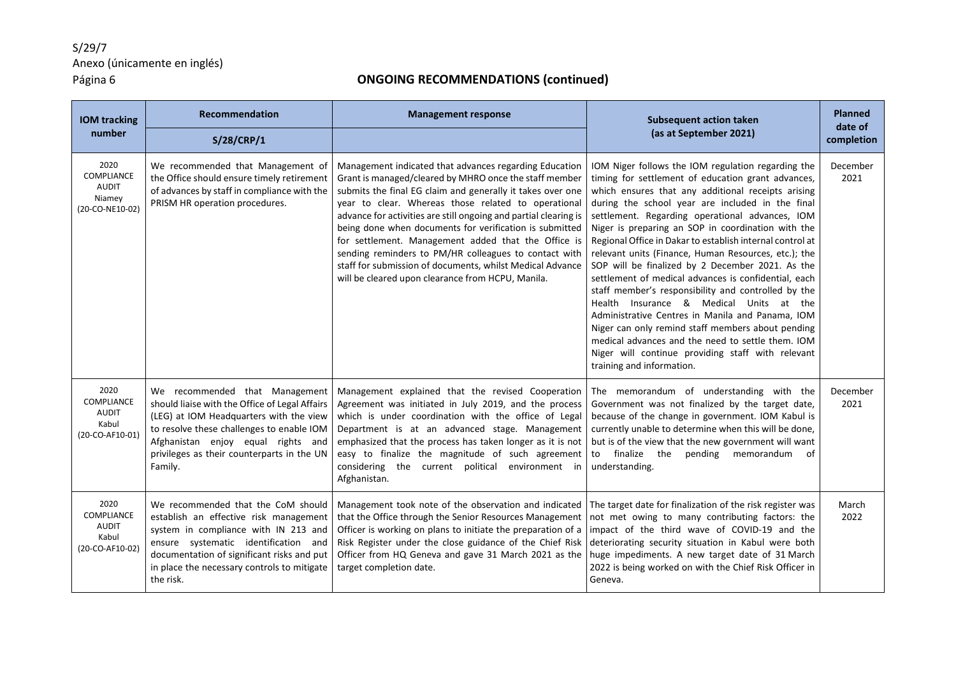| <b>IOM tracking</b><br>number                                          | Recommendation<br>S/28/CRP/1                                                                                                                                                                                                                                            | <b>Management response</b>                                                                                                                                                                                                                                                                                                                                                                                                                                                                                                                                                                             | <b>Subsequent action taken</b><br>(as at September 2021)                                                                                                                                                                                                                                                                                                                                                                                                                                                                                                                                                                                                                                                                                                                                                                                                                                                       | <b>Planned</b><br>date of<br>completion |
|------------------------------------------------------------------------|-------------------------------------------------------------------------------------------------------------------------------------------------------------------------------------------------------------------------------------------------------------------------|--------------------------------------------------------------------------------------------------------------------------------------------------------------------------------------------------------------------------------------------------------------------------------------------------------------------------------------------------------------------------------------------------------------------------------------------------------------------------------------------------------------------------------------------------------------------------------------------------------|----------------------------------------------------------------------------------------------------------------------------------------------------------------------------------------------------------------------------------------------------------------------------------------------------------------------------------------------------------------------------------------------------------------------------------------------------------------------------------------------------------------------------------------------------------------------------------------------------------------------------------------------------------------------------------------------------------------------------------------------------------------------------------------------------------------------------------------------------------------------------------------------------------------|-----------------------------------------|
| 2020<br><b>COMPLIANCE</b><br><b>AUDIT</b><br>Niamey<br>(20-CO-NE10-02) | We recommended that Management of<br>the Office should ensure timely retirement<br>of advances by staff in compliance with the<br>PRISM HR operation procedures.                                                                                                        | Management indicated that advances regarding Education<br>Grant is managed/cleared by MHRO once the staff member<br>submits the final EG claim and generally it takes over one<br>year to clear. Whereas those related to operational<br>advance for activities are still ongoing and partial clearing is<br>being done when documents for verification is submitted<br>for settlement. Management added that the Office is<br>sending reminders to PM/HR colleagues to contact with<br>staff for submission of documents, whilst Medical Advance<br>will be cleared upon clearance from HCPU, Manila. | IOM Niger follows the IOM regulation regarding the<br>timing for settlement of education grant advances,<br>which ensures that any additional receipts arising<br>during the school year are included in the final<br>settlement. Regarding operational advances, IOM<br>Niger is preparing an SOP in coordination with the<br>Regional Office in Dakar to establish internal control at<br>relevant units (Finance, Human Resources, etc.); the<br>SOP will be finalized by 2 December 2021. As the<br>settlement of medical advances is confidential, each<br>staff member's responsibility and controlled by the<br>Health Insurance & Medical Units at the<br>Administrative Centres in Manila and Panama, IOM<br>Niger can only remind staff members about pending<br>medical advances and the need to settle them. IOM<br>Niger will continue providing staff with relevant<br>training and information. | December<br>2021                        |
| 2020<br><b>COMPLIANCE</b><br><b>AUDIT</b><br>Kabul<br>(20-CO-AF10-01)  | We recommended that Management<br>should liaise with the Office of Legal Affairs<br>(LEG) at IOM Headquarters with the view<br>to resolve these challenges to enable IOM<br>Afghanistan enjoy equal rights and<br>privileges as their counterparts in the UN<br>Family. | Management explained that the revised Cooperation<br>Agreement was initiated in July 2019, and the process<br>which is under coordination with the office of Legal<br>Department is at an advanced stage. Management<br>emphasized that the process has taken longer as it is not<br>easy to finalize the magnitude of such agreement<br>considering the current political environment in<br>Afghanistan.                                                                                                                                                                                              | The memorandum of understanding with the<br>Government was not finalized by the target date,<br>because of the change in government. IOM Kabul is<br>currently unable to determine when this will be done,<br>but is of the view that the new government will want<br>to<br>finalize the<br>pending memorandum<br>.of<br>understanding.                                                                                                                                                                                                                                                                                                                                                                                                                                                                                                                                                                        | December<br>2021                        |
| 2020<br>COMPLIANCE<br><b>AUDIT</b><br>Kabul<br>(20-CO-AF10-02)         | We recommended that the CoM should<br>establish an effective risk management<br>system in compliance with IN 213 and<br>ensure systematic identification and<br>documentation of significant risks and put<br>in place the necessary controls to mitigate<br>the risk.  | Management took note of the observation and indicated<br>that the Office through the Senior Resources Management<br>Officer is working on plans to initiate the preparation of a<br>Risk Register under the close guidance of the Chief Risk<br>Officer from HQ Geneva and gave 31 March 2021 as the<br>target completion date.                                                                                                                                                                                                                                                                        | The target date for finalization of the risk register was<br>not met owing to many contributing factors: the<br>impact of the third wave of COVID-19 and the<br>deteriorating security situation in Kabul were both<br>huge impediments. A new target date of 31 March<br>2022 is being worked on with the Chief Risk Officer in<br>Geneva.                                                                                                                                                                                                                                                                                                                                                                                                                                                                                                                                                                    | March<br>2022                           |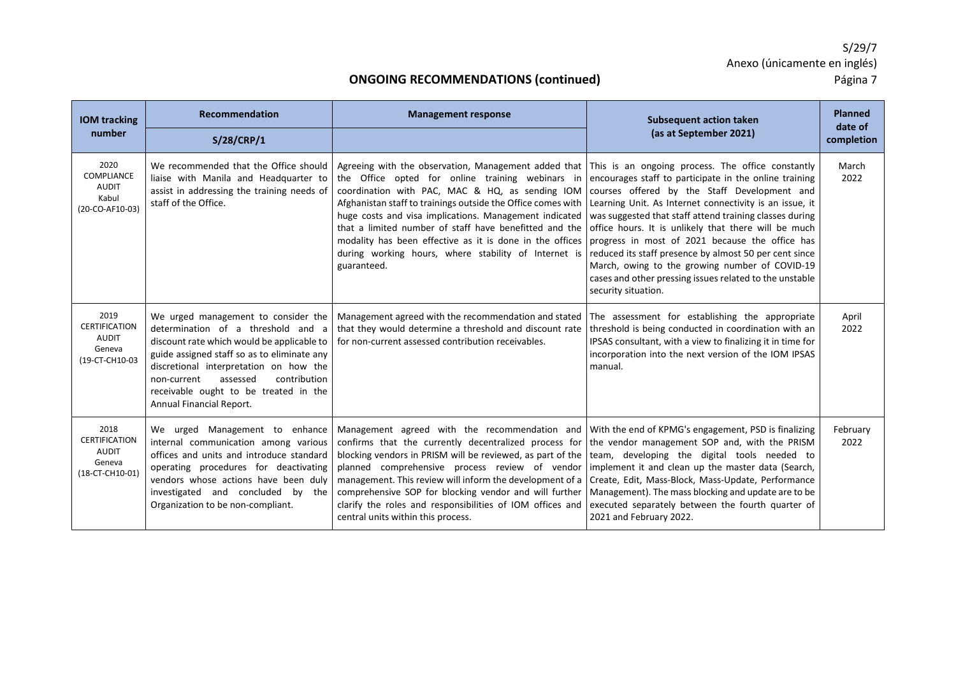| <b>IOM tracking</b><br>number                                             | Recommendation<br>S/28/CRP/1                                                                                                                                                                                                                                                                                                     | <b>Management response</b>                                                                                                                                                                                                                                                                                                                                                                                                                                                                                                                                                           | <b>Subsequent action taken</b><br>(as at September 2021)                                                                                                                                                                                                                                                                                                                                                                                                                           | <b>Planned</b><br>date of<br>completion |
|---------------------------------------------------------------------------|----------------------------------------------------------------------------------------------------------------------------------------------------------------------------------------------------------------------------------------------------------------------------------------------------------------------------------|--------------------------------------------------------------------------------------------------------------------------------------------------------------------------------------------------------------------------------------------------------------------------------------------------------------------------------------------------------------------------------------------------------------------------------------------------------------------------------------------------------------------------------------------------------------------------------------|------------------------------------------------------------------------------------------------------------------------------------------------------------------------------------------------------------------------------------------------------------------------------------------------------------------------------------------------------------------------------------------------------------------------------------------------------------------------------------|-----------------------------------------|
| 2020<br>COMPLIANCE<br><b>AUDIT</b><br>Kabul<br>(20-CO-AF10-03)            | We recommended that the Office should<br>liaise with Manila and Headquarter to<br>assist in addressing the training needs of<br>staff of the Office.                                                                                                                                                                             | Agreeing with the observation, Management added that This is an ongoing process. The office constantly<br>the Office opted for online training webinars in<br>coordination with PAC, MAC & HQ, as sending IOM<br>Afghanistan staff to trainings outside the Office comes with<br>huge costs and visa implications. Management indicated<br>that a limited number of staff have benefitted and the<br>modality has been effective as it is done in the offices progress in most of 2021 because the office has<br>during working hours, where stability of Internet is<br>guaranteed. | encourages staff to participate in the online training<br>courses offered by the Staff Development and<br>Learning Unit. As Internet connectivity is an issue, it<br>was suggested that staff attend training classes during<br>office hours. It is unlikely that there will be much<br>reduced its staff presence by almost 50 per cent since<br>March, owing to the growing number of COVID-19<br>cases and other pressing issues related to the unstable<br>security situation. | March<br>2022                           |
| 2019<br><b>CERTIFICATION</b><br>AUDIT<br>Geneva<br>(19-CT-CH10-03         | We urged management to consider the<br>determination of a threshold and a<br>discount rate which would be applicable to<br>guide assigned staff so as to eliminate any<br>discretional interpretation on how the<br>contribution<br>assessed<br>non-current<br>receivable ought to be treated in the<br>Annual Financial Report. | Management agreed with the recommendation and stated The assessment for establishing the appropriate<br>that they would determine a threshold and discount rate<br>for non-current assessed contribution receivables.                                                                                                                                                                                                                                                                                                                                                                | threshold is being conducted in coordination with an<br>IPSAS consultant, with a view to finalizing it in time for<br>incorporation into the next version of the IOM IPSAS<br>manual.                                                                                                                                                                                                                                                                                              | April<br>2022                           |
| 2018<br><b>CERTIFICATION</b><br><b>AUDIT</b><br>Geneva<br>(18-CT-CH10-01) | We urged Management to enhance<br>internal communication among various<br>offices and units and introduce standard<br>operating procedures for deactivating<br>vendors whose actions have been duly<br>investigated and concluded by the<br>Organization to be non-compliant.                                                    | Management agreed with the recommendation and With the end of KPMG's engagement, PSD is finalizing<br>confirms that the currently decentralized process for<br>blocking vendors in PRISM will be reviewed, as part of the team, developing the digital tools needed to<br>planned comprehensive process review of vendor<br>management. This review will inform the development of a<br>comprehensive SOP for blocking vendor and will further<br>clarify the roles and responsibilities of IOM offices and<br>central units within this process.                                    | the vendor management SOP and, with the PRISM<br>implement it and clean up the master data (Search,<br>Create, Edit, Mass-Block, Mass-Update, Performance<br>Management). The mass blocking and update are to be<br>executed separately between the fourth quarter of<br>2021 and February 2022.                                                                                                                                                                                   | February<br>2022                        |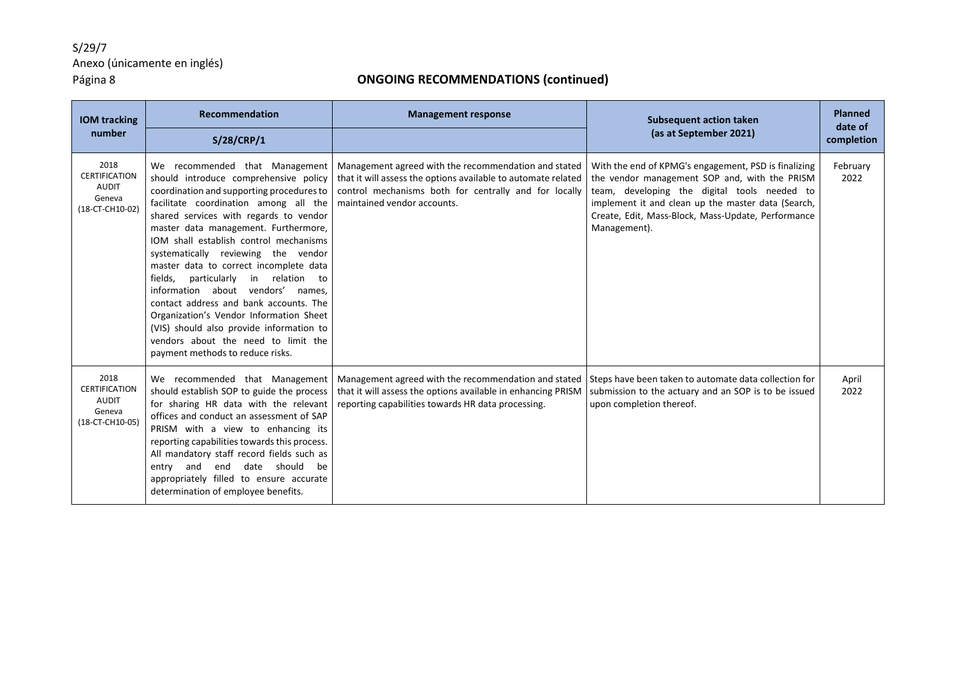| <b>IOM tracking</b>                                                       | <b>Recommendation</b>                                                                                                                                                                                                                                                                                                                                                                                                                                                                                                                                                                                                                                                 | <b>Management response</b>                                                                                                                                                                                    | <b>Subsequent action taken</b>                                                                                                                                                                                                                                                    | <b>Planned</b><br>date of |
|---------------------------------------------------------------------------|-----------------------------------------------------------------------------------------------------------------------------------------------------------------------------------------------------------------------------------------------------------------------------------------------------------------------------------------------------------------------------------------------------------------------------------------------------------------------------------------------------------------------------------------------------------------------------------------------------------------------------------------------------------------------|---------------------------------------------------------------------------------------------------------------------------------------------------------------------------------------------------------------|-----------------------------------------------------------------------------------------------------------------------------------------------------------------------------------------------------------------------------------------------------------------------------------|---------------------------|
| number                                                                    | <b>S/28/CRP/1</b>                                                                                                                                                                                                                                                                                                                                                                                                                                                                                                                                                                                                                                                     |                                                                                                                                                                                                               | (as at September 2021)                                                                                                                                                                                                                                                            | completion                |
| 2018<br><b>CERTIFICATION</b><br><b>AUDIT</b><br>Geneva<br>(18-CT-CH10-02) | We recommended that Management<br>should introduce comprehensive policy<br>coordination and supporting procedures to<br>facilitate coordination among all the<br>shared services with regards to vendor<br>master data management. Furthermore,<br>IOM shall establish control mechanisms<br>systematically reviewing the vendor<br>master data to correct incomplete data<br>fields.<br>particularly in relation to<br>information about vendors' names.<br>contact address and bank accounts. The<br>Organization's Vendor Information Sheet<br>(VIS) should also provide information to<br>vendors about the need to limit the<br>payment methods to reduce risks. | Management agreed with the recommendation and stated<br>that it will assess the options available to automate related<br>control mechanisms both for centrally and for locally<br>maintained vendor accounts. | With the end of KPMG's engagement, PSD is finalizing<br>the vendor management SOP and, with the PRISM<br>team, developing the digital tools needed to<br>implement it and clean up the master data (Search,<br>Create, Edit, Mass-Block, Mass-Update, Performance<br>Management). | February<br>2022          |
| 2018<br><b>CERTIFICATION</b><br><b>AUDIT</b><br>Geneva<br>(18-CT-CH10-05) | We recommended that Management<br>should establish SOP to guide the process<br>for sharing HR data with the relevant<br>offices and conduct an assessment of SAP<br>PRISM with a view to enhancing its<br>reporting capabilities towards this process.<br>All mandatory staff record fields such as<br>entry and end date should<br>be<br>appropriately filled to ensure accurate<br>determination of employee benefits.                                                                                                                                                                                                                                              | Management agreed with the recommendation and stated<br>that it will assess the options available in enhancing PRISM<br>reporting capabilities towards HR data processing.                                    | Steps have been taken to automate data collection for<br>submission to the actuary and an SOP is to be issued<br>upon completion thereof.                                                                                                                                         | April<br>2022             |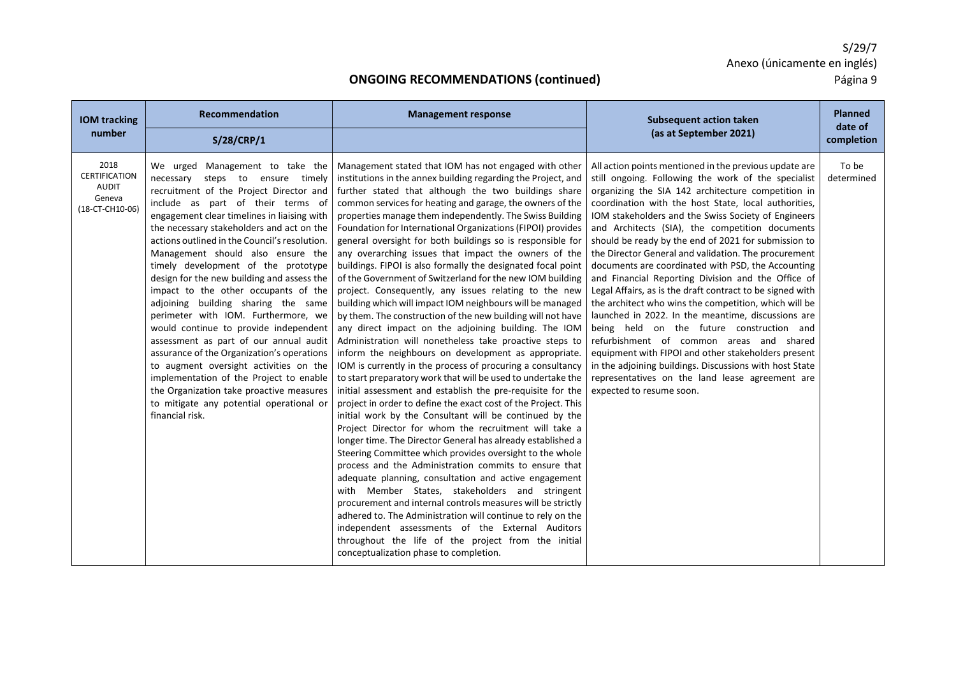| <b>IOM tracking</b>                                                       | Recommendation                                                                                                                                                                                                                                                                                                                                                                                                                                                                                                                                                                                                                                                                                                                                                                                                                                                                    | <b>Management response</b>                                                                                                                                                                                                                                                                                                                                                                                                                                                                                                                                                                                                                                                                                                                                                                                                                                                                                                                                                                                                                                                                                                                                                                                                                                                                                                                                                                                                                                                                                                                                                                                                                                                                                                                                                                                                                                                                                                                                    | <b>Subsequent action taken</b>                                                                                                                                                                                                                                                                                                                                                                                                                                                                                                                                                                                                                                                                                                                                                                                                                                                                                                                                                                                                          | <b>Planned</b><br>date of |
|---------------------------------------------------------------------------|-----------------------------------------------------------------------------------------------------------------------------------------------------------------------------------------------------------------------------------------------------------------------------------------------------------------------------------------------------------------------------------------------------------------------------------------------------------------------------------------------------------------------------------------------------------------------------------------------------------------------------------------------------------------------------------------------------------------------------------------------------------------------------------------------------------------------------------------------------------------------------------|---------------------------------------------------------------------------------------------------------------------------------------------------------------------------------------------------------------------------------------------------------------------------------------------------------------------------------------------------------------------------------------------------------------------------------------------------------------------------------------------------------------------------------------------------------------------------------------------------------------------------------------------------------------------------------------------------------------------------------------------------------------------------------------------------------------------------------------------------------------------------------------------------------------------------------------------------------------------------------------------------------------------------------------------------------------------------------------------------------------------------------------------------------------------------------------------------------------------------------------------------------------------------------------------------------------------------------------------------------------------------------------------------------------------------------------------------------------------------------------------------------------------------------------------------------------------------------------------------------------------------------------------------------------------------------------------------------------------------------------------------------------------------------------------------------------------------------------------------------------------------------------------------------------------------------------------------------------|-----------------------------------------------------------------------------------------------------------------------------------------------------------------------------------------------------------------------------------------------------------------------------------------------------------------------------------------------------------------------------------------------------------------------------------------------------------------------------------------------------------------------------------------------------------------------------------------------------------------------------------------------------------------------------------------------------------------------------------------------------------------------------------------------------------------------------------------------------------------------------------------------------------------------------------------------------------------------------------------------------------------------------------------|---------------------------|
| number                                                                    | S/28/CRP/1                                                                                                                                                                                                                                                                                                                                                                                                                                                                                                                                                                                                                                                                                                                                                                                                                                                                        |                                                                                                                                                                                                                                                                                                                                                                                                                                                                                                                                                                                                                                                                                                                                                                                                                                                                                                                                                                                                                                                                                                                                                                                                                                                                                                                                                                                                                                                                                                                                                                                                                                                                                                                                                                                                                                                                                                                                                               | (as at September 2021)                                                                                                                                                                                                                                                                                                                                                                                                                                                                                                                                                                                                                                                                                                                                                                                                                                                                                                                                                                                                                  | completion                |
| 2018<br><b>CERTIFICATION</b><br><b>AUDIT</b><br>Geneva<br>(18-CT-CH10-06) | We urged Management to take the<br>necessary steps to ensure timely<br>recruitment of the Project Director and<br>include as part of their terms of<br>engagement clear timelines in liaising with<br>the necessary stakeholders and act on the<br>actions outlined in the Council's resolution.<br>Management should also ensure the<br>timely development of the prototype<br>design for the new building and assess the<br>impact to the other occupants of the<br>adjoining building sharing the same<br>perimeter with IOM. Furthermore, we<br>would continue to provide independent<br>assessment as part of our annual audit<br>assurance of the Organization's operations<br>to augment oversight activities on the<br>implementation of the Project to enable<br>the Organization take proactive measures<br>to mitigate any potential operational or<br>financial risk. | Management stated that IOM has not engaged with other<br>institutions in the annex building regarding the Project, and<br>further stated that although the two buildings share<br>common services for heating and garage, the owners of the<br>properties manage them independently. The Swiss Building<br>Foundation for International Organizations (FIPOI) provides<br>general oversight for both buildings so is responsible for<br>any overarching issues that impact the owners of the<br>buildings. FIPOI is also formally the designated focal point<br>of the Government of Switzerland for the new IOM building<br>project. Consequently, any issues relating to the new<br>building which will impact IOM neighbours will be managed<br>by them. The construction of the new building will not have<br>any direct impact on the adjoining building. The IOM<br>Administration will nonetheless take proactive steps to<br>inform the neighbours on development as appropriate.<br>IOM is currently in the process of procuring a consultancy<br>to start preparatory work that will be used to undertake the<br>initial assessment and establish the pre-requisite for the<br>project in order to define the exact cost of the Project. This<br>initial work by the Consultant will be continued by the<br>Project Director for whom the recruitment will take a<br>longer time. The Director General has already established a<br>Steering Committee which provides oversight to the whole<br>process and the Administration commits to ensure that<br>adequate planning, consultation and active engagement<br>with Member States, stakeholders and stringent<br>procurement and internal controls measures will be strictly<br>adhered to. The Administration will continue to rely on the<br>independent assessments of the External Auditors<br>throughout the life of the project from the initial<br>conceptualization phase to completion. | All action points mentioned in the previous update are<br>still ongoing. Following the work of the specialist<br>organizing the SIA 142 architecture competition in<br>coordination with the host State, local authorities,<br>IOM stakeholders and the Swiss Society of Engineers<br>and Architects (SIA), the competition documents<br>should be ready by the end of 2021 for submission to<br>the Director General and validation. The procurement<br>documents are coordinated with PSD, the Accounting<br>and Financial Reporting Division and the Office of<br>Legal Affairs, as is the draft contract to be signed with<br>the architect who wins the competition, which will be<br>launched in 2022. In the meantime, discussions are<br>being held on the future construction and<br>refurbishment of common areas and shared<br>equipment with FIPOI and other stakeholders present<br>in the adjoining buildings. Discussions with host State<br>representatives on the land lease agreement are<br>expected to resume soon. | To be<br>determined       |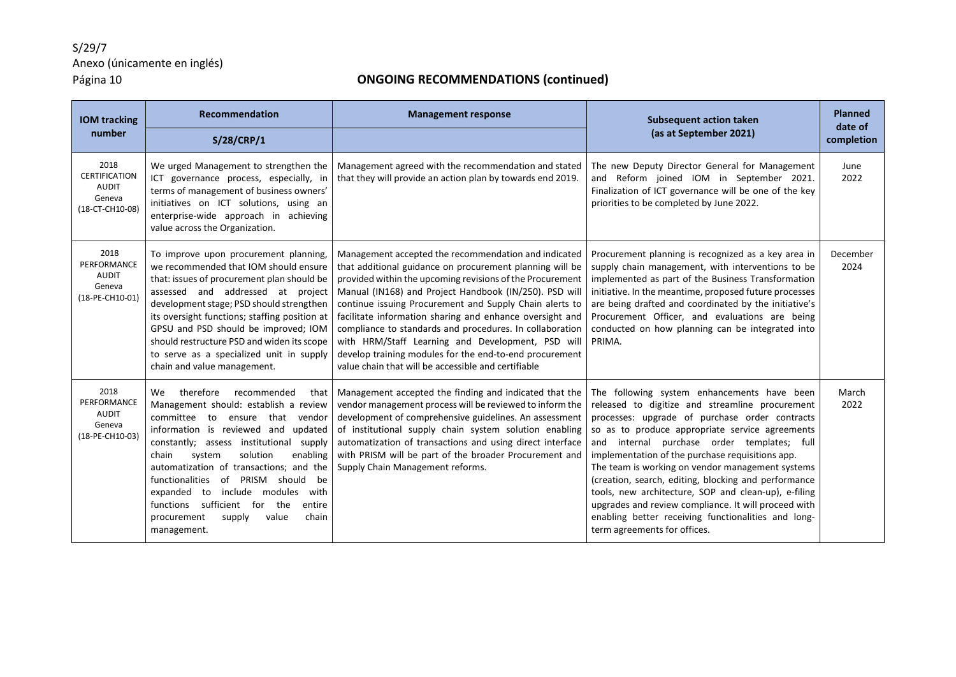| <b>IOM tracking</b><br>number                                      | Recommendation<br>S/28/CRP/1                                                                                                                                                                                                                                                                                                                                                                                                                                                                           | <b>Management response</b>                                                                                                                                                                                                                                                                                                                                                                                                                                                                                                                                                                        | <b>Subsequent action taken</b><br>(as at September 2021)                                                                                                                                                                                                                                                                                                                                                                                                                                                                                                                                                                  | <b>Planned</b><br>date of<br>completion |
|--------------------------------------------------------------------|--------------------------------------------------------------------------------------------------------------------------------------------------------------------------------------------------------------------------------------------------------------------------------------------------------------------------------------------------------------------------------------------------------------------------------------------------------------------------------------------------------|---------------------------------------------------------------------------------------------------------------------------------------------------------------------------------------------------------------------------------------------------------------------------------------------------------------------------------------------------------------------------------------------------------------------------------------------------------------------------------------------------------------------------------------------------------------------------------------------------|---------------------------------------------------------------------------------------------------------------------------------------------------------------------------------------------------------------------------------------------------------------------------------------------------------------------------------------------------------------------------------------------------------------------------------------------------------------------------------------------------------------------------------------------------------------------------------------------------------------------------|-----------------------------------------|
| 2018<br><b>CERTIFICATION</b><br>AUDIT<br>Geneva<br>(18-CT-CH10-08) | We urged Management to strengthen the<br>ICT governance process, especially, in<br>terms of management of business owners'<br>initiatives on ICT solutions, using an<br>enterprise-wide approach in achieving<br>value across the Organization.                                                                                                                                                                                                                                                        | Management agreed with the recommendation and stated<br>that they will provide an action plan by towards end 2019.                                                                                                                                                                                                                                                                                                                                                                                                                                                                                | The new Deputy Director General for Management<br>and Reform joined IOM in September 2021.<br>Finalization of ICT governance will be one of the key<br>priorities to be completed by June 2022.                                                                                                                                                                                                                                                                                                                                                                                                                           | June<br>2022                            |
| 2018<br>PERFORMANCE<br><b>AUDIT</b><br>Geneva<br>(18-PE-CH10-01)   | To improve upon procurement planning,<br>we recommended that IOM should ensure<br>that: issues of procurement plan should be<br>assessed and addressed at project<br>development stage; PSD should strengthen<br>its oversight functions; staffing position at<br>GPSU and PSD should be improved; IOM<br>should restructure PSD and widen its scope<br>to serve as a specialized unit in supply<br>chain and value management.                                                                        | Management accepted the recommendation and indicated<br>that additional guidance on procurement planning will be<br>provided within the upcoming revisions of the Procurement<br>Manual (IN168) and Project Handbook (IN/250). PSD will<br>continue issuing Procurement and Supply Chain alerts to<br>facilitate information sharing and enhance oversight and<br>compliance to standards and procedures. In collaboration<br>with HRM/Staff Learning and Development, PSD will<br>develop training modules for the end-to-end procurement<br>value chain that will be accessible and certifiable | Procurement planning is recognized as a key area in<br>supply chain management, with interventions to be<br>implemented as part of the Business Transformation<br>initiative. In the meantime, proposed future processes<br>are being drafted and coordinated by the initiative's<br>Procurement Officer, and evaluations are being<br>conducted on how planning can be integrated into<br>PRIMA.                                                                                                                                                                                                                         | December<br>2024                        |
| 2018<br>PERFORMANCE<br>AUDIT<br>Geneva<br>(18-PE-CH10-03)          | therefore<br>We<br>recommended<br>that<br>Management should: establish a review<br>committee to<br>ensure that<br>vendor<br>information is reviewed and<br>updated<br>constantly; assess institutional supply<br>solution<br>enabling<br>chain<br>system<br>automatization of transactions; and the<br>functionalities<br>of PRISM should be<br>include modules<br>with<br>expanded<br>to<br>sufficient<br>functions<br>the<br>for<br>entire<br>chain<br>procurement<br>supply<br>value<br>management. | Management accepted the finding and indicated that the<br>vendor management process will be reviewed to inform the<br>development of comprehensive guidelines. An assessment<br>of institutional supply chain system solution enabling<br>automatization of transactions and using direct interface<br>with PRISM will be part of the broader Procurement and<br>Supply Chain Management reforms.                                                                                                                                                                                                 | The following system enhancements have been<br>released to digitize and streamline procurement<br>processes: upgrade of purchase order contracts<br>so as to produce appropriate service agreements<br>and internal purchase order templates; full<br>implementation of the purchase requisitions app.<br>The team is working on vendor management systems<br>(creation, search, editing, blocking and performance<br>tools, new architecture, SOP and clean-up), e-filing<br>upgrades and review compliance. It will proceed with<br>enabling better receiving functionalities and long-<br>term agreements for offices. | March<br>2022                           |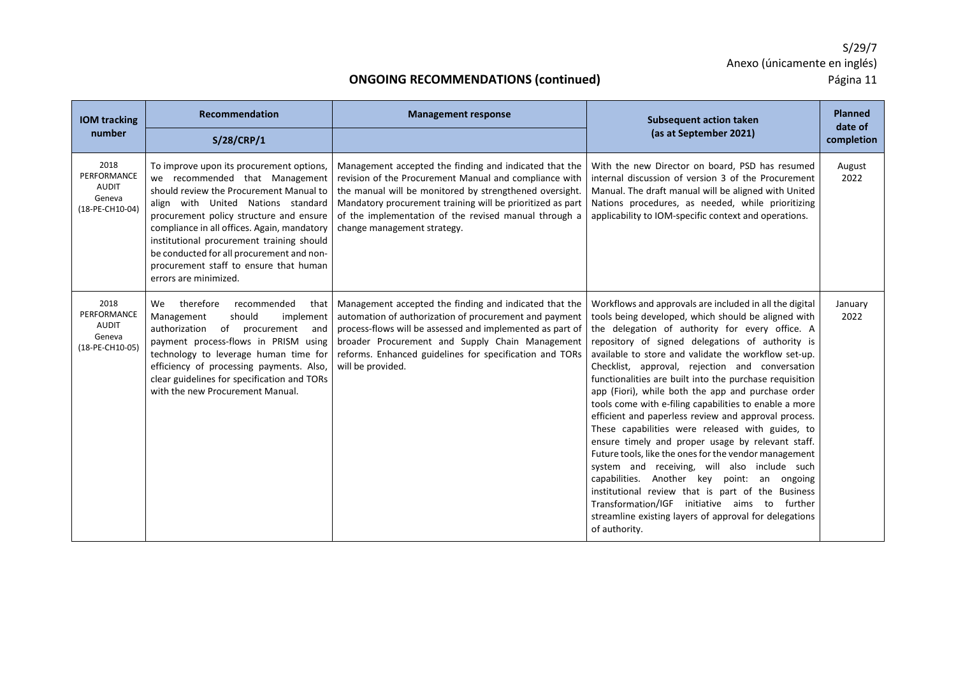| <b>IOM tracking</b><br>number                                    | Recommendation                                                                                                                                                                                                                                                                                                                                                                                                                   | <b>Management response</b>                                                                                                                                                                                                                                                                                                        | <b>Subsequent action taken</b><br>(as at September 2021)                                                                                                                                                                                                                                                                                                                                                                                                                                                                                                                                                                                                                                                                                                                                                                                                                                                                                                                                                                 | <b>Planned</b><br>date of    |
|------------------------------------------------------------------|----------------------------------------------------------------------------------------------------------------------------------------------------------------------------------------------------------------------------------------------------------------------------------------------------------------------------------------------------------------------------------------------------------------------------------|-----------------------------------------------------------------------------------------------------------------------------------------------------------------------------------------------------------------------------------------------------------------------------------------------------------------------------------|--------------------------------------------------------------------------------------------------------------------------------------------------------------------------------------------------------------------------------------------------------------------------------------------------------------------------------------------------------------------------------------------------------------------------------------------------------------------------------------------------------------------------------------------------------------------------------------------------------------------------------------------------------------------------------------------------------------------------------------------------------------------------------------------------------------------------------------------------------------------------------------------------------------------------------------------------------------------------------------------------------------------------|------------------------------|
| 2018<br>PERFORMANCE<br><b>AUDIT</b><br>Geneva<br>(18-PE-CH10-04) | S/28/CRP/1<br>To improve upon its procurement options,<br>we recommended that Management<br>should review the Procurement Manual to<br>align with United Nations standard<br>procurement policy structure and ensure<br>compliance in all offices. Again, mandatory<br>institutional procurement training should<br>be conducted for all procurement and non-<br>procurement staff to ensure that human<br>errors are minimized. | Management accepted the finding and indicated that the<br>revision of the Procurement Manual and compliance with<br>the manual will be monitored by strengthened oversight.<br>Mandatory procurement training will be prioritized as part<br>of the implementation of the revised manual through a<br>change management strategy. | With the new Director on board, PSD has resumed<br>internal discussion of version 3 of the Procurement<br>Manual. The draft manual will be aligned with United<br>Nations procedures, as needed, while prioritizing<br>applicability to IOM-specific context and operations.                                                                                                                                                                                                                                                                                                                                                                                                                                                                                                                                                                                                                                                                                                                                             | completion<br>August<br>2022 |
| 2018<br>PERFORMANCE<br>AUDIT<br>Geneva<br>(18-PE-CH10-05)        | therefore<br>recommended<br>We<br>that<br>Management<br>should<br>implement<br>of procurement and<br>authorization<br>payment process-flows in PRISM using<br>technology to leverage human time for<br>efficiency of processing payments. Also,<br>clear guidelines for specification and TORs<br>with the new Procurement Manual.                                                                                               | Management accepted the finding and indicated that the<br>automation of authorization of procurement and payment<br>process-flows will be assessed and implemented as part of<br>broader Procurement and Supply Chain Management<br>reforms. Enhanced guidelines for specification and TORs<br>will be provided.                  | Workflows and approvals are included in all the digital<br>tools being developed, which should be aligned with<br>the delegation of authority for every office. A<br>repository of signed delegations of authority is<br>available to store and validate the workflow set-up.<br>Checklist, approval, rejection and conversation<br>functionalities are built into the purchase requisition<br>app (Fiori), while both the app and purchase order<br>tools come with e-filing capabilities to enable a more<br>efficient and paperless review and approval process.<br>These capabilities were released with guides, to<br>ensure timely and proper usage by relevant staff.<br>Future tools, like the ones for the vendor management<br>system and receiving, will also include such<br>capabilities. Another key point:<br>an ongoing<br>institutional review that is part of the Business<br>Transformation/IGF initiative aims to further<br>streamline existing layers of approval for delegations<br>of authority. | January<br>2022              |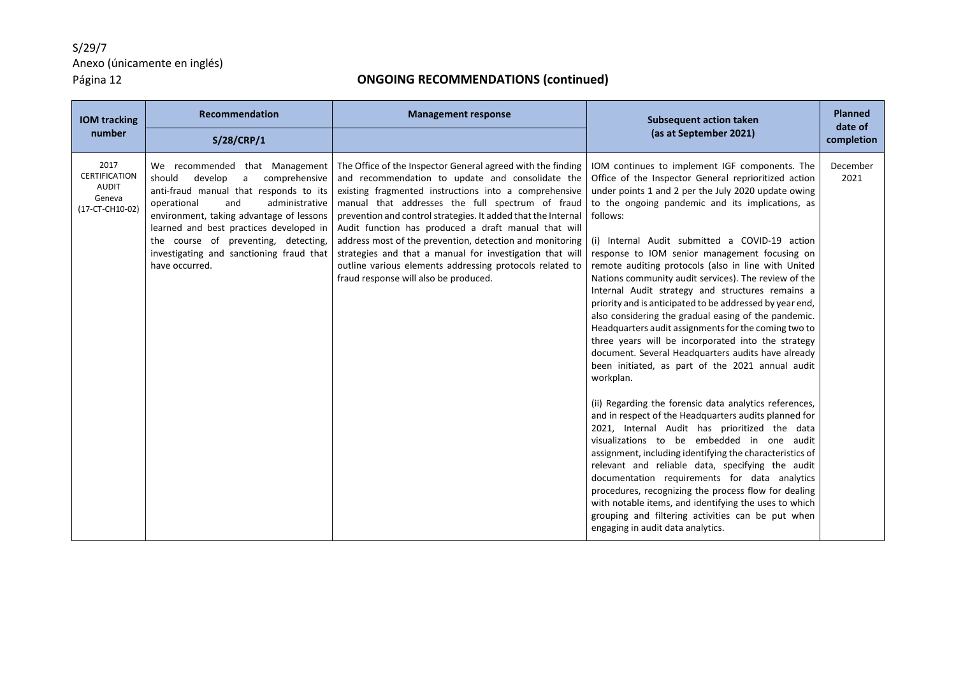| <b>IOM tracking</b>                                                       | Recommendation                                                                                                                                                                                                                                                                                                                                                      | <b>Management response</b>                                                                                                                                                                                                                                                                                                                                                                                                                                                                                                                                                         | <b>Subsequent action taken</b>                                                                                                                                                                                                                                                                                                                                                                                                                                                                                                                                                                                                                                                                                                                                                                                                                                                                                                                                                                                                                                                                                                                                                                                                                                                                                                                                                                                                                             | <b>Planned</b><br>date of |
|---------------------------------------------------------------------------|---------------------------------------------------------------------------------------------------------------------------------------------------------------------------------------------------------------------------------------------------------------------------------------------------------------------------------------------------------------------|------------------------------------------------------------------------------------------------------------------------------------------------------------------------------------------------------------------------------------------------------------------------------------------------------------------------------------------------------------------------------------------------------------------------------------------------------------------------------------------------------------------------------------------------------------------------------------|------------------------------------------------------------------------------------------------------------------------------------------------------------------------------------------------------------------------------------------------------------------------------------------------------------------------------------------------------------------------------------------------------------------------------------------------------------------------------------------------------------------------------------------------------------------------------------------------------------------------------------------------------------------------------------------------------------------------------------------------------------------------------------------------------------------------------------------------------------------------------------------------------------------------------------------------------------------------------------------------------------------------------------------------------------------------------------------------------------------------------------------------------------------------------------------------------------------------------------------------------------------------------------------------------------------------------------------------------------------------------------------------------------------------------------------------------------|---------------------------|
| number                                                                    | S/28/CRP/1                                                                                                                                                                                                                                                                                                                                                          |                                                                                                                                                                                                                                                                                                                                                                                                                                                                                                                                                                                    | (as at September 2021)                                                                                                                                                                                                                                                                                                                                                                                                                                                                                                                                                                                                                                                                                                                                                                                                                                                                                                                                                                                                                                                                                                                                                                                                                                                                                                                                                                                                                                     | completion                |
| 2017<br><b>CERTIFICATION</b><br><b>AUDIT</b><br>Geneva<br>(17-CT-CH10-02) | We recommended that Management<br>comprehensive<br>should<br>develop<br>$\mathsf{a}$<br>anti-fraud manual that responds to its<br>operational<br>and<br>administrative<br>environment, taking advantage of lessons<br>learned and best practices developed in<br>the course of preventing, detecting,<br>investigating and sanctioning fraud that<br>have occurred. | The Office of the Inspector General agreed with the finding<br>and recommendation to update and consolidate the<br>existing fragmented instructions into a comprehensive<br>manual that addresses the full spectrum of fraud<br>prevention and control strategies. It added that the Internal<br>Audit function has produced a draft manual that will<br>address most of the prevention, detection and monitoring<br>strategies and that a manual for investigation that will<br>outline various elements addressing protocols related to<br>fraud response will also be produced. | IOM continues to implement IGF components. The<br>Office of the Inspector General reprioritized action<br>under points 1 and 2 per the July 2020 update owing<br>to the ongoing pandemic and its implications, as<br>follows:<br>(i) Internal Audit submitted a COVID-19 action<br>response to IOM senior management focusing on<br>remote auditing protocols (also in line with United<br>Nations community audit services). The review of the<br>Internal Audit strategy and structures remains a<br>priority and is anticipated to be addressed by year end,<br>also considering the gradual easing of the pandemic.<br>Headquarters audit assignments for the coming two to<br>three years will be incorporated into the strategy<br>document. Several Headquarters audits have already<br>been initiated, as part of the 2021 annual audit<br>workplan.<br>(ii) Regarding the forensic data analytics references,<br>and in respect of the Headquarters audits planned for<br>2021, Internal Audit has prioritized the data<br>visualizations to be embedded in one audit<br>assignment, including identifying the characteristics of<br>relevant and reliable data, specifying the audit<br>documentation requirements for data analytics<br>procedures, recognizing the process flow for dealing<br>with notable items, and identifying the uses to which<br>grouping and filtering activities can be put when<br>engaging in audit data analytics. | December<br>2021          |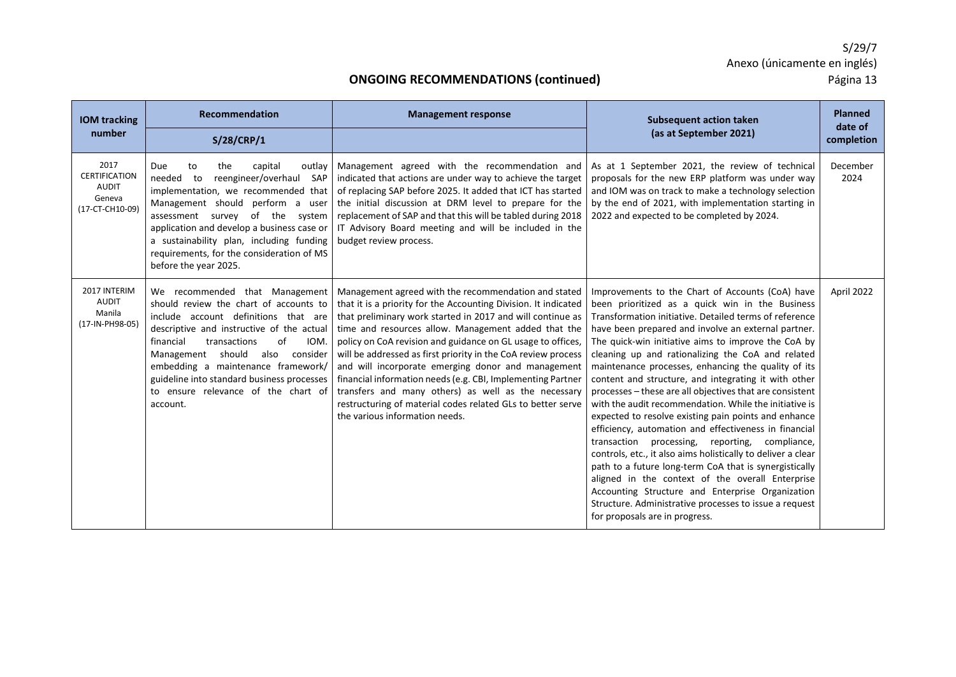| <b>IOM tracking</b>                                                       | Recommendation                                                                                                                                                                                                                                                                                                                                                                              | <b>Management response</b>                                                                                                                                                                                                                                                                                                                                                                                                                                                                                                                                                                                                                                | <b>Subsequent action taken</b>                                                                                                                                                                                                                                                                                                                                                                                                                                                                                                                                                                                                                                                                                                                                                                                                                                                                                                                                                                                                                                         | Planned<br>date of |
|---------------------------------------------------------------------------|---------------------------------------------------------------------------------------------------------------------------------------------------------------------------------------------------------------------------------------------------------------------------------------------------------------------------------------------------------------------------------------------|-----------------------------------------------------------------------------------------------------------------------------------------------------------------------------------------------------------------------------------------------------------------------------------------------------------------------------------------------------------------------------------------------------------------------------------------------------------------------------------------------------------------------------------------------------------------------------------------------------------------------------------------------------------|------------------------------------------------------------------------------------------------------------------------------------------------------------------------------------------------------------------------------------------------------------------------------------------------------------------------------------------------------------------------------------------------------------------------------------------------------------------------------------------------------------------------------------------------------------------------------------------------------------------------------------------------------------------------------------------------------------------------------------------------------------------------------------------------------------------------------------------------------------------------------------------------------------------------------------------------------------------------------------------------------------------------------------------------------------------------|--------------------|
| number                                                                    | <b>S/28/CRP/1</b>                                                                                                                                                                                                                                                                                                                                                                           |                                                                                                                                                                                                                                                                                                                                                                                                                                                                                                                                                                                                                                                           | (as at September 2021)                                                                                                                                                                                                                                                                                                                                                                                                                                                                                                                                                                                                                                                                                                                                                                                                                                                                                                                                                                                                                                                 | completion         |
| 2017<br><b>CERTIFICATION</b><br><b>AUDIT</b><br>Geneva<br>(17-CT-CH10-09) | capital<br>Due<br>outlay<br>to<br>the<br>needed to<br>reengineer/overhaul SAP<br>implementation, we recommended that<br>Management should perform a user<br>assessment survey of the<br>system<br>application and develop a business case or<br>a sustainability plan, including funding<br>requirements, for the consideration of MS<br>before the year 2025.                              | Management agreed with the recommendation and<br>indicated that actions are under way to achieve the target<br>of replacing SAP before 2025. It added that ICT has started<br>the initial discussion at DRM level to prepare for the<br>replacement of SAP and that this will be tabled during 2018<br>IT Advisory Board meeting and will be included in the<br>budget review process.                                                                                                                                                                                                                                                                    | As at 1 September 2021, the review of technical<br>proposals for the new ERP platform was under way<br>and IOM was on track to make a technology selection<br>by the end of 2021, with implementation starting in<br>2022 and expected to be completed by 2024.                                                                                                                                                                                                                                                                                                                                                                                                                                                                                                                                                                                                                                                                                                                                                                                                        | December<br>2024   |
| 2017 INTERIM<br><b>AUDIT</b><br>Manila<br>(17-IN-PH98-05)                 | We recommended that Management<br>should review the chart of accounts to<br>include account definitions that are<br>descriptive and instructive of the actual<br>of<br>IOM.<br>transactions<br>financial<br>should<br>also<br>consider<br>Management<br>embedding a maintenance framework/<br>guideline into standard business processes<br>to ensure relevance of the chart of<br>account. | Management agreed with the recommendation and stated<br>that it is a priority for the Accounting Division. It indicated<br>that preliminary work started in 2017 and will continue as<br>time and resources allow. Management added that the<br>policy on CoA revision and guidance on GL usage to offices,<br>will be addressed as first priority in the CoA review process<br>and will incorporate emerging donor and management<br>financial information needs (e.g. CBI, Implementing Partner<br>transfers and many others) as well as the necessary<br>restructuring of material codes related GLs to better serve<br>the various information needs. | Improvements to the Chart of Accounts (CoA) have<br>been prioritized as a quick win in the Business<br>Transformation initiative. Detailed terms of reference<br>have been prepared and involve an external partner.<br>The quick-win initiative aims to improve the CoA by<br>cleaning up and rationalizing the CoA and related<br>maintenance processes, enhancing the quality of its<br>content and structure, and integrating it with other<br>processes - these are all objectives that are consistent<br>with the audit recommendation. While the initiative is<br>expected to resolve existing pain points and enhance<br>efficiency, automation and effectiveness in financial<br>transaction processing, reporting, compliance,<br>controls, etc., it also aims holistically to deliver a clear<br>path to a future long-term CoA that is synergistically<br>aligned in the context of the overall Enterprise<br>Accounting Structure and Enterprise Organization<br>Structure. Administrative processes to issue a request<br>for proposals are in progress. | April 2022         |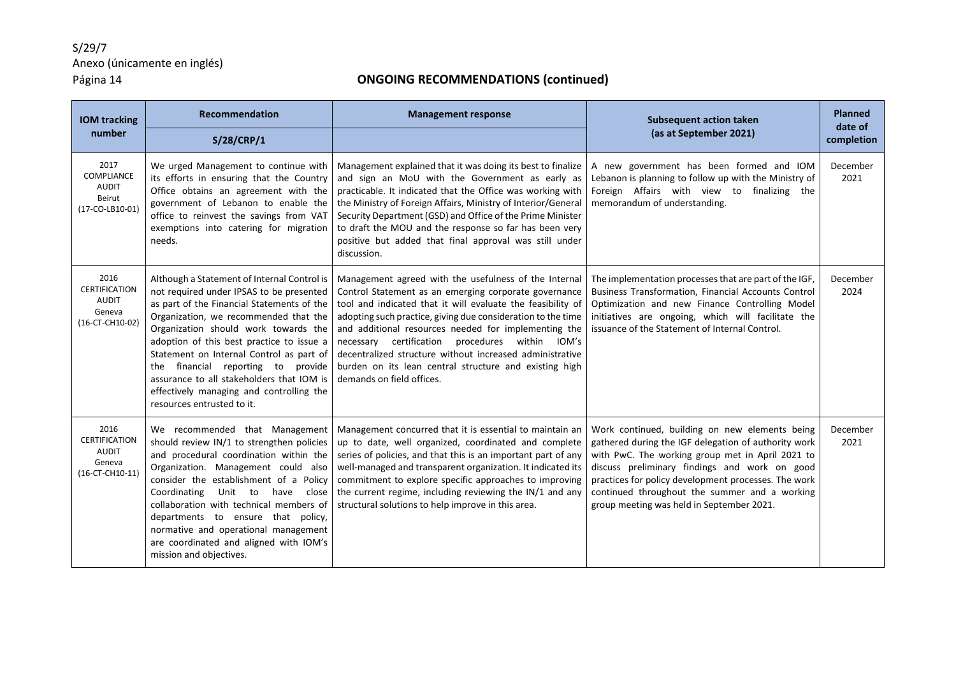| <b>IOM</b> tracking                                                       | Recommendation                                                                                                                                                                                                                                                                                                                                                                                                                                                               | <b>Management response</b>                                                                                                                                                                                                                                                                                                                                                                                                                                                                                  | <b>Subsequent action taken</b>                                                                                                                                                                                                                                                                                                                                    | <b>Planned</b><br>date of |
|---------------------------------------------------------------------------|------------------------------------------------------------------------------------------------------------------------------------------------------------------------------------------------------------------------------------------------------------------------------------------------------------------------------------------------------------------------------------------------------------------------------------------------------------------------------|-------------------------------------------------------------------------------------------------------------------------------------------------------------------------------------------------------------------------------------------------------------------------------------------------------------------------------------------------------------------------------------------------------------------------------------------------------------------------------------------------------------|-------------------------------------------------------------------------------------------------------------------------------------------------------------------------------------------------------------------------------------------------------------------------------------------------------------------------------------------------------------------|---------------------------|
| number                                                                    | S/28/CRP/1                                                                                                                                                                                                                                                                                                                                                                                                                                                                   |                                                                                                                                                                                                                                                                                                                                                                                                                                                                                                             | (as at September 2021)                                                                                                                                                                                                                                                                                                                                            | completion                |
| 2017<br>COMPLIANCE<br><b>AUDIT</b><br>Beirut<br>(17-CO-LB10-01)           | We urged Management to continue with<br>its efforts in ensuring that the Country<br>Office obtains an agreement with the<br>government of Lebanon to enable the<br>office to reinvest the savings from VAT<br>exemptions into catering for migration<br>needs.                                                                                                                                                                                                               | Management explained that it was doing its best to finalize<br>and sign an MoU with the Government as early as<br>practicable. It indicated that the Office was working with<br>the Ministry of Foreign Affairs, Ministry of Interior/General<br>Security Department (GSD) and Office of the Prime Minister<br>to draft the MOU and the response so far has been very<br>positive but added that final approval was still under<br>discussion.                                                              | A new government has been formed and IOM<br>Lebanon is planning to follow up with the Ministry of<br>Foreign Affairs with view to finalizing the<br>memorandum of understanding.                                                                                                                                                                                  | December<br>2021          |
| 2016<br><b>CERTIFICATION</b><br>AUDIT<br>Geneva<br>(16-CT-CH10-02)        | Although a Statement of Internal Control is<br>not required under IPSAS to be presented<br>as part of the Financial Statements of the<br>Organization, we recommended that the<br>Organization should work towards the<br>adoption of this best practice to issue a<br>Statement on Internal Control as part of<br>the financial reporting to provide<br>assurance to all stakeholders that IOM is<br>effectively managing and controlling the<br>resources entrusted to it. | Management agreed with the usefulness of the Internal<br>Control Statement as an emerging corporate governance<br>tool and indicated that it will evaluate the feasibility of<br>adopting such practice, giving due consideration to the time<br>and additional resources needed for implementing the<br>necessary certification procedures within IOM's<br>decentralized structure without increased administrative<br>burden on its lean central structure and existing high<br>demands on field offices. | The implementation processes that are part of the IGF,<br>Business Transformation, Financial Accounts Control<br>Optimization and new Finance Controlling Model<br>initiatives are ongoing, which will facilitate the<br>issuance of the Statement of Internal Control.                                                                                           | December<br>2024          |
| 2016<br><b>CERTIFICATION</b><br><b>AUDIT</b><br>Geneva<br>(16-CT-CH10-11) | We recommended that Management<br>should review IN/1 to strengthen policies<br>and procedural coordination within the<br>Organization. Management could also<br>consider the establishment of a Policy<br>Coordinating Unit to<br>close<br>have<br>collaboration with technical members of<br>departments to ensure that policy,<br>normative and operational management<br>are coordinated and aligned with IOM's<br>mission and objectives.                                | Management concurred that it is essential to maintain an<br>up to date, well organized, coordinated and complete<br>series of policies, and that this is an important part of any<br>well-managed and transparent organization. It indicated its<br>commitment to explore specific approaches to improving<br>the current regime, including reviewing the IN/1 and any<br>structural solutions to help improve in this area.                                                                                | Work continued, building on new elements being<br>gathered during the IGF delegation of authority work<br>with PwC. The working group met in April 2021 to<br>discuss preliminary findings and work on good<br>practices for policy development processes. The work<br>continued throughout the summer and a working<br>group meeting was held in September 2021. | December<br>2021          |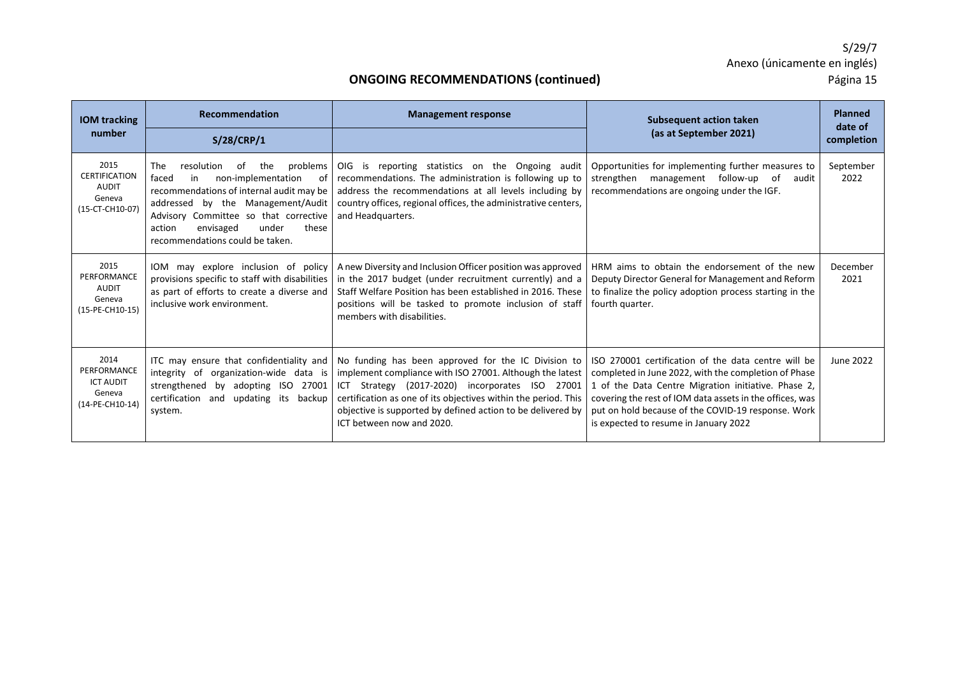| <b>IOM tracking</b>                                                       | <b>Recommendation</b>                                                                                                                                                                                                                                                                                | <b>Management response</b>                                                                                                                                                                                                                                                                                                       | <b>Subsequent action taken</b>                                                                                                                                                                                                                                                                                                | <b>Planned</b><br>date of |
|---------------------------------------------------------------------------|------------------------------------------------------------------------------------------------------------------------------------------------------------------------------------------------------------------------------------------------------------------------------------------------------|----------------------------------------------------------------------------------------------------------------------------------------------------------------------------------------------------------------------------------------------------------------------------------------------------------------------------------|-------------------------------------------------------------------------------------------------------------------------------------------------------------------------------------------------------------------------------------------------------------------------------------------------------------------------------|---------------------------|
| number                                                                    | S/28/CRP/1                                                                                                                                                                                                                                                                                           |                                                                                                                                                                                                                                                                                                                                  | (as at September 2021)                                                                                                                                                                                                                                                                                                        | completion                |
| 2015<br><b>CERTIFICATION</b><br><b>AUDIT</b><br>Geneva<br>(15-CT-CH10-07) | <b>The</b><br>problems<br>resolution<br>the<br>. of<br>non-implementation<br>faced<br>of<br>in<br>recommendations of internal audit may be<br>addressed by the Management/Audit<br>Advisory Committee so that corrective<br>action<br>envisaged<br>under<br>these<br>recommendations could be taken. | OIG is reporting statistics on the Ongoing audit<br>recommendations. The administration is following up to<br>address the recommendations at all levels including by<br>country offices, regional offices, the administrative centers,<br>and Headquarters.                                                                      | Opportunities for implementing further measures to<br>management follow-up of<br>strengthen<br>audit<br>recommendations are ongoing under the IGF.                                                                                                                                                                            | September<br>2022         |
| 2015<br>PERFORMANCE<br><b>AUDIT</b><br>Geneva<br>(15-PE-CH10-15)          | IOM may explore inclusion of policy<br>provisions specific to staff with disabilities<br>as part of efforts to create a diverse and<br>inclusive work environment.                                                                                                                                   | A new Diversity and Inclusion Officer position was approved<br>in the 2017 budget (under recruitment currently) and a<br>Staff Welfare Position has been established in 2016. These<br>positions will be tasked to promote inclusion of staff<br>members with disabilities.                                                      | HRM aims to obtain the endorsement of the new<br>Deputy Director General for Management and Reform<br>to finalize the policy adoption process starting in the<br>fourth quarter.                                                                                                                                              | December<br>2021          |
| 2014<br>PERFORMANCE<br><b>ICT AUDIT</b><br>Geneva<br>(14-PE-CH10-14)      | ITC may ensure that confidentiality and<br>integrity of<br>organization-wide data is<br>strengthened by adopting ISO<br>27001<br>certification<br>and<br>updating its<br>backup  <br>system.                                                                                                         | No funding has been approved for the IC Division to<br>implement compliance with ISO 27001. Although the latest<br>ICT Strategy (2017-2020) incorporates ISO 27001<br>certification as one of its objectives within the period. This<br>objective is supported by defined action to be delivered by<br>ICT between now and 2020. | ISO 270001 certification of the data centre will be<br>completed in June 2022, with the completion of Phase<br>1 of the Data Centre Migration initiative. Phase 2,<br>covering the rest of IOM data assets in the offices, was<br>put on hold because of the COVID-19 response. Work<br>is expected to resume in January 2022 | June 2022                 |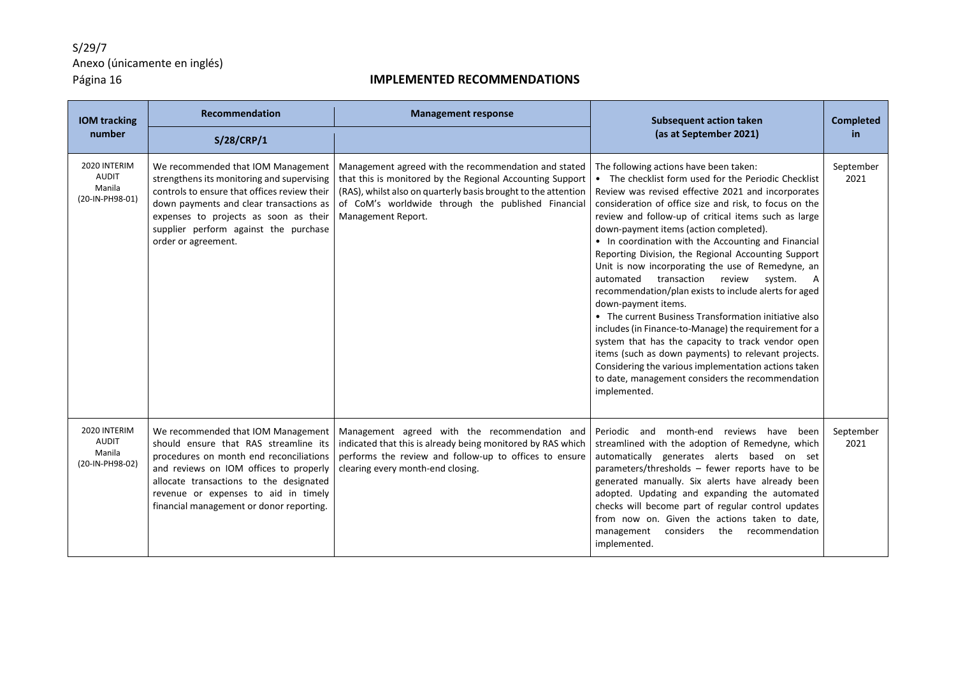### **IMPLEMENTED RECOMMENDATIONS**

| <b>IOM tracking</b>                                       | Recommendation                                                                                                                                                                                                                                                                                  | <b>Management response</b>                                                                                                                                                                                                                                      | <b>Subsequent action taken</b>                                                                                                                                                                                                                                                                                                                                                                                                                                                                                                                                                                                                                                                                                                                                                                                                                                                                                                                                                      | <b>Completed</b>  |
|-----------------------------------------------------------|-------------------------------------------------------------------------------------------------------------------------------------------------------------------------------------------------------------------------------------------------------------------------------------------------|-----------------------------------------------------------------------------------------------------------------------------------------------------------------------------------------------------------------------------------------------------------------|-------------------------------------------------------------------------------------------------------------------------------------------------------------------------------------------------------------------------------------------------------------------------------------------------------------------------------------------------------------------------------------------------------------------------------------------------------------------------------------------------------------------------------------------------------------------------------------------------------------------------------------------------------------------------------------------------------------------------------------------------------------------------------------------------------------------------------------------------------------------------------------------------------------------------------------------------------------------------------------|-------------------|
| number                                                    | S/28/CRP/1                                                                                                                                                                                                                                                                                      |                                                                                                                                                                                                                                                                 | (as at September 2021)                                                                                                                                                                                                                                                                                                                                                                                                                                                                                                                                                                                                                                                                                                                                                                                                                                                                                                                                                              | in.               |
| 2020 INTERIM<br><b>AUDIT</b><br>Manila<br>(20-IN-PH98-01) | We recommended that IOM Management<br>strengthens its monitoring and supervising<br>controls to ensure that offices review their<br>down payments and clear transactions as<br>expenses to projects as soon as their<br>supplier perform against the purchase<br>order or agreement.            | Management agreed with the recommendation and stated<br>that this is monitored by the Regional Accounting Support<br>(RAS), whilst also on quarterly basis brought to the attention<br>of CoM's worldwide through the published Financial<br>Management Report. | The following actions have been taken:<br>• The checklist form used for the Periodic Checklist<br>Review was revised effective 2021 and incorporates<br>consideration of office size and risk, to focus on the<br>review and follow-up of critical items such as large<br>down-payment items (action completed).<br>• In coordination with the Accounting and Financial<br>Reporting Division, the Regional Accounting Support<br>Unit is now incorporating the use of Remedyne, an<br>automated<br>transaction<br>review<br>system.<br>A<br>recommendation/plan exists to include alerts for aged<br>down-payment items.<br>• The current Business Transformation initiative also<br>includes (in Finance-to-Manage) the requirement for a<br>system that has the capacity to track vendor open<br>items (such as down payments) to relevant projects.<br>Considering the various implementation actions taken<br>to date, management considers the recommendation<br>implemented. | September<br>2021 |
| 2020 INTERIM<br><b>AUDIT</b><br>Manila<br>(20-IN-PH98-02) | We recommended that IOM Management<br>should ensure that RAS streamline its<br>procedures on month end reconciliations<br>and reviews on IOM offices to properly<br>allocate transactions to the designated<br>revenue or expenses to aid in timely<br>financial management or donor reporting. | Management agreed with the recommendation and<br>indicated that this is already being monitored by RAS which<br>performs the review and follow-up to offices to ensure<br>clearing every month-end closing.                                                     | Periodic and month-end reviews have<br>been<br>streamlined with the adoption of Remedyne, which<br>automatically generates alerts based on set<br>parameters/thresholds - fewer reports have to be<br>generated manually. Six alerts have already been<br>adopted. Updating and expanding the automated<br>checks will become part of regular control updates<br>from now on. Given the actions taken to date,<br>management considers the recommendation<br>implemented.                                                                                                                                                                                                                                                                                                                                                                                                                                                                                                           | September<br>2021 |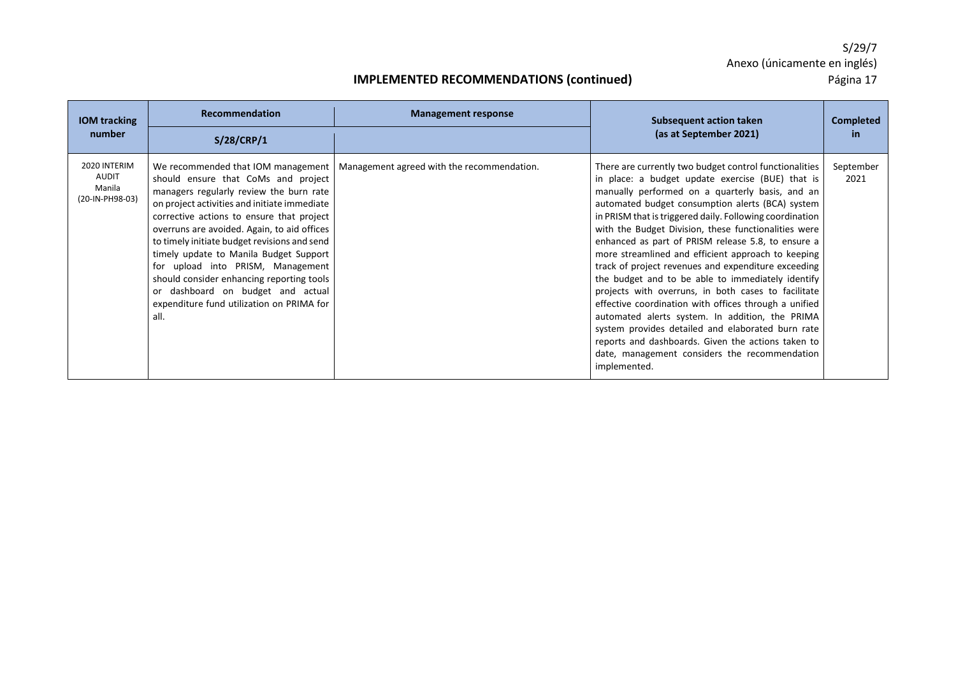| <b>IOM tracking</b>                                       | Recommendation                                                                                                                                                                                                                                                                                                                                                                                                                                                                                                                         | <b>Management response</b>                 | Subsequent action taken                                                                                                                                                                                                                                                                                                                                                                                                                                                                                                                                                                                                                                                                                                                                                                                                                                                                                      | <b>Completed</b>  |
|-----------------------------------------------------------|----------------------------------------------------------------------------------------------------------------------------------------------------------------------------------------------------------------------------------------------------------------------------------------------------------------------------------------------------------------------------------------------------------------------------------------------------------------------------------------------------------------------------------------|--------------------------------------------|--------------------------------------------------------------------------------------------------------------------------------------------------------------------------------------------------------------------------------------------------------------------------------------------------------------------------------------------------------------------------------------------------------------------------------------------------------------------------------------------------------------------------------------------------------------------------------------------------------------------------------------------------------------------------------------------------------------------------------------------------------------------------------------------------------------------------------------------------------------------------------------------------------------|-------------------|
| number                                                    | S/28/CRP/1                                                                                                                                                                                                                                                                                                                                                                                                                                                                                                                             |                                            | (as at September 2021)                                                                                                                                                                                                                                                                                                                                                                                                                                                                                                                                                                                                                                                                                                                                                                                                                                                                                       | in.               |
| 2020 INTERIM<br><b>AUDIT</b><br>Manila<br>(20-IN-PH98-03) | We recommended that IOM management<br>should ensure that CoMs and project<br>managers regularly review the burn rate<br>on project activities and initiate immediate<br>corrective actions to ensure that project<br>overruns are avoided. Again, to aid offices<br>to timely initiate budget revisions and send<br>timely update to Manila Budget Support<br>for upload into PRISM, Management<br>should consider enhancing reporting tools<br>or dashboard on budget and actual<br>expenditure fund utilization on PRIMA for<br>all. | Management agreed with the recommendation. | There are currently two budget control functionalities<br>in place: a budget update exercise (BUE) that is<br>manually performed on a quarterly basis, and an<br>automated budget consumption alerts (BCA) system<br>in PRISM that is triggered daily. Following coordination<br>with the Budget Division, these functionalities were<br>enhanced as part of PRISM release 5.8, to ensure a<br>more streamlined and efficient approach to keeping<br>track of project revenues and expenditure exceeding<br>the budget and to be able to immediately identify<br>projects with overruns, in both cases to facilitate<br>effective coordination with offices through a unified<br>automated alerts system. In addition, the PRIMA<br>system provides detailed and elaborated burn rate<br>reports and dashboards. Given the actions taken to<br>date, management considers the recommendation<br>implemented. | September<br>2021 |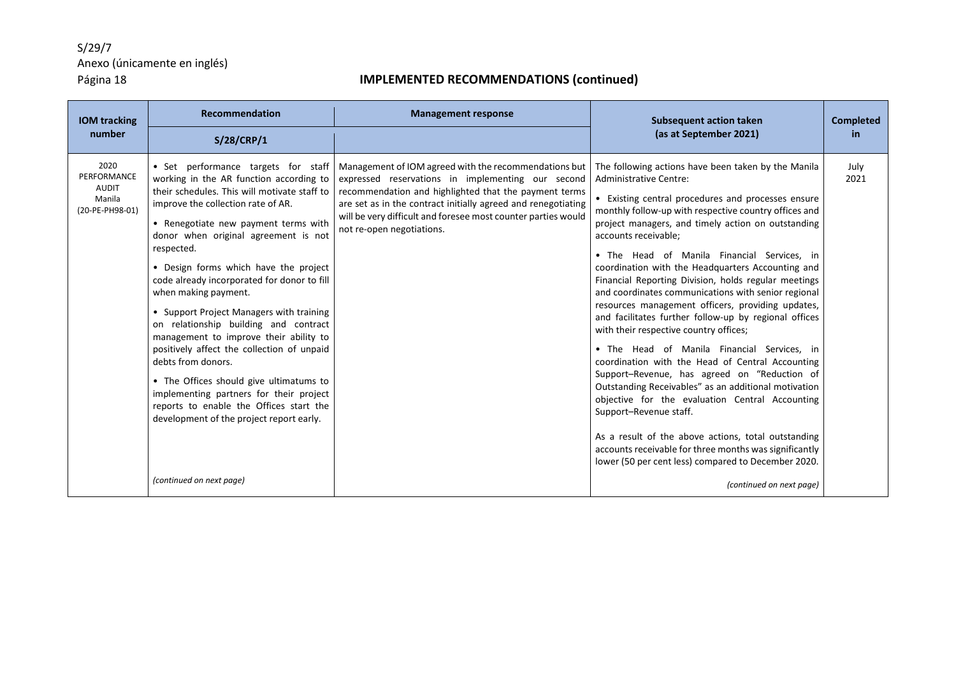| <b>IOM tracking</b>                                              | Recommendation                                                                                                                                                                                                                                                                                                                                                                                                                                                                                                                                                                                                                                                                                                                                                     | <b>Management response</b>                                                                                                                                                                                                                                                                                                         | <b>Subsequent action taken</b>                                                                                                                                                                                                                                                                                                                                                                                                                                                                                                                                                                                                                                                                                                                                                                                                                                                                                                                                                                                                                                                                                               | <b>Completed</b> |
|------------------------------------------------------------------|--------------------------------------------------------------------------------------------------------------------------------------------------------------------------------------------------------------------------------------------------------------------------------------------------------------------------------------------------------------------------------------------------------------------------------------------------------------------------------------------------------------------------------------------------------------------------------------------------------------------------------------------------------------------------------------------------------------------------------------------------------------------|------------------------------------------------------------------------------------------------------------------------------------------------------------------------------------------------------------------------------------------------------------------------------------------------------------------------------------|------------------------------------------------------------------------------------------------------------------------------------------------------------------------------------------------------------------------------------------------------------------------------------------------------------------------------------------------------------------------------------------------------------------------------------------------------------------------------------------------------------------------------------------------------------------------------------------------------------------------------------------------------------------------------------------------------------------------------------------------------------------------------------------------------------------------------------------------------------------------------------------------------------------------------------------------------------------------------------------------------------------------------------------------------------------------------------------------------------------------------|------------------|
| number                                                           | S/28/CRP/1                                                                                                                                                                                                                                                                                                                                                                                                                                                                                                                                                                                                                                                                                                                                                         |                                                                                                                                                                                                                                                                                                                                    | (as at September 2021)                                                                                                                                                                                                                                                                                                                                                                                                                                                                                                                                                                                                                                                                                                                                                                                                                                                                                                                                                                                                                                                                                                       | <b>in</b>        |
| 2020<br>PERFORMANCE<br><b>AUDIT</b><br>Manila<br>(20-PE-PH98-01) | • Set performance targets for staff<br>working in the AR function according to<br>their schedules. This will motivate staff to<br>improve the collection rate of AR.<br>• Renegotiate new payment terms with<br>donor when original agreement is not<br>respected.<br>• Design forms which have the project<br>code already incorporated for donor to fill<br>when making payment.<br>• Support Project Managers with training<br>on relationship building and contract<br>management to improve their ability to<br>positively affect the collection of unpaid<br>debts from donors.<br>• The Offices should give ultimatums to<br>implementing partners for their project<br>reports to enable the Offices start the<br>development of the project report early. | Management of IOM agreed with the recommendations but<br>expressed reservations in implementing our second<br>recommendation and highlighted that the payment terms<br>are set as in the contract initially agreed and renegotiating<br>will be very difficult and foresee most counter parties would<br>not re-open negotiations. | The following actions have been taken by the Manila<br><b>Administrative Centre:</b><br>• Existing central procedures and processes ensure<br>monthly follow-up with respective country offices and<br>project managers, and timely action on outstanding<br>accounts receivable;<br>• The Head of Manila Financial Services, in<br>coordination with the Headquarters Accounting and<br>Financial Reporting Division, holds regular meetings<br>and coordinates communications with senior regional<br>resources management officers, providing updates,<br>and facilitates further follow-up by regional offices<br>with their respective country offices;<br>• The Head of Manila Financial Services, in<br>coordination with the Head of Central Accounting<br>Support-Revenue, has agreed on "Reduction of<br>Outstanding Receivables" as an additional motivation<br>objective for the evaluation Central Accounting<br>Support-Revenue staff.<br>As a result of the above actions, total outstanding<br>accounts receivable for three months was significantly<br>lower (50 per cent less) compared to December 2020. | July<br>2021     |
|                                                                  | (continued on next page)                                                                                                                                                                                                                                                                                                                                                                                                                                                                                                                                                                                                                                                                                                                                           |                                                                                                                                                                                                                                                                                                                                    | (continued on next page)                                                                                                                                                                                                                                                                                                                                                                                                                                                                                                                                                                                                                                                                                                                                                                                                                                                                                                                                                                                                                                                                                                     |                  |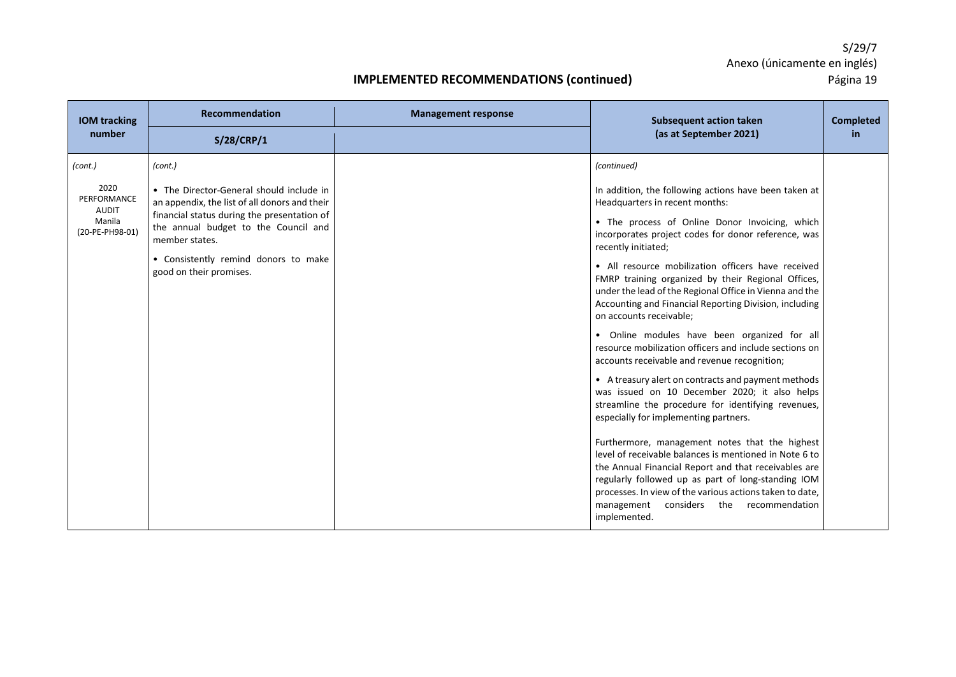| <b>IOM</b> tracking<br>number                                               | <b>Recommendation</b>                                                                                                                                                                                                                                                            | <b>Management response</b> | <b>Subsequent action taken</b><br>(as at September 2021)                                                                                                                                                                                                                                                                                                                                                                                                                                                                                                                                                                                                                                                                                                                                                                                                                                                                                                                                                                                                                                                                                                                                                             | <b>Completed</b><br>in |
|-----------------------------------------------------------------------------|----------------------------------------------------------------------------------------------------------------------------------------------------------------------------------------------------------------------------------------------------------------------------------|----------------------------|----------------------------------------------------------------------------------------------------------------------------------------------------------------------------------------------------------------------------------------------------------------------------------------------------------------------------------------------------------------------------------------------------------------------------------------------------------------------------------------------------------------------------------------------------------------------------------------------------------------------------------------------------------------------------------------------------------------------------------------------------------------------------------------------------------------------------------------------------------------------------------------------------------------------------------------------------------------------------------------------------------------------------------------------------------------------------------------------------------------------------------------------------------------------------------------------------------------------|------------------------|
|                                                                             | S/28/CRP/1                                                                                                                                                                                                                                                                       |                            |                                                                                                                                                                                                                                                                                                                                                                                                                                                                                                                                                                                                                                                                                                                                                                                                                                                                                                                                                                                                                                                                                                                                                                                                                      |                        |
| (cont.)<br>2020<br>PERFORMANCE<br><b>AUDIT</b><br>Manila<br>(20-PE-PH98-01) | (cont.)<br>• The Director-General should include in<br>an appendix, the list of all donors and their<br>financial status during the presentation of<br>the annual budget to the Council and<br>member states.<br>• Consistently remind donors to make<br>good on their promises. |                            | (continued)<br>In addition, the following actions have been taken at<br>Headquarters in recent months:<br>• The process of Online Donor Invoicing, which<br>incorporates project codes for donor reference, was<br>recently initiated;<br>• All resource mobilization officers have received<br>FMRP training organized by their Regional Offices,<br>under the lead of the Regional Office in Vienna and the<br>Accounting and Financial Reporting Division, including<br>on accounts receivable;<br>• Online modules have been organized for all<br>resource mobilization officers and include sections on<br>accounts receivable and revenue recognition;<br>• A treasury alert on contracts and payment methods<br>was issued on 10 December 2020; it also helps<br>streamline the procedure for identifying revenues,<br>especially for implementing partners.<br>Furthermore, management notes that the highest<br>level of receivable balances is mentioned in Note 6 to<br>the Annual Financial Report and that receivables are<br>regularly followed up as part of long-standing IOM<br>processes. In view of the various actions taken to date,<br>management considers the recommendation<br>implemented. |                        |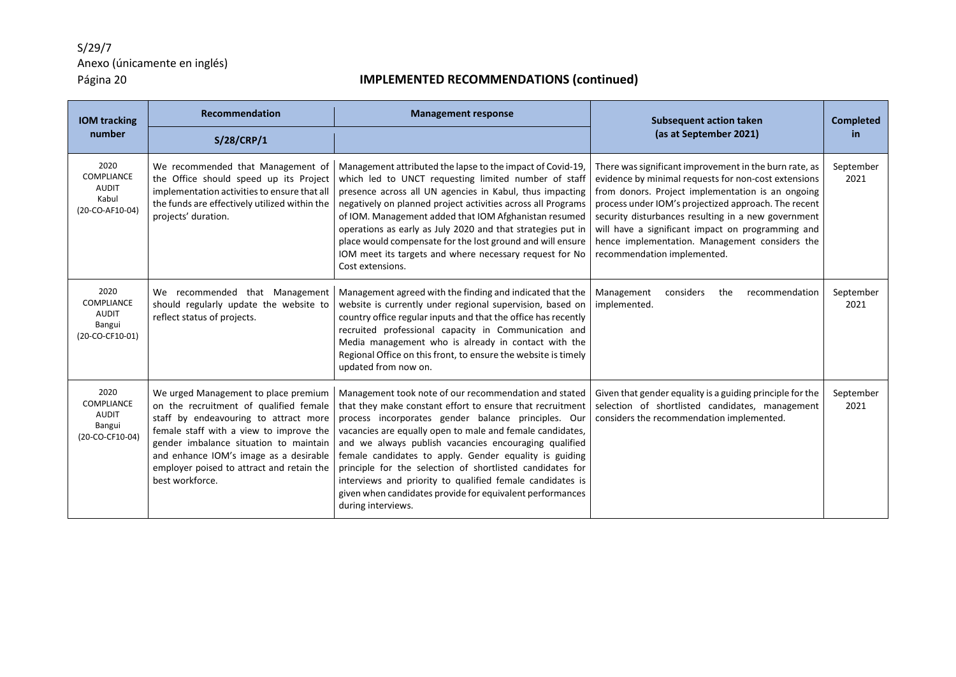| <b>IOM tracking</b>                                             | Recommendation                                                                                                                                                                                                                                                                                                         | <b>Management response</b>                                                                                                                                                                                                                                                                                                                                                                                                                                                                                                                                             | <b>Subsequent action taken</b>                                                                                                                                                                                                                                                                                                                                                                                           | <b>Completed</b>  |
|-----------------------------------------------------------------|------------------------------------------------------------------------------------------------------------------------------------------------------------------------------------------------------------------------------------------------------------------------------------------------------------------------|------------------------------------------------------------------------------------------------------------------------------------------------------------------------------------------------------------------------------------------------------------------------------------------------------------------------------------------------------------------------------------------------------------------------------------------------------------------------------------------------------------------------------------------------------------------------|--------------------------------------------------------------------------------------------------------------------------------------------------------------------------------------------------------------------------------------------------------------------------------------------------------------------------------------------------------------------------------------------------------------------------|-------------------|
| number                                                          | S/28/CRP/1                                                                                                                                                                                                                                                                                                             |                                                                                                                                                                                                                                                                                                                                                                                                                                                                                                                                                                        | (as at September 2021)                                                                                                                                                                                                                                                                                                                                                                                                   | in.               |
| 2020<br>COMPLIANCE<br><b>AUDIT</b><br>Kabul<br>(20-CO-AF10-04)  | We recommended that Management of<br>the Office should speed up its Project<br>implementation activities to ensure that all<br>the funds are effectively utilized within the<br>projects' duration.                                                                                                                    | Management attributed the lapse to the impact of Covid-19,<br>which led to UNCT requesting limited number of staff<br>presence across all UN agencies in Kabul, thus impacting<br>negatively on planned project activities across all Programs<br>of IOM. Management added that IOM Afghanistan resumed<br>operations as early as July 2020 and that strategies put in<br>place would compensate for the lost ground and will ensure<br>IOM meet its targets and where necessary request for No<br>Cost extensions.                                                    | There was significant improvement in the burn rate, as<br>evidence by minimal requests for non-cost extensions<br>from donors. Project implementation is an ongoing<br>process under IOM's projectized approach. The recent<br>security disturbances resulting in a new government<br>will have a significant impact on programming and<br>hence implementation. Management considers the<br>recommendation implemented. | September<br>2021 |
| 2020<br>COMPLIANCE<br><b>AUDIT</b><br>Bangui<br>(20-CO-CF10-01) | We recommended that Management<br>should regularly update the website to<br>reflect status of projects.                                                                                                                                                                                                                | Management agreed with the finding and indicated that the<br>website is currently under regional supervision, based on<br>country office regular inputs and that the office has recently<br>recruited professional capacity in Communication and<br>Media management who is already in contact with the<br>Regional Office on this front, to ensure the website is timely<br>updated from now on.                                                                                                                                                                      | Management<br>considers<br>the<br>recommendation<br>implemented.                                                                                                                                                                                                                                                                                                                                                         | September<br>2021 |
| 2020<br>COMPLIANCE<br><b>AUDIT</b><br>Bangui<br>(20-CO-CF10-04) | We urged Management to place premium<br>on the recruitment of qualified female<br>staff by endeavouring to attract more<br>female staff with a view to improve the<br>gender imbalance situation to maintain<br>and enhance IOM's image as a desirable<br>employer poised to attract and retain the<br>best workforce. | Management took note of our recommendation and stated<br>that they make constant effort to ensure that recruitment<br>process incorporates gender balance principles. Our<br>vacancies are equally open to male and female candidates,<br>and we always publish vacancies encouraging qualified<br>female candidates to apply. Gender equality is guiding<br>principle for the selection of shortlisted candidates for<br>interviews and priority to qualified female candidates is<br>given when candidates provide for equivalent performances<br>during interviews. | Given that gender equality is a guiding principle for the<br>selection of shortlisted candidates, management<br>considers the recommendation implemented.                                                                                                                                                                                                                                                                | September<br>2021 |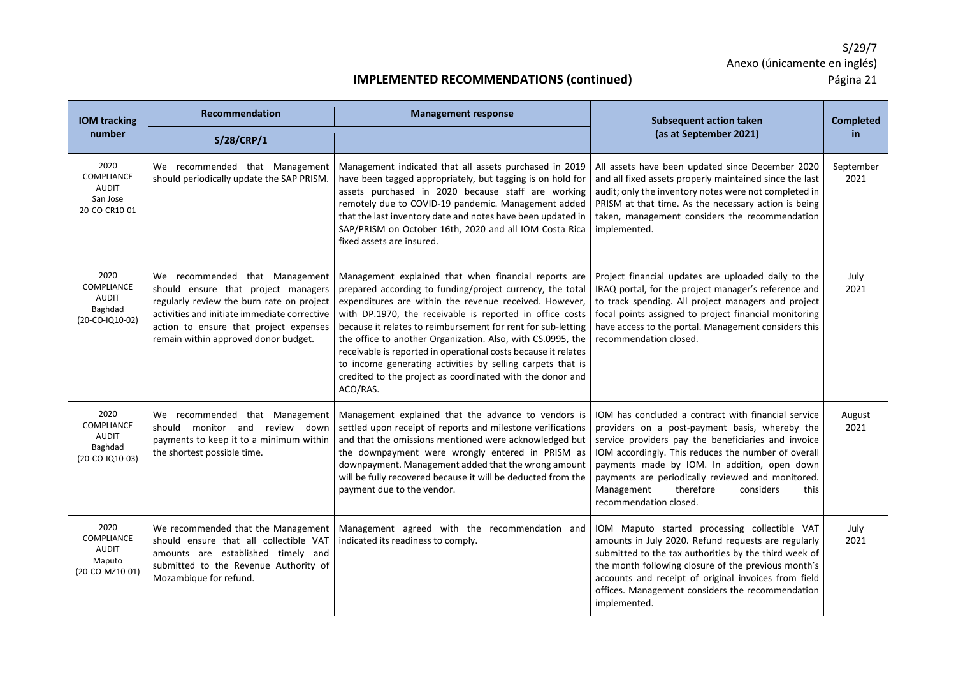| <b>IOM tracking</b>                                                     | Recommendation                                                                                                                                                                                                                                       | <b>Management response</b>                                                                                                                                                                                                                                                                                                                                                                                                                                                                                                                                                      | <b>Subsequent action taken</b>                                                                                                                                                                                                                                                                                                                                                                     | <b>Completed</b>  |
|-------------------------------------------------------------------------|------------------------------------------------------------------------------------------------------------------------------------------------------------------------------------------------------------------------------------------------------|---------------------------------------------------------------------------------------------------------------------------------------------------------------------------------------------------------------------------------------------------------------------------------------------------------------------------------------------------------------------------------------------------------------------------------------------------------------------------------------------------------------------------------------------------------------------------------|----------------------------------------------------------------------------------------------------------------------------------------------------------------------------------------------------------------------------------------------------------------------------------------------------------------------------------------------------------------------------------------------------|-------------------|
| number                                                                  | S/28/CRP/1                                                                                                                                                                                                                                           |                                                                                                                                                                                                                                                                                                                                                                                                                                                                                                                                                                                 | (as at September 2021)                                                                                                                                                                                                                                                                                                                                                                             | in                |
| 2020<br>COMPLIANCE<br><b>AUDIT</b><br>San Jose<br>20-CO-CR10-01         | We recommended that Management<br>should periodically update the SAP PRISM.                                                                                                                                                                          | Management indicated that all assets purchased in 2019<br>have been tagged appropriately, but tagging is on hold for<br>assets purchased in 2020 because staff are working<br>remotely due to COVID-19 pandemic. Management added<br>that the last inventory date and notes have been updated in<br>SAP/PRISM on October 16th, 2020 and all IOM Costa Rica<br>fixed assets are insured.                                                                                                                                                                                         | All assets have been updated since December 2020<br>and all fixed assets properly maintained since the last<br>audit; only the inventory notes were not completed in<br>PRISM at that time. As the necessary action is being<br>taken, management considers the recommendation<br>implemented.                                                                                                     | September<br>2021 |
| 2020<br><b>COMPLIANCE</b><br><b>AUDIT</b><br>Baghdad<br>(20-CO-IQ10-02) | We recommended that Management<br>should ensure that project managers<br>regularly review the burn rate on project<br>activities and initiate immediate corrective<br>action to ensure that project expenses<br>remain within approved donor budget. | Management explained that when financial reports are<br>prepared according to funding/project currency, the total<br>expenditures are within the revenue received. However,<br>with DP.1970, the receivable is reported in office costs<br>because it relates to reimbursement for rent for sub-letting<br>the office to another Organization. Also, with CS.0995, the<br>receivable is reported in operational costs because it relates<br>to income generating activities by selling carpets that is<br>credited to the project as coordinated with the donor and<br>ACO/RAS. | Project financial updates are uploaded daily to the<br>IRAQ portal, for the project manager's reference and<br>to track spending. All project managers and project<br>focal points assigned to project financial monitoring<br>have access to the portal. Management considers this<br>recommendation closed.                                                                                      | July<br>2021      |
| 2020<br>COMPLIANCE<br><b>AUDIT</b><br>Baghdad<br>(20-CO-IQ10-03)        | We recommended that Management<br>should monitor and review down<br>payments to keep it to a minimum within<br>the shortest possible time.                                                                                                           | Management explained that the advance to vendors is<br>settled upon receipt of reports and milestone verifications<br>and that the omissions mentioned were acknowledged but<br>the downpayment were wrongly entered in PRISM as<br>downpayment. Management added that the wrong amount<br>will be fully recovered because it will be deducted from the<br>payment due to the vendor.                                                                                                                                                                                           | IOM has concluded a contract with financial service<br>providers on a post-payment basis, whereby the<br>service providers pay the beneficiaries and invoice<br>IOM accordingly. This reduces the number of overall<br>payments made by IOM. In addition, open down<br>payments are periodically reviewed and monitored.<br>Management<br>therefore<br>considers<br>this<br>recommendation closed. | August<br>2021    |
| 2020<br><b>COMPLIANCE</b><br><b>AUDIT</b><br>Maputo<br>(20-CO-MZ10-01)  | We recommended that the Management<br>should ensure that all collectible VAT<br>amounts are established timely and<br>submitted to the Revenue Authority of<br>Mozambique for refund.                                                                | Management agreed with the recommendation and<br>indicated its readiness to comply.                                                                                                                                                                                                                                                                                                                                                                                                                                                                                             | IOM Maputo started processing collectible VAT<br>amounts in July 2020. Refund requests are regularly<br>submitted to the tax authorities by the third week of<br>the month following closure of the previous month's<br>accounts and receipt of original invoices from field<br>offices. Management considers the recommendation<br>implemented.                                                   | July<br>2021      |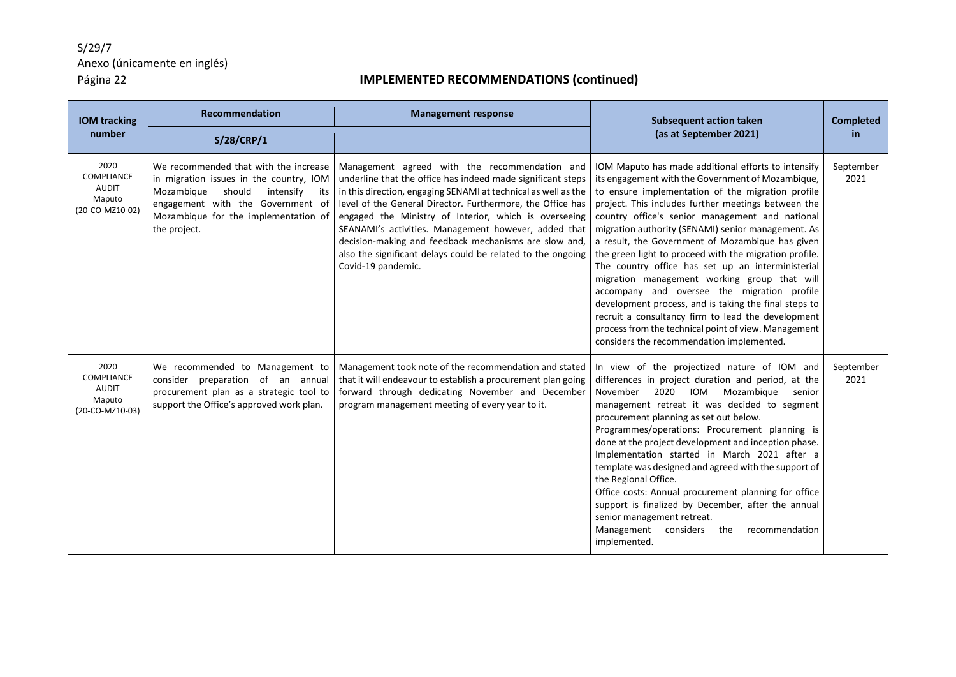| <b>IOM tracking</b>                                                    | <b>Recommendation</b>                                                                                                                                                                                                     | <b>Management response</b>                                                                                                                                                                                                                                                                                                                                                                                                                                                                                  | <b>Subsequent action taken</b>                                                                                                                                                                                                                                                                                                                                                                                                                                                                                                                                                                                                                                                                                                                                                                                      | <b>Completed</b>  |
|------------------------------------------------------------------------|---------------------------------------------------------------------------------------------------------------------------------------------------------------------------------------------------------------------------|-------------------------------------------------------------------------------------------------------------------------------------------------------------------------------------------------------------------------------------------------------------------------------------------------------------------------------------------------------------------------------------------------------------------------------------------------------------------------------------------------------------|---------------------------------------------------------------------------------------------------------------------------------------------------------------------------------------------------------------------------------------------------------------------------------------------------------------------------------------------------------------------------------------------------------------------------------------------------------------------------------------------------------------------------------------------------------------------------------------------------------------------------------------------------------------------------------------------------------------------------------------------------------------------------------------------------------------------|-------------------|
| number                                                                 | S/28/CRP/1                                                                                                                                                                                                                |                                                                                                                                                                                                                                                                                                                                                                                                                                                                                                             | (as at September 2021)                                                                                                                                                                                                                                                                                                                                                                                                                                                                                                                                                                                                                                                                                                                                                                                              | in                |
| 2020<br>COMPLIANCE<br><b>AUDIT</b><br>Maputo<br>(20-CO-MZ10-02)        | We recommended that with the increase<br>in migration issues in the country, IOM<br>Mozambique<br>should<br>intensify<br>its<br>engagement with the Government of<br>Mozambique for the implementation of<br>the project. | Management agreed with the recommendation and<br>underline that the office has indeed made significant steps<br>in this direction, engaging SENAMI at technical as well as the<br>level of the General Director. Furthermore, the Office has<br>engaged the Ministry of Interior, which is overseeing<br>SEANAMI's activities. Management however, added that<br>decision-making and feedback mechanisms are slow and,<br>also the significant delays could be related to the ongoing<br>Covid-19 pandemic. | IOM Maputo has made additional efforts to intensify<br>its engagement with the Government of Mozambique,<br>to ensure implementation of the migration profile<br>project. This includes further meetings between the<br>country office's senior management and national<br>migration authority (SENAMI) senior management. As<br>a result, the Government of Mozambique has given<br>the green light to proceed with the migration profile.<br>The country office has set up an interministerial<br>migration management working group that will<br>accompany and oversee the migration profile<br>development process, and is taking the final steps to<br>recruit a consultancy firm to lead the development<br>process from the technical point of view. Management<br>considers the recommendation implemented. | September<br>2021 |
| 2020<br><b>COMPLIANCE</b><br><b>AUDIT</b><br>Maputo<br>(20-CO-MZ10-03) | We recommended to Management to<br>preparation of an annual<br>consider<br>procurement plan as a strategic tool to<br>support the Office's approved work plan.                                                            | Management took note of the recommendation and stated<br>that it will endeavour to establish a procurement plan going<br>forward through dedicating November and December<br>program management meeting of every year to it.                                                                                                                                                                                                                                                                                | In view of the projectized nature of IOM and<br>differences in project duration and period, at the<br>IOM<br>2020<br>Mozambique<br>November<br>senior<br>management retreat it was decided to segment<br>procurement planning as set out below.<br>Programmes/operations: Procurement planning is<br>done at the project development and inception phase.<br>Implementation started in March 2021 after a<br>template was designed and agreed with the support of<br>the Regional Office.<br>Office costs: Annual procurement planning for office<br>support is finalized by December, after the annual<br>senior management retreat.<br>Management considers the<br>recommendation<br>implemented.                                                                                                                 | September<br>2021 |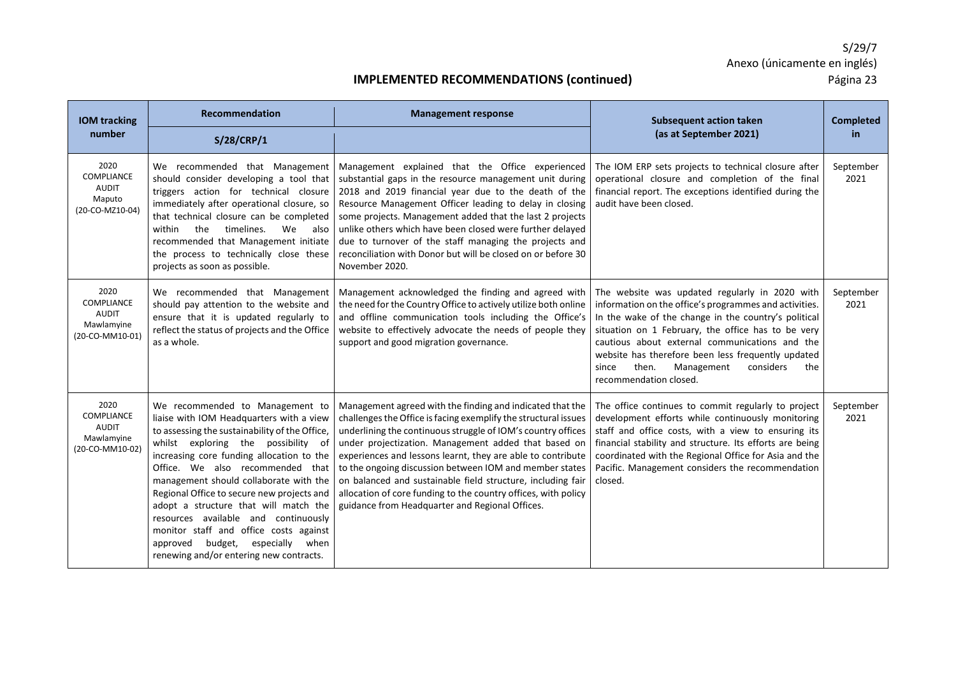| <b>IOM tracking</b>                                                 | <b>Recommendation</b>                                                                                                                                                                                                                                                                                                                                                                                                                                                                                                                                         | <b>Management response</b>                                                                                                                                                                                                                                                                                                                                                                                                                                                                                                                                         | <b>Subsequent action taken</b>                                                                                                                                                                                                                                                                                                                                                                               | <b>Completed</b>  |
|---------------------------------------------------------------------|---------------------------------------------------------------------------------------------------------------------------------------------------------------------------------------------------------------------------------------------------------------------------------------------------------------------------------------------------------------------------------------------------------------------------------------------------------------------------------------------------------------------------------------------------------------|--------------------------------------------------------------------------------------------------------------------------------------------------------------------------------------------------------------------------------------------------------------------------------------------------------------------------------------------------------------------------------------------------------------------------------------------------------------------------------------------------------------------------------------------------------------------|--------------------------------------------------------------------------------------------------------------------------------------------------------------------------------------------------------------------------------------------------------------------------------------------------------------------------------------------------------------------------------------------------------------|-------------------|
| number                                                              | S/28/CRP/1                                                                                                                                                                                                                                                                                                                                                                                                                                                                                                                                                    |                                                                                                                                                                                                                                                                                                                                                                                                                                                                                                                                                                    | (as at September 2021)                                                                                                                                                                                                                                                                                                                                                                                       | in                |
| 2020<br>COMPLIANCE<br><b>AUDIT</b><br>Maputo<br>(20-CO-MZ10-04)     | We recommended that Management<br>should consider developing a tool that<br>triggers action for technical closure<br>immediately after operational closure, so<br>that technical closure can be completed<br>within<br>the<br>timelines.<br>We<br>also<br>recommended that Management initiate<br>the process to technically close these<br>projects as soon as possible.                                                                                                                                                                                     | Management explained that the Office experienced<br>substantial gaps in the resource management unit during<br>2018 and 2019 financial year due to the death of the<br>Resource Management Officer leading to delay in closing<br>some projects. Management added that the last 2 projects<br>unlike others which have been closed were further delayed<br>due to turnover of the staff managing the projects and<br>reconciliation with Donor but will be closed on or before 30<br>November 2020.                                                                | The IOM ERP sets projects to technical closure after<br>operational closure and completion of the final<br>financial report. The exceptions identified during the<br>audit have been closed.                                                                                                                                                                                                                 | September<br>2021 |
| 2020<br><b>COMPLIANCE</b><br>AUDIT<br>Mawlamyine<br>(20-CO-MM10-01) | We recommended that Management<br>should pay attention to the website and<br>ensure that it is updated regularly to<br>reflect the status of projects and the Office<br>as a whole.                                                                                                                                                                                                                                                                                                                                                                           | Management acknowledged the finding and agreed with<br>the need for the Country Office to actively utilize both online<br>and offline communication tools including the Office's<br>website to effectively advocate the needs of people they<br>support and good migration governance.                                                                                                                                                                                                                                                                             | The website was updated regularly in 2020 with<br>information on the office's programmes and activities.<br>In the wake of the change in the country's political<br>situation on 1 February, the office has to be very<br>cautious about external communications and the<br>website has therefore been less frequently updated<br>then.<br>Management<br>considers<br>since<br>the<br>recommendation closed. | September<br>2021 |
| 2020<br><b>COMPLIANCE</b><br>AUDIT<br>Mawlamyine<br>(20-CO-MM10-02) | We recommended to Management to<br>liaise with IOM Headquarters with a view<br>to assessing the sustainability of the Office,<br>whilst exploring the possibility of<br>increasing core funding allocation to the<br>Office. We also recommended that<br>management should collaborate with the<br>Regional Office to secure new projects and<br>adopt a structure that will match the<br>resources available and continuously<br>monitor staff and office costs against<br>budget, especially<br>approved<br>when<br>renewing and/or entering new contracts. | Management agreed with the finding and indicated that the<br>challenges the Office is facing exemplify the structural issues<br>underlining the continuous struggle of IOM's country offices<br>under projectization. Management added that based on<br>experiences and lessons learnt, they are able to contribute<br>to the ongoing discussion between IOM and member states<br>on balanced and sustainable field structure, including fair<br>allocation of core funding to the country offices, with policy<br>guidance from Headquarter and Regional Offices. | The office continues to commit regularly to project<br>development efforts while continuously monitoring<br>staff and office costs, with a view to ensuring its<br>financial stability and structure. Its efforts are being<br>coordinated with the Regional Office for Asia and the<br>Pacific. Management considers the recommendation<br>closed.                                                          | September<br>2021 |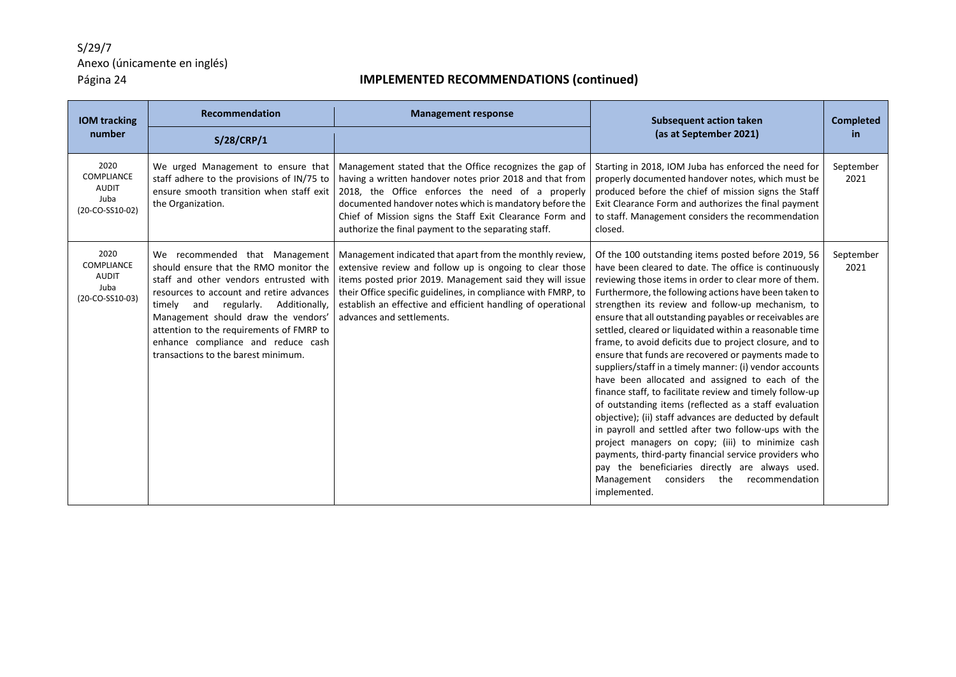| <b>IOM tracking</b><br>number                                        | Recommendation                                                                                                                                                                                                                                                                                                                                                           | <b>Management response</b>                                                                                                                                                                                                                                                                                                                             | <b>Subsequent action taken</b><br>(as at September 2021)                                                                                                                                                                                                                                                                                                                                                                                                                                                                                                                                                                                                                                                                                                                                                                                                                                                                                                                                                                                                                                                              | <b>Completed</b><br><b>in</b> |
|----------------------------------------------------------------------|--------------------------------------------------------------------------------------------------------------------------------------------------------------------------------------------------------------------------------------------------------------------------------------------------------------------------------------------------------------------------|--------------------------------------------------------------------------------------------------------------------------------------------------------------------------------------------------------------------------------------------------------------------------------------------------------------------------------------------------------|-----------------------------------------------------------------------------------------------------------------------------------------------------------------------------------------------------------------------------------------------------------------------------------------------------------------------------------------------------------------------------------------------------------------------------------------------------------------------------------------------------------------------------------------------------------------------------------------------------------------------------------------------------------------------------------------------------------------------------------------------------------------------------------------------------------------------------------------------------------------------------------------------------------------------------------------------------------------------------------------------------------------------------------------------------------------------------------------------------------------------|-------------------------------|
|                                                                      | S/28/CRP/1                                                                                                                                                                                                                                                                                                                                                               |                                                                                                                                                                                                                                                                                                                                                        |                                                                                                                                                                                                                                                                                                                                                                                                                                                                                                                                                                                                                                                                                                                                                                                                                                                                                                                                                                                                                                                                                                                       |                               |
| 2020<br>COMPLIANCE<br><b>AUDIT</b><br>Juba<br>(20-CO-SS10-02)        | We urged Management to ensure that<br>staff adhere to the provisions of IN/75 to<br>ensure smooth transition when staff exit<br>the Organization.                                                                                                                                                                                                                        | Management stated that the Office recognizes the gap of<br>having a written handover notes prior 2018 and that from<br>2018, the Office enforces the need of a properly<br>documented handover notes which is mandatory before the<br>Chief of Mission signs the Staff Exit Clearance Form and<br>authorize the final payment to the separating staff. | Starting in 2018, IOM Juba has enforced the need for<br>properly documented handover notes, which must be<br>produced before the chief of mission signs the Staff<br>Exit Clearance Form and authorizes the final payment<br>to staff. Management considers the recommendation<br>closed.                                                                                                                                                                                                                                                                                                                                                                                                                                                                                                                                                                                                                                                                                                                                                                                                                             | September<br>2021             |
| 2020<br><b>COMPLIANCE</b><br><b>AUDIT</b><br>Juba<br>(20-CO-SS10-03) | We recommended that Management<br>should ensure that the RMO monitor the<br>staff and other vendors entrusted with<br>resources to account and retire advances<br>timely and<br>regularly. Additionally,<br>Management should draw the vendors'<br>attention to the requirements of FMRP to<br>enhance compliance and reduce cash<br>transactions to the barest minimum. | Management indicated that apart from the monthly review,<br>extensive review and follow up is ongoing to clear those<br>items posted prior 2019. Management said they will issue<br>their Office specific guidelines, in compliance with FMRP, to<br>establish an effective and efficient handling of operational<br>advances and settlements.         | Of the 100 outstanding items posted before 2019, 56<br>have been cleared to date. The office is continuously<br>reviewing those items in order to clear more of them.<br>Furthermore, the following actions have been taken to<br>strengthen its review and follow-up mechanism, to<br>ensure that all outstanding payables or receivables are<br>settled, cleared or liquidated within a reasonable time<br>frame, to avoid deficits due to project closure, and to<br>ensure that funds are recovered or payments made to<br>suppliers/staff in a timely manner: (i) vendor accounts<br>have been allocated and assigned to each of the<br>finance staff, to facilitate review and timely follow-up<br>of outstanding items (reflected as a staff evaluation<br>objective); (ii) staff advances are deducted by default<br>in payroll and settled after two follow-ups with the<br>project managers on copy; (iii) to minimize cash<br>payments, third-party financial service providers who<br>pay the beneficiaries directly are always used.<br>considers<br>Management<br>the<br>recommendation<br>implemented. | September<br>2021             |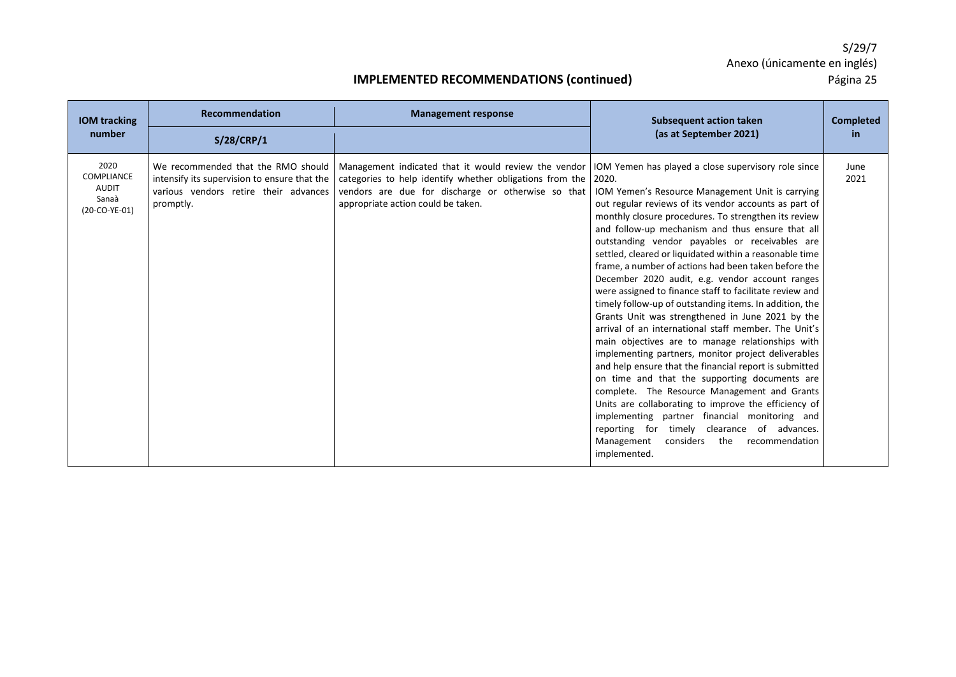| <b>IOM</b> tracking                                            | <b>Recommendation</b>                                                                                                                    | <b>Management response</b>                                                                                                                                                                                                                                               | <b>Subsequent action taken</b>                                                                                                                                                                                                                                                                                                                                                                                                                                                                                                                                                                                                                                                                                                                                                                                                                                                                                                                                                                                                                                                                                                                                                    | <b>Completed</b> |
|----------------------------------------------------------------|------------------------------------------------------------------------------------------------------------------------------------------|--------------------------------------------------------------------------------------------------------------------------------------------------------------------------------------------------------------------------------------------------------------------------|-----------------------------------------------------------------------------------------------------------------------------------------------------------------------------------------------------------------------------------------------------------------------------------------------------------------------------------------------------------------------------------------------------------------------------------------------------------------------------------------------------------------------------------------------------------------------------------------------------------------------------------------------------------------------------------------------------------------------------------------------------------------------------------------------------------------------------------------------------------------------------------------------------------------------------------------------------------------------------------------------------------------------------------------------------------------------------------------------------------------------------------------------------------------------------------|------------------|
| number                                                         | S/28/CRP/1                                                                                                                               |                                                                                                                                                                                                                                                                          | (as at September 2021)                                                                                                                                                                                                                                                                                                                                                                                                                                                                                                                                                                                                                                                                                                                                                                                                                                                                                                                                                                                                                                                                                                                                                            | in               |
| 2020<br>COMPLIANCE<br><b>AUDIT</b><br>Sanaà<br>$(20-CO-YE-01)$ | We recommended that the RMO should<br>intensify its supervision to ensure that the<br>various vendors retire their advances<br>promptly. | Management indicated that it would review the vendor   IOM Yemen has played a close supervisory role since<br>categories to help identify whether obligations from the 2020.<br>vendors are due for discharge or otherwise so that<br>appropriate action could be taken. | IOM Yemen's Resource Management Unit is carrying<br>out regular reviews of its vendor accounts as part of<br>monthly closure procedures. To strengthen its review<br>and follow-up mechanism and thus ensure that all<br>outstanding vendor payables or receivables are<br>settled, cleared or liquidated within a reasonable time<br>frame, a number of actions had been taken before the<br>December 2020 audit, e.g. vendor account ranges<br>were assigned to finance staff to facilitate review and<br>timely follow-up of outstanding items. In addition, the<br>Grants Unit was strengthened in June 2021 by the<br>arrival of an international staff member. The Unit's<br>main objectives are to manage relationships with<br>implementing partners, monitor project deliverables<br>and help ensure that the financial report is submitted<br>on time and that the supporting documents are<br>complete. The Resource Management and Grants<br>Units are collaborating to improve the efficiency of<br>implementing partner financial monitoring and<br>reporting for timely clearance of advances.<br>Management<br>considers<br>the<br>recommendation<br>implemented. | June<br>2021     |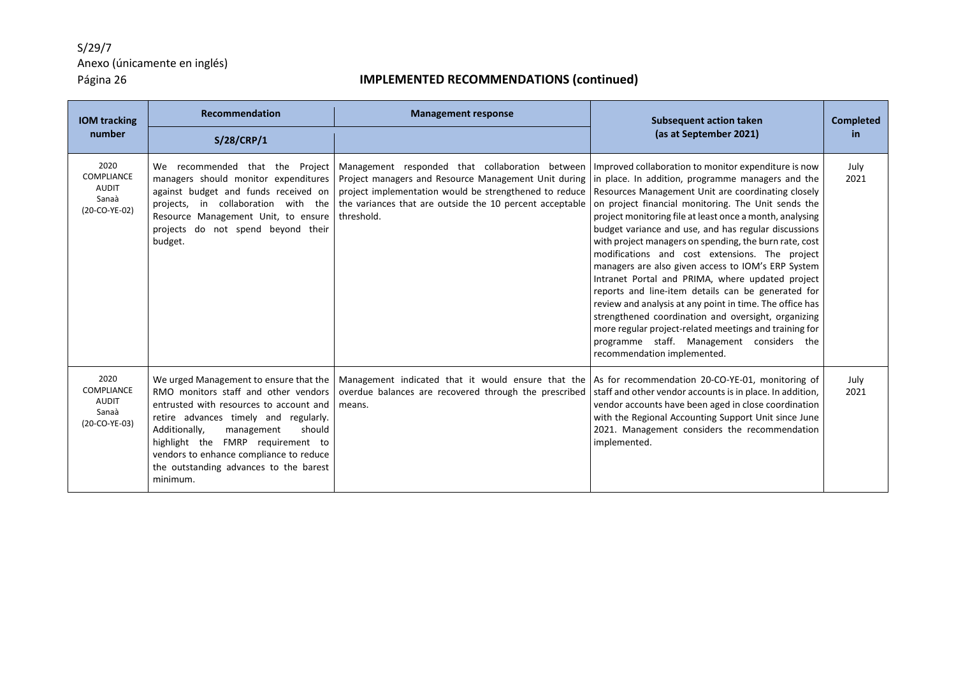| <b>IOM tracking</b>                                                 | <b>Recommendation</b>                                                                                                                                                                                                                                                                                                                             | <b>Management response</b>                                                                                                                                                                                                                                                                                                                           | <b>Subsequent action taken</b>                                                                                                                                                                                                                                                                                                                                                                                                                                                                                                                                                                                                                                                                                                                                     | <b>Completed</b> |
|---------------------------------------------------------------------|---------------------------------------------------------------------------------------------------------------------------------------------------------------------------------------------------------------------------------------------------------------------------------------------------------------------------------------------------|------------------------------------------------------------------------------------------------------------------------------------------------------------------------------------------------------------------------------------------------------------------------------------------------------------------------------------------------------|--------------------------------------------------------------------------------------------------------------------------------------------------------------------------------------------------------------------------------------------------------------------------------------------------------------------------------------------------------------------------------------------------------------------------------------------------------------------------------------------------------------------------------------------------------------------------------------------------------------------------------------------------------------------------------------------------------------------------------------------------------------------|------------------|
| number                                                              | S/28/CRP/1                                                                                                                                                                                                                                                                                                                                        |                                                                                                                                                                                                                                                                                                                                                      | (as at September 2021)                                                                                                                                                                                                                                                                                                                                                                                                                                                                                                                                                                                                                                                                                                                                             | <b>in</b>        |
| 2020<br><b>COMPLIANCE</b><br><b>AUDIT</b><br>Sanaà<br>(20-CO-YE-02) | We recommended that the Project<br>managers should monitor expenditures<br>against budget and funds received on<br>projects, in collaboration with the<br>Resource Management Unit, to ensure<br>projects do not spend beyond their<br>budget.                                                                                                    | Management responded that collaboration between   Improved collaboration to monitor expenditure is now<br>Project managers and Resource Management Unit during in place. In addition, programme managers and the<br>project implementation would be strengthened to reduce<br>the variances that are outside the 10 percent acceptable<br>threshold. | Resources Management Unit are coordinating closely<br>on project financial monitoring. The Unit sends the<br>project monitoring file at least once a month, analysing<br>budget variance and use, and has regular discussions<br>with project managers on spending, the burn rate, cost<br>modifications and cost extensions. The project<br>managers are also given access to IOM's ERP System<br>Intranet Portal and PRIMA, where updated project<br>reports and line-item details can be generated for<br>review and analysis at any point in time. The office has<br>strengthened coordination and oversight, organizing<br>more regular project-related meetings and training for<br>programme staff. Management considers the<br>recommendation implemented. | July<br>2021     |
| 2020<br><b>COMPLIANCE</b><br><b>AUDIT</b><br>Sanaà<br>(20-CO-YE-03) | We urged Management to ensure that the<br>RMO monitors staff and other vendors<br>entrusted with resources to account and<br>retire advances timely and regularly.<br>Additionally,<br>management<br>should<br>highlight the FMRP requirement to<br>vendors to enhance compliance to reduce<br>the outstanding advances to the barest<br>minimum. | Management indicated that it would ensure that the<br>overdue balances are recovered through the prescribed<br>means.                                                                                                                                                                                                                                | As for recommendation 20-CO-YE-01, monitoring of<br>staff and other vendor accounts is in place. In addition,<br>vendor accounts have been aged in close coordination<br>with the Regional Accounting Support Unit since June<br>2021. Management considers the recommendation<br>implemented.                                                                                                                                                                                                                                                                                                                                                                                                                                                                     | July<br>2021     |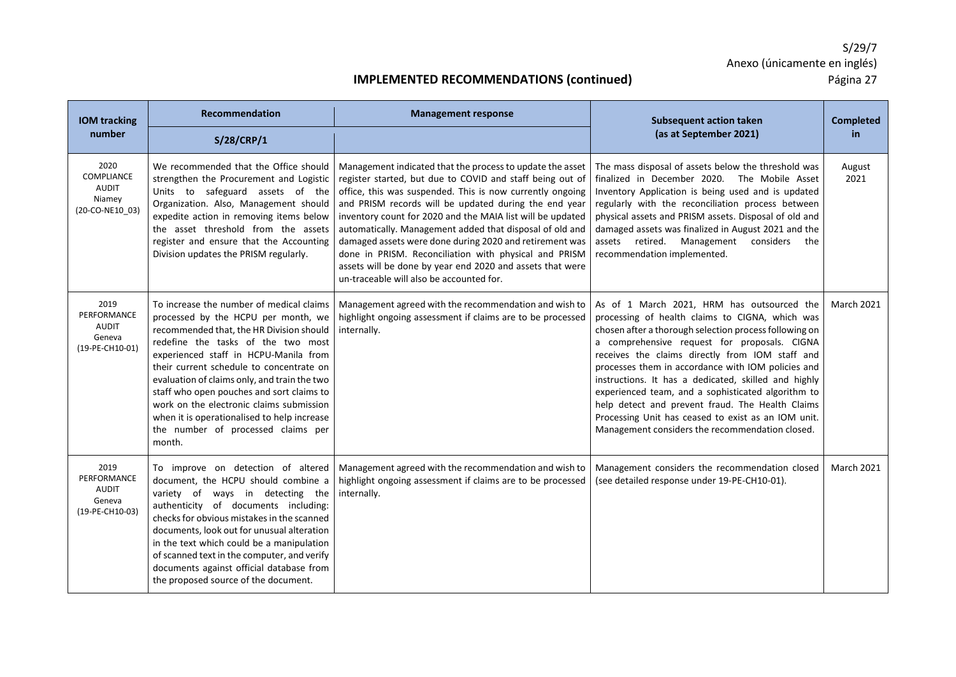| <b>IOM tracking</b>                                                    | <b>Recommendation</b>                                                                                                                                                                                                                                                                                                                                                                                                                                                                          | <b>Management response</b>                                                                                                                                                                                                                                                                                                                                                                                                                                                                                                                                                                          | <b>Subsequent action taken</b>                                                                                                                                                                                                                                                                                                                                                                                                                                                                                                                                                               | <b>Completed</b>  |
|------------------------------------------------------------------------|------------------------------------------------------------------------------------------------------------------------------------------------------------------------------------------------------------------------------------------------------------------------------------------------------------------------------------------------------------------------------------------------------------------------------------------------------------------------------------------------|-----------------------------------------------------------------------------------------------------------------------------------------------------------------------------------------------------------------------------------------------------------------------------------------------------------------------------------------------------------------------------------------------------------------------------------------------------------------------------------------------------------------------------------------------------------------------------------------------------|----------------------------------------------------------------------------------------------------------------------------------------------------------------------------------------------------------------------------------------------------------------------------------------------------------------------------------------------------------------------------------------------------------------------------------------------------------------------------------------------------------------------------------------------------------------------------------------------|-------------------|
| number                                                                 | S/28/CRP/1                                                                                                                                                                                                                                                                                                                                                                                                                                                                                     |                                                                                                                                                                                                                                                                                                                                                                                                                                                                                                                                                                                                     | (as at September 2021)                                                                                                                                                                                                                                                                                                                                                                                                                                                                                                                                                                       | in                |
| 2020<br><b>COMPLIANCE</b><br><b>AUDIT</b><br>Niamey<br>(20-CO-NE10_03) | We recommended that the Office should<br>strengthen the Procurement and Logistic<br>Units to safeguard assets of the<br>Organization. Also, Management should<br>expedite action in removing items below<br>the asset threshold from the assets<br>register and ensure that the Accounting<br>Division updates the PRISM regularly.                                                                                                                                                            | Management indicated that the process to update the asset<br>register started, but due to COVID and staff being out of<br>office, this was suspended. This is now currently ongoing<br>and PRISM records will be updated during the end year<br>inventory count for 2020 and the MAIA list will be updated<br>automatically. Management added that disposal of old and<br>damaged assets were done during 2020 and retirement was<br>done in PRISM. Reconciliation with physical and PRISM<br>assets will be done by year end 2020 and assets that were<br>un-traceable will also be accounted for. | The mass disposal of assets below the threshold was<br>finalized in December 2020. The Mobile Asset<br>Inventory Application is being used and is updated<br>regularly with the reconciliation process between<br>physical assets and PRISM assets. Disposal of old and<br>damaged assets was finalized in August 2021 and the<br>assets retired. Management considers<br>the<br>recommendation implemented.                                                                                                                                                                                 | August<br>2021    |
| 2019<br>PERFORMANCE<br><b>AUDIT</b><br>Geneva<br>(19-PE-CH10-01)       | To increase the number of medical claims<br>processed by the HCPU per month, we<br>recommended that, the HR Division should<br>redefine the tasks of the two most<br>experienced staff in HCPU-Manila from<br>their current schedule to concentrate on<br>evaluation of claims only, and train the two<br>staff who open pouches and sort claims to<br>work on the electronic claims submission<br>when it is operationalised to help increase<br>the number of processed claims per<br>month. | Management agreed with the recommendation and wish to<br>highlight ongoing assessment if claims are to be processed<br>internally.                                                                                                                                                                                                                                                                                                                                                                                                                                                                  | As of 1 March 2021, HRM has outsourced the<br>processing of health claims to CIGNA, which was<br>chosen after a thorough selection process following on<br>a comprehensive request for proposals. CIGNA<br>receives the claims directly from IOM staff and<br>processes them in accordance with IOM policies and<br>instructions. It has a dedicated, skilled and highly<br>experienced team, and a sophisticated algorithm to<br>help detect and prevent fraud. The Health Claims<br>Processing Unit has ceased to exist as an IOM unit.<br>Management considers the recommendation closed. | <b>March 2021</b> |
| 2019<br>PERFORMANCE<br><b>AUDIT</b><br>Geneva<br>(19-PE-CH10-03)       | To improve on detection of altered<br>document, the HCPU should combine a<br>variety of ways in detecting the<br>authenticity of documents including:<br>checks for obvious mistakes in the scanned<br>documents, look out for unusual alteration<br>in the text which could be a manipulation<br>of scanned text in the computer, and verify<br>documents against official database from<br>the proposed source of the document.                                                              | Management agreed with the recommendation and wish to<br>highlight ongoing assessment if claims are to be processed<br>internally.                                                                                                                                                                                                                                                                                                                                                                                                                                                                  | Management considers the recommendation closed<br>(see detailed response under 19-PE-CH10-01).                                                                                                                                                                                                                                                                                                                                                                                                                                                                                               | <b>March 2021</b> |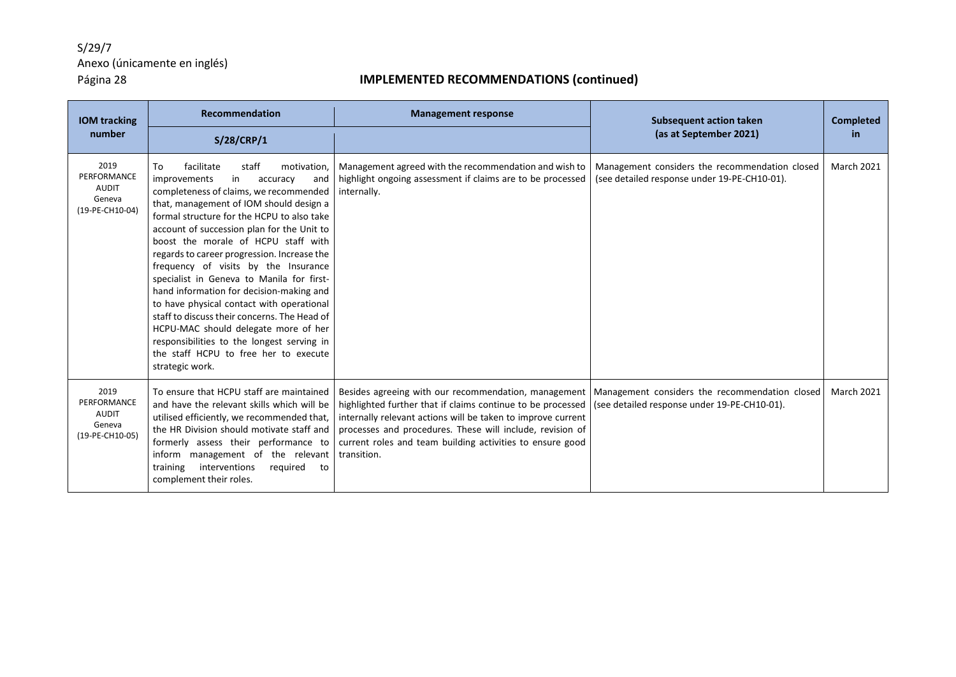| <b>IOM tracking</b>                                              | Recommendation                                                                                                                                                                                                                                                                                                                                                                                                                                                                                                                                                                                                                                                                                                                           | <b>Management response</b>                                                                                                                                                                                                                                                                                                                                                    | <b>Subsequent action taken</b>                                                                 | <b>Completed</b>  |
|------------------------------------------------------------------|------------------------------------------------------------------------------------------------------------------------------------------------------------------------------------------------------------------------------------------------------------------------------------------------------------------------------------------------------------------------------------------------------------------------------------------------------------------------------------------------------------------------------------------------------------------------------------------------------------------------------------------------------------------------------------------------------------------------------------------|-------------------------------------------------------------------------------------------------------------------------------------------------------------------------------------------------------------------------------------------------------------------------------------------------------------------------------------------------------------------------------|------------------------------------------------------------------------------------------------|-------------------|
| number                                                           | S/28/CRP/1                                                                                                                                                                                                                                                                                                                                                                                                                                                                                                                                                                                                                                                                                                                               |                                                                                                                                                                                                                                                                                                                                                                               | (as at September 2021)                                                                         | in.               |
| 2019<br>PERFORMANCE<br><b>AUDIT</b><br>Geneva<br>(19-PE-CH10-04) | staff<br>To<br>facilitate<br>motivation.<br>improvements<br>in<br>accuracy<br>and<br>completeness of claims, we recommended<br>that, management of IOM should design a<br>formal structure for the HCPU to also take<br>account of succession plan for the Unit to<br>boost the morale of HCPU staff with<br>regards to career progression. Increase the<br>frequency of visits by the Insurance<br>specialist in Geneva to Manila for first-<br>hand information for decision-making and<br>to have physical contact with operational<br>staff to discuss their concerns. The Head of<br>HCPU-MAC should delegate more of her<br>responsibilities to the longest serving in<br>the staff HCPU to free her to execute<br>strategic work. | Management agreed with the recommendation and wish to<br>highlight ongoing assessment if claims are to be processed<br>internally.                                                                                                                                                                                                                                            | Management considers the recommendation closed<br>(see detailed response under 19-PE-CH10-01). | <b>March 2021</b> |
| 2019<br>PERFORMANCE<br><b>AUDIT</b><br>Geneva<br>(19-PE-CH10-05) | To ensure that HCPU staff are maintained<br>and have the relevant skills which will be<br>utilised efficiently, we recommended that,<br>the HR Division should motivate staff and<br>formerly assess their performance to<br>inform management of the relevant<br>interventions<br>reguired<br>training<br>to<br>complement their roles.                                                                                                                                                                                                                                                                                                                                                                                                 | Besides agreeing with our recommendation, management   Management considers the recommendation closed<br>highlighted further that if claims continue to be processed<br>internally relevant actions will be taken to improve current<br>processes and procedures. These will include, revision of<br>current roles and team building activities to ensure good<br>transition. | (see detailed response under 19-PE-CH10-01).                                                   | <b>March 2021</b> |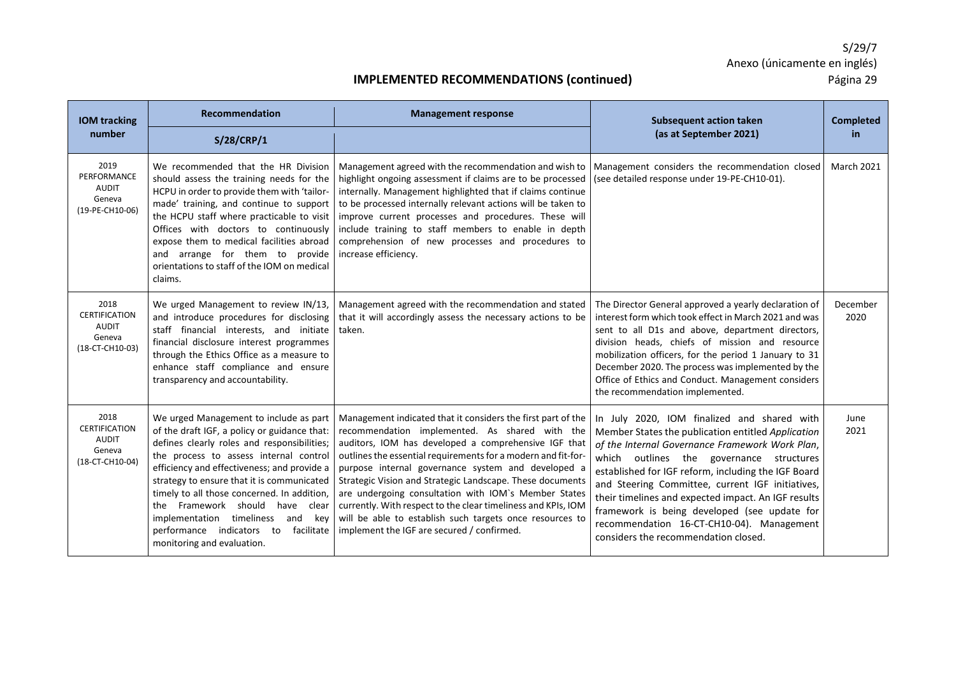| <b>IOM tracking</b>                                                       | Recommendation                                                                                                                                                                                                                                                                                                                                                                                                                                                                  | <b>Management response</b>                                                                                                                                                                                                                                                                                                                                                                                                                                                                                                                                                                    | <b>Subsequent action taken</b>                                                                                                                                                                                                                                                                                                                                                                                                                                                                          | <b>Completed</b>  |
|---------------------------------------------------------------------------|---------------------------------------------------------------------------------------------------------------------------------------------------------------------------------------------------------------------------------------------------------------------------------------------------------------------------------------------------------------------------------------------------------------------------------------------------------------------------------|-----------------------------------------------------------------------------------------------------------------------------------------------------------------------------------------------------------------------------------------------------------------------------------------------------------------------------------------------------------------------------------------------------------------------------------------------------------------------------------------------------------------------------------------------------------------------------------------------|---------------------------------------------------------------------------------------------------------------------------------------------------------------------------------------------------------------------------------------------------------------------------------------------------------------------------------------------------------------------------------------------------------------------------------------------------------------------------------------------------------|-------------------|
| number                                                                    | S/28/CRP/1                                                                                                                                                                                                                                                                                                                                                                                                                                                                      |                                                                                                                                                                                                                                                                                                                                                                                                                                                                                                                                                                                               | (as at September 2021)                                                                                                                                                                                                                                                                                                                                                                                                                                                                                  | in.               |
| 2019<br>PERFORMANCE<br><b>AUDIT</b><br>Geneva<br>(19-PE-CH10-06)          | We recommended that the HR Division<br>should assess the training needs for the<br>HCPU in order to provide them with 'tailor-<br>made' training, and continue to support<br>the HCPU staff where practicable to visit<br>Offices with doctors to continuously<br>expose them to medical facilities abroad<br>and arrange for them to provide<br>orientations to staff of the IOM on medical<br>claims.                                                                         | Management agreed with the recommendation and wish to<br>highlight ongoing assessment if claims are to be processed<br>internally. Management highlighted that if claims continue<br>to be processed internally relevant actions will be taken to<br>improve current processes and procedures. These will<br>include training to staff members to enable in depth<br>comprehension of new processes and procedures to<br>increase efficiency.                                                                                                                                                 | Management considers the recommendation closed<br>(see detailed response under 19-PE-CH10-01).                                                                                                                                                                                                                                                                                                                                                                                                          | <b>March 2021</b> |
| 2018<br><b>CERTIFICATION</b><br><b>AUDIT</b><br>Geneva<br>(18-CT-CH10-03) | We urged Management to review IN/13,<br>and introduce procedures for disclosing<br>staff financial interests, and initiate<br>financial disclosure interest programmes<br>through the Ethics Office as a measure to<br>enhance staff compliance and ensure<br>transparency and accountability.                                                                                                                                                                                  | Management agreed with the recommendation and stated<br>that it will accordingly assess the necessary actions to be<br>taken.                                                                                                                                                                                                                                                                                                                                                                                                                                                                 | The Director General approved a yearly declaration of<br>interest form which took effect in March 2021 and was<br>sent to all D1s and above, department directors,<br>division heads, chiefs of mission and resource<br>mobilization officers, for the period 1 January to 31<br>December 2020. The process was implemented by the<br>Office of Ethics and Conduct. Management considers<br>the recommendation implemented.                                                                             | December<br>2020  |
| 2018<br><b>CERTIFICATION</b><br>AUDIT<br>Geneva<br>(18-CT-CH10-04)        | We urged Management to include as part<br>of the draft IGF, a policy or guidance that:<br>defines clearly roles and responsibilities;<br>the process to assess internal control<br>efficiency and effectiveness; and provide a<br>strategy to ensure that it is communicated<br>timely to all those concerned. In addition,<br>the Framework should have clear<br>implementation timeliness<br>and key<br>performance indicators to<br>facilitate<br>monitoring and evaluation. | Management indicated that it considers the first part of the<br>recommendation implemented. As shared with the<br>auditors, IOM has developed a comprehensive IGF that<br>outlines the essential requirements for a modern and fit-for-<br>purpose internal governance system and developed a<br>Strategic Vision and Strategic Landscape. These documents<br>are undergoing consultation with IOM's Member States<br>currently. With respect to the clear timeliness and KPIs, IOM<br>will be able to establish such targets once resources to<br>implement the IGF are secured / confirmed. | In July 2020, IOM finalized and shared with<br>Member States the publication entitled Application<br>of the Internal Governance Framework Work Plan,<br>which outlines the governance structures<br>established for IGF reform, including the IGF Board<br>and Steering Committee, current IGF initiatives,<br>their timelines and expected impact. An IGF results<br>framework is being developed (see update for<br>recommendation 16-CT-CH10-04). Management<br>considers the recommendation closed. | June<br>2021      |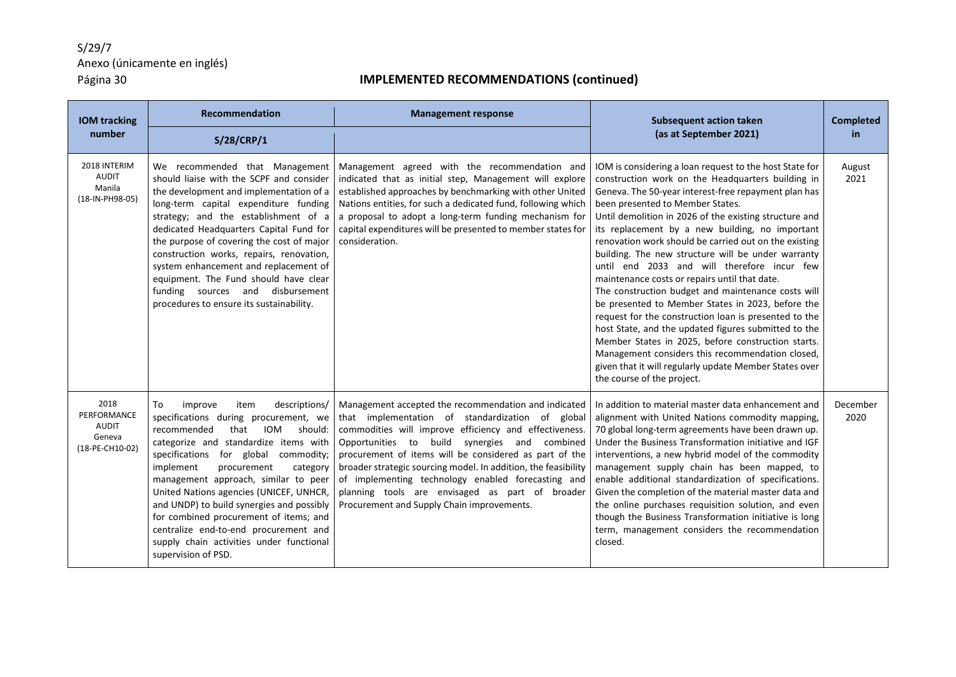| <b>IOM tracking</b>                                              | <b>Recommendation</b>                                                                                                                                                                                                                                                                                                                                                                                                                                                                                                                   | <b>Management response</b>                                                                                                                                                                                                                                                                                                                                                                                                                                                                             | <b>Subsequent action taken</b>                                                                                                                                                                                                                                                                                                                                                                                                                                                                                                                                                                                                                                                                                                                                                                                                                                                                                                                                     | <b>Completed</b> |
|------------------------------------------------------------------|-----------------------------------------------------------------------------------------------------------------------------------------------------------------------------------------------------------------------------------------------------------------------------------------------------------------------------------------------------------------------------------------------------------------------------------------------------------------------------------------------------------------------------------------|--------------------------------------------------------------------------------------------------------------------------------------------------------------------------------------------------------------------------------------------------------------------------------------------------------------------------------------------------------------------------------------------------------------------------------------------------------------------------------------------------------|--------------------------------------------------------------------------------------------------------------------------------------------------------------------------------------------------------------------------------------------------------------------------------------------------------------------------------------------------------------------------------------------------------------------------------------------------------------------------------------------------------------------------------------------------------------------------------------------------------------------------------------------------------------------------------------------------------------------------------------------------------------------------------------------------------------------------------------------------------------------------------------------------------------------------------------------------------------------|------------------|
| number                                                           | S/28/CRP/1                                                                                                                                                                                                                                                                                                                                                                                                                                                                                                                              |                                                                                                                                                                                                                                                                                                                                                                                                                                                                                                        | (as at September 2021)                                                                                                                                                                                                                                                                                                                                                                                                                                                                                                                                                                                                                                                                                                                                                                                                                                                                                                                                             | in.              |
| 2018 INTERIM<br><b>AUDIT</b><br>Manila<br>(18-IN-PH98-05)        | We recommended that Management<br>should liaise with the SCPF and consider<br>the development and implementation of a<br>long-term capital expenditure funding<br>strategy; and the establishment of a<br>dedicated Headquarters Capital Fund for<br>the purpose of covering the cost of major<br>construction works, repairs, renovation,<br>system enhancement and replacement of<br>equipment. The Fund should have clear<br>funding sources and disbursement<br>procedures to ensure its sustainability.                            | Management agreed with the recommendation and<br>indicated that as initial step, Management will explore<br>established approaches by benchmarking with other United<br>Nations entities, for such a dedicated fund, following which<br>a proposal to adopt a long-term funding mechanism for<br>capital expenditures will be presented to member states for<br>consideration.                                                                                                                         | IOM is considering a loan request to the host State for<br>construction work on the Headquarters building in<br>Geneva. The 50-year interest-free repayment plan has<br>been presented to Member States.<br>Until demolition in 2026 of the existing structure and<br>its replacement by a new building, no important<br>renovation work should be carried out on the existing<br>building. The new structure will be under warranty<br>until end 2033 and will therefore incur few<br>maintenance costs or repairs until that date.<br>The construction budget and maintenance costs will<br>be presented to Member States in 2023, before the<br>request for the construction loan is presented to the<br>host State, and the updated figures submitted to the<br>Member States in 2025, before construction starts.<br>Management considers this recommendation closed,<br>given that it will regularly update Member States over<br>the course of the project. | August<br>2021   |
| 2018<br>PERFORMANCE<br><b>AUDIT</b><br>Geneva<br>(18-PE-CH10-02) | To<br>improve<br>item<br>descriptions/<br>specifications during procurement, we<br>IOM<br>recommended<br>that<br>should:<br>categorize and standardize items with<br>specifications for global commodity;<br>implement<br>procurement<br>category<br>management approach, similar to peer<br>United Nations agencies (UNICEF, UNHCR,<br>and UNDP) to build synergies and possibly<br>for combined procurement of items; and<br>centralize end-to-end procurement and<br>supply chain activities under functional<br>supervision of PSD. | Management accepted the recommendation and indicated<br>that implementation of standardization of global<br>commodities will improve efficiency and effectiveness.<br>Opportunities to build synergies and combined<br>procurement of items will be considered as part of the<br>broader strategic sourcing model. In addition, the feasibility<br>of implementing technology enabled forecasting and<br>planning tools are envisaged as part of broader<br>Procurement and Supply Chain improvements. | In addition to material master data enhancement and<br>alignment with United Nations commodity mapping,<br>70 global long-term agreements have been drawn up.<br>Under the Business Transformation initiative and IGF<br>interventions, a new hybrid model of the commodity<br>management supply chain has been mapped, to<br>enable additional standardization of specifications.<br>Given the completion of the material master data and<br>the online purchases requisition solution, and even<br>though the Business Transformation initiative is long<br>term, management considers the recommendation<br>closed.                                                                                                                                                                                                                                                                                                                                             | December<br>2020 |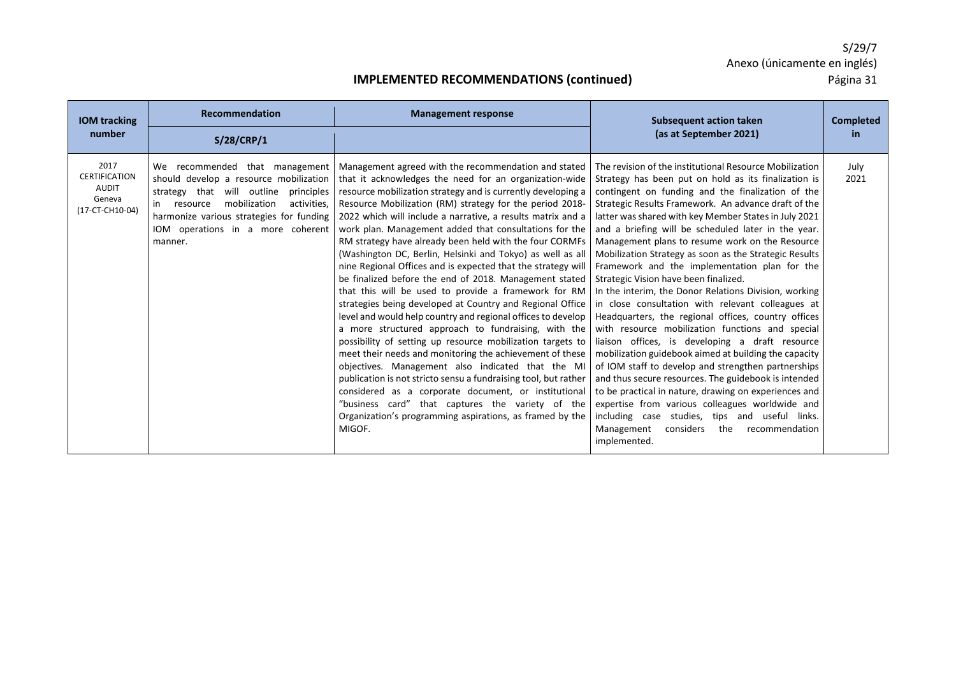| <b>IOM</b> tracking                                                       | Recommendation                                                                                                                                                                                                                                              | <b>Management response</b>                                                                                                                                                                                                                                                                                                                                                                                                                                                                                                                                                                                                                                                                                                                                                                                                                                                                                                                                                                                                                                                                                                                                                                                                                                                                             | <b>Subsequent action taken</b>                                                                                                                                                                                                                                                                                                                                                                                                                                                                                                                                                                                                                                                                                                                                                                                                                                                                                                                                                                                                                                                                                                                                                                                                            | <b>Completed</b> |
|---------------------------------------------------------------------------|-------------------------------------------------------------------------------------------------------------------------------------------------------------------------------------------------------------------------------------------------------------|--------------------------------------------------------------------------------------------------------------------------------------------------------------------------------------------------------------------------------------------------------------------------------------------------------------------------------------------------------------------------------------------------------------------------------------------------------------------------------------------------------------------------------------------------------------------------------------------------------------------------------------------------------------------------------------------------------------------------------------------------------------------------------------------------------------------------------------------------------------------------------------------------------------------------------------------------------------------------------------------------------------------------------------------------------------------------------------------------------------------------------------------------------------------------------------------------------------------------------------------------------------------------------------------------------|-------------------------------------------------------------------------------------------------------------------------------------------------------------------------------------------------------------------------------------------------------------------------------------------------------------------------------------------------------------------------------------------------------------------------------------------------------------------------------------------------------------------------------------------------------------------------------------------------------------------------------------------------------------------------------------------------------------------------------------------------------------------------------------------------------------------------------------------------------------------------------------------------------------------------------------------------------------------------------------------------------------------------------------------------------------------------------------------------------------------------------------------------------------------------------------------------------------------------------------------|------------------|
| number                                                                    | S/28/CRP/1                                                                                                                                                                                                                                                  |                                                                                                                                                                                                                                                                                                                                                                                                                                                                                                                                                                                                                                                                                                                                                                                                                                                                                                                                                                                                                                                                                                                                                                                                                                                                                                        | (as at September 2021)                                                                                                                                                                                                                                                                                                                                                                                                                                                                                                                                                                                                                                                                                                                                                                                                                                                                                                                                                                                                                                                                                                                                                                                                                    | in.              |
| 2017<br><b>CERTIFICATION</b><br><b>AUDIT</b><br>Geneva<br>(17-CT-CH10-04) | We recommended that management<br>should develop a resource mobilization<br>strategy that will outline<br>principles<br>mobilization<br>activities.<br>resource<br>harmonize various strategies for funding<br>IOM operations in a more coherent<br>manner. | Management agreed with the recommendation and stated<br>that it acknowledges the need for an organization-wide<br>resource mobilization strategy and is currently developing a<br>Resource Mobilization (RM) strategy for the period 2018-<br>2022 which will include a narrative, a results matrix and a<br>work plan. Management added that consultations for the<br>RM strategy have already been held with the four CORMFs<br>(Washington DC, Berlin, Helsinki and Tokyo) as well as all<br>nine Regional Offices and is expected that the strategy will<br>be finalized before the end of 2018. Management stated<br>that this will be used to provide a framework for RM<br>strategies being developed at Country and Regional Office<br>level and would help country and regional offices to develop<br>a more structured approach to fundraising, with the<br>possibility of setting up resource mobilization targets to<br>meet their needs and monitoring the achievement of these<br>objectives. Management also indicated that the MI<br>publication is not stricto sensu a fundraising tool, but rather<br>considered as a corporate document, or institutional<br>"business card" that captures the variety of the<br>Organization's programming aspirations, as framed by the<br>MIGOF. | The revision of the institutional Resource Mobilization<br>Strategy has been put on hold as its finalization is<br>contingent on funding and the finalization of the<br>Strategic Results Framework. An advance draft of the<br>latter was shared with key Member States in July 2021<br>and a briefing will be scheduled later in the year.<br>Management plans to resume work on the Resource<br>Mobilization Strategy as soon as the Strategic Results<br>Framework and the implementation plan for the<br>Strategic Vision have been finalized.<br>In the interim, the Donor Relations Division, working<br>in close consultation with relevant colleagues at<br>Headquarters, the regional offices, country offices<br>with resource mobilization functions and special<br>liaison offices, is developing a draft resource<br>mobilization guidebook aimed at building the capacity<br>of IOM staff to develop and strengthen partnerships<br>and thus secure resources. The guidebook is intended<br>to be practical in nature, drawing on experiences and<br>expertise from various colleagues worldwide and<br>including case studies, tips and useful links.<br>Management<br>considers<br>the<br>recommendation<br>implemented. | July<br>2021     |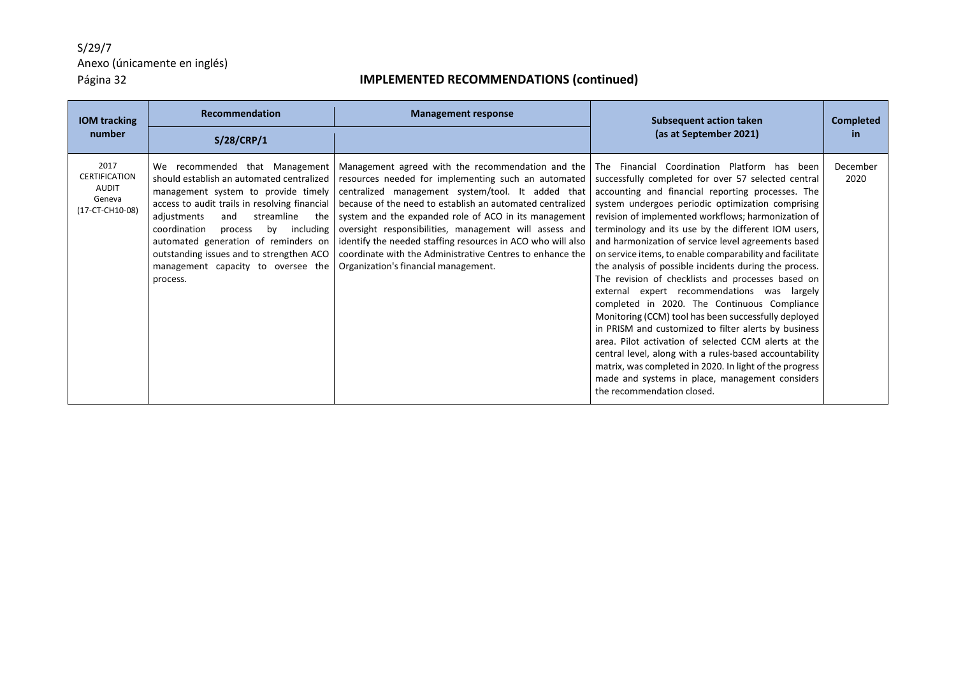| <b>IOM</b> tracking                                                       | <b>Recommendation</b>                                                                                                                                                                                                                                                                                                                                                                           | <b>Management response</b>                                                                                                                                                                                                                                                                                                                                                                                                                                                                                        | <b>Subsequent action taken</b>                                                                                                                                                                                                                                                                                                                                                                                                                                                                                                                                                                                                                                                                                                                                                                                                                                                                                                                                                                                                             | <b>Completed</b> |
|---------------------------------------------------------------------------|-------------------------------------------------------------------------------------------------------------------------------------------------------------------------------------------------------------------------------------------------------------------------------------------------------------------------------------------------------------------------------------------------|-------------------------------------------------------------------------------------------------------------------------------------------------------------------------------------------------------------------------------------------------------------------------------------------------------------------------------------------------------------------------------------------------------------------------------------------------------------------------------------------------------------------|--------------------------------------------------------------------------------------------------------------------------------------------------------------------------------------------------------------------------------------------------------------------------------------------------------------------------------------------------------------------------------------------------------------------------------------------------------------------------------------------------------------------------------------------------------------------------------------------------------------------------------------------------------------------------------------------------------------------------------------------------------------------------------------------------------------------------------------------------------------------------------------------------------------------------------------------------------------------------------------------------------------------------------------------|------------------|
| number                                                                    | S/28/CRP/1                                                                                                                                                                                                                                                                                                                                                                                      |                                                                                                                                                                                                                                                                                                                                                                                                                                                                                                                   | (as at September 2021)                                                                                                                                                                                                                                                                                                                                                                                                                                                                                                                                                                                                                                                                                                                                                                                                                                                                                                                                                                                                                     | in.              |
| 2017<br><b>CERTIFICATION</b><br><b>AUDIT</b><br>Geneva<br>(17-CT-CH10-08) | We recommended that Management<br>should establish an automated centralized<br>management system to provide timely<br>access to audit trails in resolving financial<br>adjustments<br>streamline<br>and<br>the<br>coordination<br>by including<br>process<br>automated generation of reminders on<br>outstanding issues and to strengthen ACO<br>management capacity to oversee the<br>process. | Management agreed with the recommendation and the<br>resources needed for implementing such an automated<br>centralized management system/tool. It added that<br>because of the need to establish an automated centralized<br>system and the expanded role of ACO in its management<br>oversight responsibilities, management will assess and<br>identify the needed staffing resources in ACO who will also<br>coordinate with the Administrative Centres to enhance the<br>Organization's financial management. | The Financial Coordination Platform has been<br>successfully completed for over 57 selected central<br>accounting and financial reporting processes. The<br>system undergoes periodic optimization comprising<br>revision of implemented workflows; harmonization of<br>terminology and its use by the different IOM users,<br>and harmonization of service level agreements based<br>on service items, to enable comparability and facilitate<br>the analysis of possible incidents during the process.<br>The revision of checklists and processes based on<br>external expert recommendations was largely<br>completed in 2020. The Continuous Compliance<br>Monitoring (CCM) tool has been successfully deployed<br>in PRISM and customized to filter alerts by business<br>area. Pilot activation of selected CCM alerts at the<br>central level, along with a rules-based accountability<br>matrix, was completed in 2020. In light of the progress<br>made and systems in place, management considers<br>the recommendation closed. | December<br>2020 |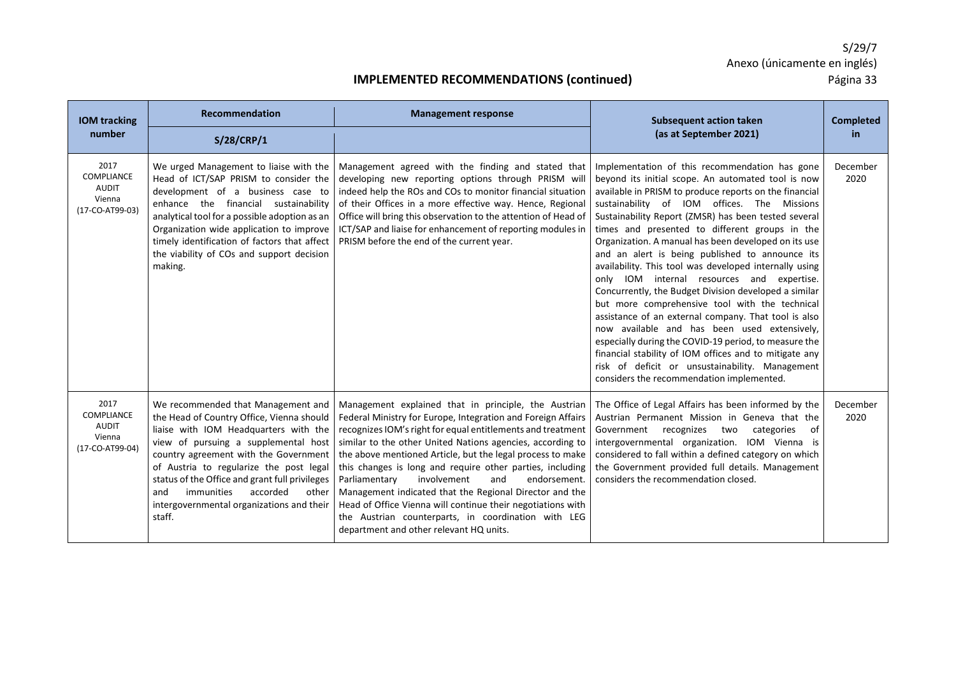| <b>IOM</b> tracking                                                    | <b>Recommendation</b>                                                                                                                                                                                                                                                                                                                                                                                   | <b>Management response</b>                                                                                                                                                                                                                                                                                                                                                                                                                                                                                                                                                                                                                                      | <b>Subsequent action taken</b>                                                                                                                                                                                                                                                                                                                                                                                                                                                                                                                                                                                                                                                                                                                                                                                                                                                                                                                                                   | <b>Completed</b> |
|------------------------------------------------------------------------|---------------------------------------------------------------------------------------------------------------------------------------------------------------------------------------------------------------------------------------------------------------------------------------------------------------------------------------------------------------------------------------------------------|-----------------------------------------------------------------------------------------------------------------------------------------------------------------------------------------------------------------------------------------------------------------------------------------------------------------------------------------------------------------------------------------------------------------------------------------------------------------------------------------------------------------------------------------------------------------------------------------------------------------------------------------------------------------|----------------------------------------------------------------------------------------------------------------------------------------------------------------------------------------------------------------------------------------------------------------------------------------------------------------------------------------------------------------------------------------------------------------------------------------------------------------------------------------------------------------------------------------------------------------------------------------------------------------------------------------------------------------------------------------------------------------------------------------------------------------------------------------------------------------------------------------------------------------------------------------------------------------------------------------------------------------------------------|------------------|
| number                                                                 | S/28/CRP/1                                                                                                                                                                                                                                                                                                                                                                                              |                                                                                                                                                                                                                                                                                                                                                                                                                                                                                                                                                                                                                                                                 | (as at September 2021)                                                                                                                                                                                                                                                                                                                                                                                                                                                                                                                                                                                                                                                                                                                                                                                                                                                                                                                                                           | in               |
| 2017<br><b>COMPLIANCE</b><br><b>AUDIT</b><br>Vienna<br>(17-CO-AT99-03) | We urged Management to liaise with the<br>Head of ICT/SAP PRISM to consider the<br>development of a business case to<br>enhance the financial sustainability<br>analytical tool for a possible adoption as an<br>Organization wide application to improve<br>timely identification of factors that affect<br>the viability of COs and support decision<br>making.                                       | Management agreed with the finding and stated that<br>developing new reporting options through PRISM will<br>indeed help the ROs and COs to monitor financial situation<br>of their Offices in a more effective way. Hence, Regional<br>Office will bring this observation to the attention of Head of<br>ICT/SAP and liaise for enhancement of reporting modules in<br>PRISM before the end of the current year.                                                                                                                                                                                                                                               | Implementation of this recommendation has gone<br>beyond its initial scope. An automated tool is now<br>available in PRISM to produce reports on the financial<br>sustainability of IOM offices. The Missions<br>Sustainability Report (ZMSR) has been tested several<br>times and presented to different groups in the<br>Organization. A manual has been developed on its use<br>and an alert is being published to announce its<br>availability. This tool was developed internally using<br>only IOM internal resources and expertise.<br>Concurrently, the Budget Division developed a similar<br>but more comprehensive tool with the technical<br>assistance of an external company. That tool is also<br>now available and has been used extensively,<br>especially during the COVID-19 period, to measure the<br>financial stability of IOM offices and to mitigate any<br>risk of deficit or unsustainability. Management<br>considers the recommendation implemented. | December<br>2020 |
| 2017<br>COMPLIANCE<br><b>AUDIT</b><br>Vienna<br>(17-CO-AT99-04)        | We recommended that Management and<br>the Head of Country Office, Vienna should<br>liaise with IOM Headquarters with the<br>view of pursuing a supplemental host<br>country agreement with the Government<br>of Austria to regularize the post legal<br>status of the Office and grant full privileges<br>immunities<br>accorded<br>other<br>and<br>intergovernmental organizations and their<br>staff. | Management explained that in principle, the Austrian<br>Federal Ministry for Europe, Integration and Foreign Affairs<br>recognizes IOM's right for equal entitlements and treatment<br>similar to the other United Nations agencies, according to<br>the above mentioned Article, but the legal process to make<br>this changes is long and require other parties, including<br>Parliamentary<br>involvement<br>endorsement.<br>and<br>Management indicated that the Regional Director and the<br>Head of Office Vienna will continue their negotiations with<br>the Austrian counterparts, in coordination with LEG<br>department and other relevant HQ units. | The Office of Legal Affairs has been informed by the<br>Austrian Permanent Mission in Geneva that the<br>Government recognizes two<br>of<br>categories<br>intergovernmental organization. IOM Vienna is<br>considered to fall within a defined category on which<br>the Government provided full details. Management<br>considers the recommendation closed.                                                                                                                                                                                                                                                                                                                                                                                                                                                                                                                                                                                                                     | December<br>2020 |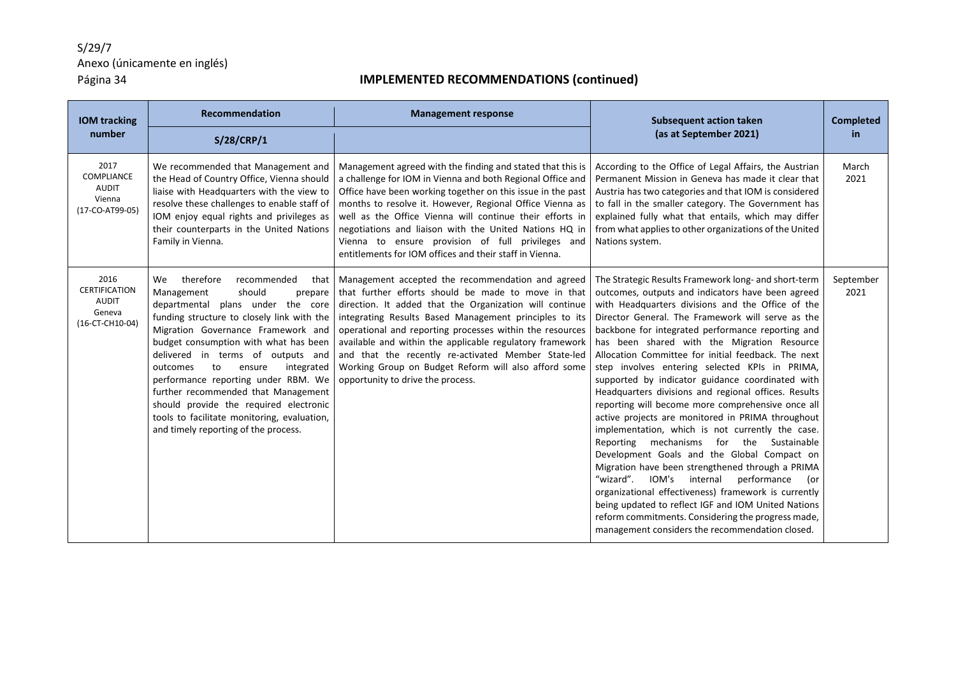| <b>IOM tracking</b><br>number                                               | Recommendation<br>S/28/CRP/1                                                                                                                                                                                                                                                                                                                                                                                                                                                                                                               | <b>Management response</b>                                                                                                                                                                                                                                                                                                                                                                                                                                                                                | <b>Subsequent action taken</b><br>(as at September 2021)                                                                                                                                                                                                                                                                                                                                                                                                                                                                                                                                                                                                                                                                                                                                                                                                                                                                                                                                                                                                                                                                               | <b>Completed</b><br>in |
|-----------------------------------------------------------------------------|--------------------------------------------------------------------------------------------------------------------------------------------------------------------------------------------------------------------------------------------------------------------------------------------------------------------------------------------------------------------------------------------------------------------------------------------------------------------------------------------------------------------------------------------|-----------------------------------------------------------------------------------------------------------------------------------------------------------------------------------------------------------------------------------------------------------------------------------------------------------------------------------------------------------------------------------------------------------------------------------------------------------------------------------------------------------|----------------------------------------------------------------------------------------------------------------------------------------------------------------------------------------------------------------------------------------------------------------------------------------------------------------------------------------------------------------------------------------------------------------------------------------------------------------------------------------------------------------------------------------------------------------------------------------------------------------------------------------------------------------------------------------------------------------------------------------------------------------------------------------------------------------------------------------------------------------------------------------------------------------------------------------------------------------------------------------------------------------------------------------------------------------------------------------------------------------------------------------|------------------------|
| 2017<br>COMPLIANCE<br><b>AUDIT</b><br>Vienna<br>(17-CO-AT99-05)             | We recommended that Management and<br>the Head of Country Office, Vienna should<br>liaise with Headquarters with the view to<br>resolve these challenges to enable staff of<br>IOM enjoy equal rights and privileges as<br>their counterparts in the United Nations<br>Family in Vienna.                                                                                                                                                                                                                                                   | Management agreed with the finding and stated that this is<br>a challenge for IOM in Vienna and both Regional Office and<br>Office have been working together on this issue in the past<br>months to resolve it. However, Regional Office Vienna as<br>well as the Office Vienna will continue their efforts in<br>negotiations and liaison with the United Nations HQ in<br>Vienna to ensure provision of full privileges and<br>entitlements for IOM offices and their staff in Vienna.                 | According to the Office of Legal Affairs, the Austrian<br>Permanent Mission in Geneva has made it clear that<br>Austria has two categories and that IOM is considered<br>to fall in the smaller category. The Government has<br>explained fully what that entails, which may differ<br>from what applies to other organizations of the United<br>Nations system.                                                                                                                                                                                                                                                                                                                                                                                                                                                                                                                                                                                                                                                                                                                                                                       | March<br>2021          |
| 2016<br><b>CERTIFICATION</b><br><b>AUDIT</b><br>Geneva<br>$(16-CT-CH10-04)$ | therefore<br>recommended<br>We.<br>that<br>Management<br>should<br>prepare<br>departmental plans under the core<br>funding structure to closely link with the<br>Migration Governance Framework and<br>budget consumption with what has been<br>delivered in terms of outputs and<br>to<br>ensure<br>integrated<br>outcomes<br>performance reporting under RBM. We<br>further recommended that Management<br>should provide the required electronic<br>tools to facilitate monitoring, evaluation,<br>and timely reporting of the process. | Management accepted the recommendation and agreed<br>that further efforts should be made to move in that<br>direction. It added that the Organization will continue<br>integrating Results Based Management principles to its<br>operational and reporting processes within the resources<br>available and within the applicable regulatory framework<br>and that the recently re-activated Member State-led<br>Working Group on Budget Reform will also afford some<br>opportunity to drive the process. | The Strategic Results Framework long- and short-term<br>outcomes, outputs and indicators have been agreed<br>with Headquarters divisions and the Office of the<br>Director General. The Framework will serve as the<br>backbone for integrated performance reporting and<br>has been shared with the Migration Resource<br>Allocation Committee for initial feedback. The next<br>step involves entering selected KPIs in PRIMA,<br>supported by indicator guidance coordinated with<br>Headquarters divisions and regional offices. Results<br>reporting will become more comprehensive once all<br>active projects are monitored in PRIMA throughout<br>implementation, which is not currently the case.<br>Reporting mechanisms for the Sustainable<br>Development Goals and the Global Compact on<br>Migration have been strengthened through a PRIMA<br>"wizard".<br>IOM's internal<br>performance<br>(or<br>organizational effectiveness) framework is currently<br>being updated to reflect IGF and IOM United Nations<br>reform commitments. Considering the progress made,<br>management considers the recommendation closed. | September<br>2021      |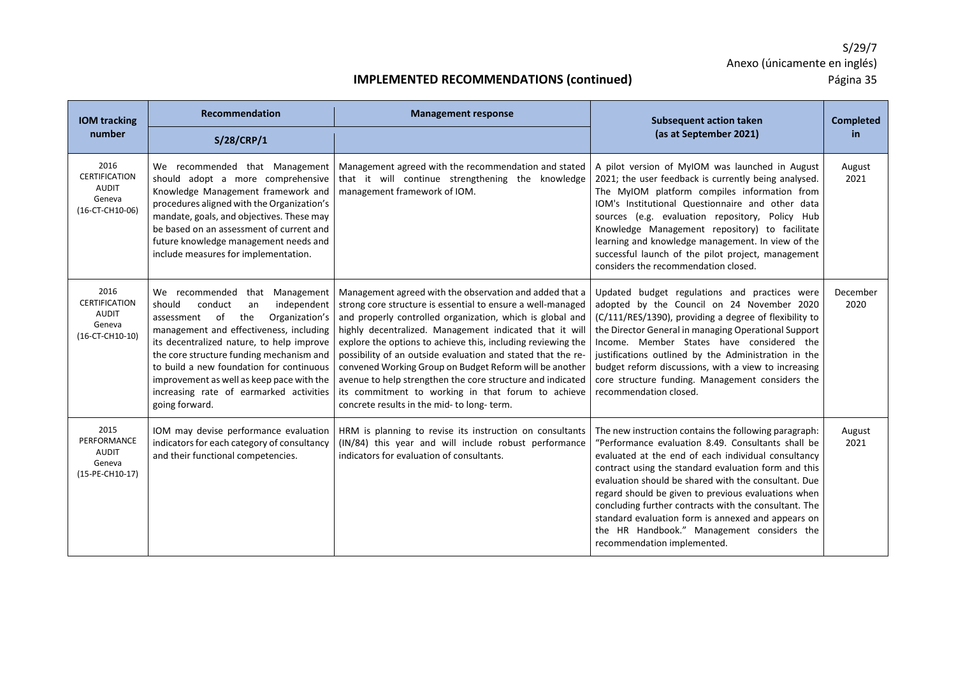| <b>IOM tracking</b>                                                         | <b>Recommendation</b>                                                                                                                                                                                                                                                                                                                                                                                           | <b>Management response</b>                                                                                                                                                                                                                                                                                                                                                                                                                                                                                                                                                                                  | <b>Subsequent action taken</b>                                                                                                                                                                                                                                                                                                                                                                                                                                                                                                        | <b>Completed</b> |
|-----------------------------------------------------------------------------|-----------------------------------------------------------------------------------------------------------------------------------------------------------------------------------------------------------------------------------------------------------------------------------------------------------------------------------------------------------------------------------------------------------------|-------------------------------------------------------------------------------------------------------------------------------------------------------------------------------------------------------------------------------------------------------------------------------------------------------------------------------------------------------------------------------------------------------------------------------------------------------------------------------------------------------------------------------------------------------------------------------------------------------------|---------------------------------------------------------------------------------------------------------------------------------------------------------------------------------------------------------------------------------------------------------------------------------------------------------------------------------------------------------------------------------------------------------------------------------------------------------------------------------------------------------------------------------------|------------------|
| number                                                                      | S/28/CRP/1                                                                                                                                                                                                                                                                                                                                                                                                      |                                                                                                                                                                                                                                                                                                                                                                                                                                                                                                                                                                                                             | (as at September 2021)                                                                                                                                                                                                                                                                                                                                                                                                                                                                                                                | in.              |
| 2016<br><b>CERTIFICATION</b><br><b>AUDIT</b><br>Geneva<br>(16-CT-CH10-06)   | We recommended that Management<br>should adopt a more comprehensive<br>Knowledge Management framework and<br>procedures aligned with the Organization's<br>mandate, goals, and objectives. These may<br>be based on an assessment of current and<br>future knowledge management needs and<br>include measures for implementation.                                                                               | Management agreed with the recommendation and stated<br>that it will continue strengthening the knowledge<br>management framework of IOM.                                                                                                                                                                                                                                                                                                                                                                                                                                                                   | A pilot version of MyIOM was launched in August<br>2021; the user feedback is currently being analysed.<br>The MyIOM platform compiles information from<br>IOM's Institutional Questionnaire and other data<br>sources (e.g. evaluation repository, Policy Hub<br>Knowledge Management repository) to facilitate<br>learning and knowledge management. In view of the<br>successful launch of the pilot project, management<br>considers the recommendation closed.                                                                   | August<br>2021   |
| 2016<br><b>CERTIFICATION</b><br><b>AUDIT</b><br>Geneva<br>$(16-CT-CH10-10)$ | We recommended that Management<br>should<br>conduct<br>independent<br>an<br>of<br>the<br>Organization's<br>assessment<br>management and effectiveness, including<br>its decentralized nature, to help improve<br>the core structure funding mechanism and<br>to build a new foundation for continuous<br>improvement as well as keep pace with the<br>increasing rate of earmarked activities<br>going forward. | Management agreed with the observation and added that a<br>strong core structure is essential to ensure a well-managed<br>and properly controlled organization, which is global and<br>highly decentralized. Management indicated that it will<br>explore the options to achieve this, including reviewing the<br>possibility of an outside evaluation and stated that the re-<br>convened Working Group on Budget Reform will be another<br>avenue to help strengthen the core structure and indicated<br>its commitment to working in that forum to achieve<br>concrete results in the mid- to long-term. | Updated budget regulations and practices were<br>adopted by the Council on 24 November 2020<br>(C/111/RES/1390), providing a degree of flexibility to<br>the Director General in managing Operational Support<br>Income. Member States have considered the<br>justifications outlined by the Administration in the<br>budget reform discussions, with a view to increasing<br>core structure funding. Management considers the<br>recommendation closed.                                                                              | December<br>2020 |
| 2015<br>PERFORMANCE<br><b>AUDIT</b><br>Geneva<br>(15-PE-CH10-17)            | IOM may devise performance evaluation<br>indicators for each category of consultancy<br>and their functional competencies.                                                                                                                                                                                                                                                                                      | HRM is planning to revise its instruction on consultants<br>(IN/84) this year and will include robust performance<br>indicators for evaluation of consultants.                                                                                                                                                                                                                                                                                                                                                                                                                                              | The new instruction contains the following paragraph:<br>"Performance evaluation 8.49. Consultants shall be<br>evaluated at the end of each individual consultancy<br>contract using the standard evaluation form and this<br>evaluation should be shared with the consultant. Due<br>regard should be given to previous evaluations when<br>concluding further contracts with the consultant. The<br>standard evaluation form is annexed and appears on<br>the HR Handbook." Management considers the<br>recommendation implemented. | August<br>2021   |